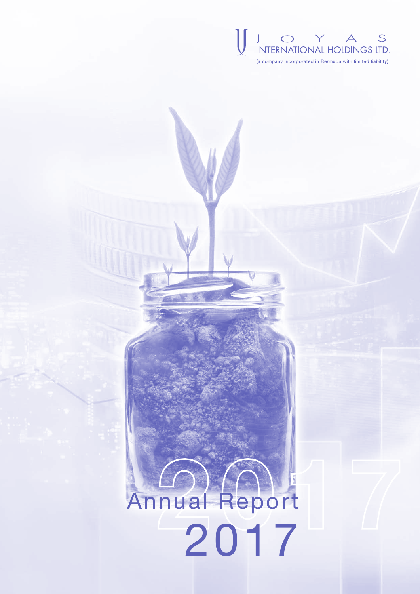

# Annual Report 2017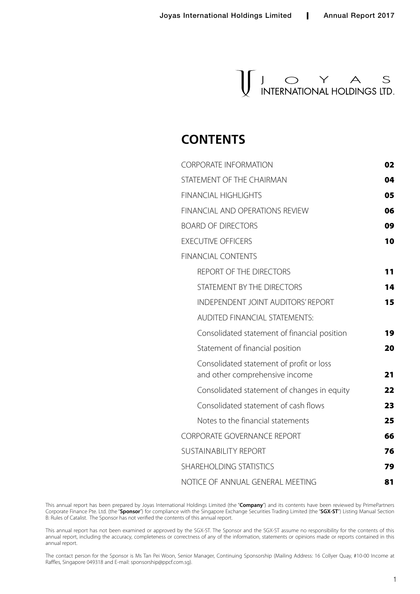

### **CONTENTS**

| 02 |
|----|
| 04 |
| 05 |
| 06 |
| 09 |
| 10 |
|    |
| 11 |
| 14 |
| 15 |
|    |
| 19 |
| 20 |
| 21 |
| 22 |
| 23 |
| 25 |
| 66 |
| 76 |
| 79 |
| 81 |
|    |

This annual report has been prepared by Joyas International Holdings Limited (the "**Company**") and its contents have been reviewed by PrimePartners Corporate Finance Pte. Ltd. (the "**Sponsor**") for compliance with the Singapore Exchange Securities Trading Limited (the "**SGX-ST**") Listing Manual Section B: Rules of Catalist. The Sponsor has not verified the contents of this annual report.

This annual report has not been examined or approved by the SGX-ST. The Sponsor and the SGX-ST assume no responsibility for the contents of this annual report, including the accuracy, completeness or correctness of any of the information, statements or opinions made or reports contained in this annual report.

The contact person for the Sponsor is Ms Tan Pei Woon, Senior Manager, Continuing Sponsorship (Mailing Address: 16 Collyer Quay, #10-00 Income at Raffles, Singapore 049318 and E-mail: sponsorship@ppcf.com.sg).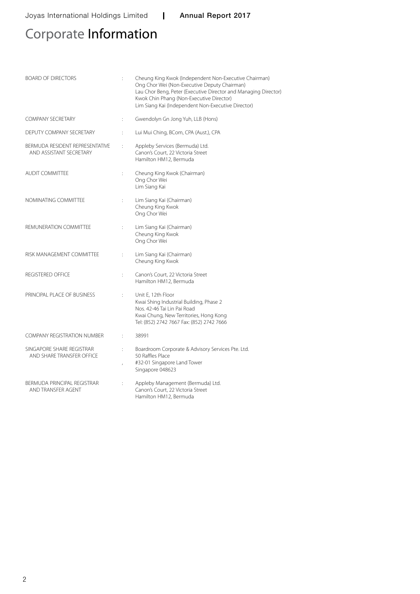# Corporate Information

| <b>BOARD OF DIRECTORS</b>                                  | $\vdots$             | Cheung King Kwok (Independent Non-Executive Chairman)<br>Ong Chor Wei (Non-Executive Deputy Chairman)<br>Lau Chor Beng, Peter (Executive Director and Managing Director)<br>Kwok Chin Phang (Non-Executive Director)<br>Lim Siang Kai (Independent Non-Executive Director) |
|------------------------------------------------------------|----------------------|----------------------------------------------------------------------------------------------------------------------------------------------------------------------------------------------------------------------------------------------------------------------------|
| <b>COMPANY SECRETARY</b>                                   | $\ddot{\phantom{a}}$ | Gwendolyn Gn Jong Yuh, LLB (Hons)                                                                                                                                                                                                                                          |
| DEPUTY COMPANY SECRETARY                                   |                      | Lui Mui Ching, BCom, CPA (Aust.), CPA                                                                                                                                                                                                                                      |
| BERMUDA RESIDENT REPRESENTATIVE<br>AND ASSISTANT SECRETARY | t.                   | Appleby Services (Bermuda) Ltd.<br>Canon's Court, 22 Victoria Street<br>Hamilton HM12. Bermuda                                                                                                                                                                             |
| <b>AUDIT COMMITTEE</b>                                     | ÷.                   | Cheung King Kwok (Chairman)<br>Ong Chor Wei<br>Lim Siang Kai                                                                                                                                                                                                               |
| NOMINATING COMMITTEE                                       | ÷.                   | Lim Siang Kai (Chairman)<br>Cheung King Kwok<br>Ong Chor Wei                                                                                                                                                                                                               |
| REMUNERATION COMMITTEE                                     | ÷                    | Lim Siang Kai (Chairman)<br>Cheung King Kwok<br>Ong Chor Wei                                                                                                                                                                                                               |
| RISK MANAGEMENT COMMITTEE                                  |                      | Lim Siang Kai (Chairman)<br>Cheung King Kwok                                                                                                                                                                                                                               |
| <b>REGISTERED OFFICE</b>                                   | ÷.                   | Canon's Court, 22 Victoria Street<br>Hamilton HM12, Bermuda                                                                                                                                                                                                                |
| PRINCIPAL PLACE OF BUSINESS                                | ÷.                   | Unit E, 12th Floor<br>Kwai Shing Industrial Building, Phase 2<br>Nos. 42-46 Tai Lin Pai Road<br>Kwai Chung, New Territories, Hong Kong<br>Tel: (852) 2742 7667 Fax: (852) 2742 7666                                                                                        |
| <b>COMPANY REGISTRATION NUMBER</b>                         | ÷                    | 38991                                                                                                                                                                                                                                                                      |
| SINGAPORE SHARE REGISTRAR<br>AND SHARE TRANSFER OFFICE     | ï                    | Boardroom Corporate & Advisory Services Pte. Ltd.<br>50 Raffles Place<br>#32-01 Singapore Land Tower<br>Singapore 048623                                                                                                                                                   |
| BERMUDA PRINCIPAL REGISTRAR<br>AND TRANSFER AGENT          |                      | Appleby Management (Bermuda) Ltd.<br>Canon's Court, 22 Victoria Street<br>Hamilton HM12, Bermuda                                                                                                                                                                           |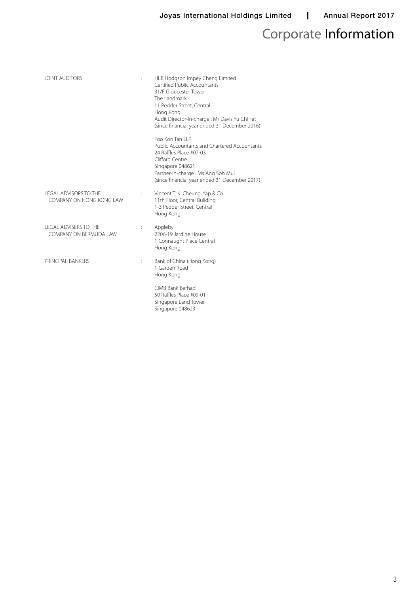# Corporate Information

| <b>JOINT AUDITORS</b>                                    | $\ddot{\cdot}$ | HLB Hodgson Impey Cheng Limited<br>Certified Public Accountants<br>31/F Gloucester Tower<br>The Landmark<br>11 Pedder Street, Central<br>Hong Kong<br>Audit Director-in-charge : Mr Davis Yu Chi Fat<br>(since financial year ended 31 December 2016) |
|----------------------------------------------------------|----------------|-------------------------------------------------------------------------------------------------------------------------------------------------------------------------------------------------------------------------------------------------------|
|                                                          |                | Foo Kon Tan II P<br>Public Accountants and Chartered Accountants<br>24 Raffles Place #07-03<br>Clifford Centre<br>Singapore 048621<br>Partner-in-charge : Ms Ang Soh Mui<br>(since financial year ended 31 December 2017)                             |
| <b>LEGAL ADVISORS TO THE</b><br>COMPANY ON HONG KONG LAW | $\vdots$       | Vincent T. K. Cheung, Yap & Co.<br>11th Floor, Central Building<br>1-3 Pedder Street, Central<br>Hong Kong                                                                                                                                            |
| <b>I FGAL ADVISERS TO THE</b><br>COMPANY ON BERMUDA LAW  | $\ddot{\cdot}$ | Appleby<br>2206-19 Jardine House<br>1 Connaught Place Central<br>Hong Kong                                                                                                                                                                            |
| PRINCIPAL BANKERS                                        | $\vdots$       | Bank of China (Hong Kong)<br>1 Garden Road<br>Hong Kong                                                                                                                                                                                               |
|                                                          |                | CIMB Bank Berhad<br>50 Raffles Place #09-01<br>Singapore Land Tower<br>Singapore 048623                                                                                                                                                               |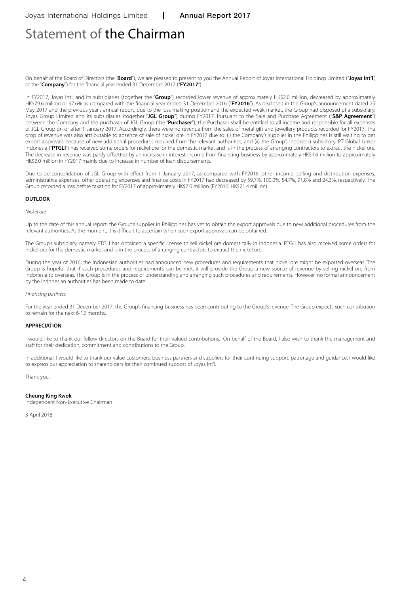### Statement of the Chairman

On behalf of the Board of Directors (the "**Board**"), we are pleased to present to you the Annual Report of Joyas International Holdings Limited ("**Joyas Int'l**", or the "**Company**") for the financial year ended 31 December 2017 ("**FY2017**").

In FY2017, Joyas Int'l and its subsidiaries (together the "**Group**") recorded lower revenue of approximately HK\$2.0 million, decreased by approximately HK\$79.6 million or 97.6% as compared with the financial year ended 31 December 2016 ("**FY2016**"). As disclosed in the Group's announcement dated 25 May 2017 and the previous year's annual report, due to the loss making position and the expected weak market, the Group had disposed of a subsidiary, Joyas Group Limited and its subsidiaries (together "**JGL Group**") during FY2017. Pursuant to the Sale and Purchase Agreement ("**S&P Agreement**") between the Company and the purchaser of JGL Group (the "**Purchaser**"), the Purchaser shall be entitled to all income and responsible for all expenses of JGL Group on or after 1 January 2017. Accordingly, there were no revenue from the sales of metal gift and jewellery products recorded for FY2017. The drop of revenue was also attributable to absence of sale of nickel ore in FY2017 due to: (i) the Company's supplier in the Philippines is still waiting to get export approvals because of new additional procedures required from the relevant authorities; and (ii) the Group's Indonesia subsidiary, PT Global Linker Indonesia ("**PTGLI**") has received some orders for nickel ore for the domestic market and is in the process of arranging contractors to extract the nickel ore. The decrease in revenue was partly offsetted by an increase in interest income from financing business by approximately HK\$1.6 million to approximately HK\$2.0 million in FY2017 mainly due to increase in number of loan disbursements.

Due to de-consolidation of JGL Group with effect from 1 January 2017, as compared with FY2016, other income, selling and distribution expenses, administrative expenses, other operating expenses and finance costs in FY2017 had decreased by 59.7%, 100.0%, 54.7%, 91.8% and 24.3%, respectively. The Group recorded a loss before taxation for FY2017 of approximately HK\$7.0 million (FY2016: HK\$21.4 million).

#### **OUTLOOK**

*Nickel ore*

Up to the date of this annual report, the Group's supplier in Philippines has yet to obtain the export approvals due to new additional procedures from the relevant authorities. At the moment, it is difficult to ascertain when such export approvals can be obtained.

The Group's subsidiary, namely PTGLI has obtained a specific license to sell nickel ore domestically in Indonesia. PTGLI has also received some orders for nickel ore for the domestic market and is in the process of arranging contractors to extract the nickel ore.

During the year of 2016, the Indonesian authorities had announced new procedures and requirements that nickel ore might be exported overseas. The Group is hopeful that if such procedures and requirements can be met, it will provide the Group a new source of revenue by selling nickel ore from Indonesia to overseas. The Group is in the process of understanding and arranging such procedures and requirements. However, no formal announcement by the Indonesian authorities has been made to date.

*Financing business*

For the year ended 31 December 2017, the Group's financing business has been contributing to the Group's revenue. The Group expects such contribution to remain for the next 6-12 months.

#### **APPRECIATION**

I would like to thank our fellow directors on the Board for their valued contributions. On behalf of the Board, I also wish to thank the management and staff for their dedication, commitment and contributions to the Group.

In additional, I would like to thank our value customers, business partners and suppliers for their continuing support, patronage and guidance. I would like to express our appreciation to shareholders for their continued support of Joyas Int'l.

Thank you.

#### **Cheung King Kwok**

Independent Non-Executive Chairman

3 April 2018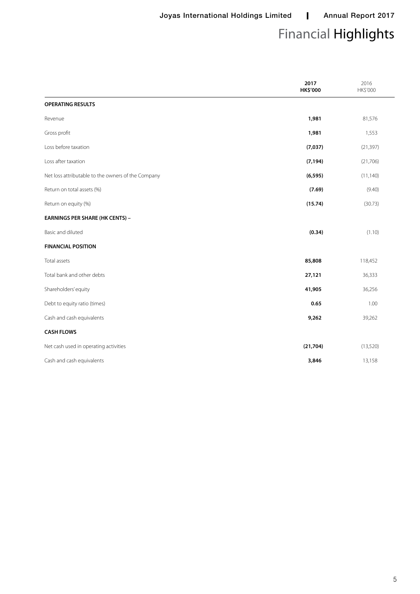# Financial Highlights

|                                                    | 2017<br>HK\$'000 | 2016<br>HK\$'000 |
|----------------------------------------------------|------------------|------------------|
| <b>OPERATING RESULTS</b>                           |                  |                  |
| Revenue                                            | 1,981            | 81,576           |
| Gross profit                                       | 1,981            | 1,553            |
| Loss before taxation                               | (7, 037)         | (21, 397)        |
| Loss after taxation                                | (7, 194)         | (21,706)         |
| Net loss attributable to the owners of the Company | (6, 595)         | (11, 140)        |
| Return on total assets (%)                         | (7.69)           | (9.40)           |
| Return on equity (%)                               | (15.74)          | (30.73)          |
| <b>EARNINGS PER SHARE (HK CENTS) -</b>             |                  |                  |
| Basic and diluted                                  | (0.34)           | (1.10)           |
| <b>FINANCIAL POSITION</b>                          |                  |                  |
| Total assets                                       | 85,808           | 118,452          |
| Total bank and other debts                         | 27,121           | 36,333           |
| Shareholders' equity                               | 41,905           | 36,256           |
| Debt to equity ratio (times)                       | 0.65             | 1.00             |
| Cash and cash equivalents                          | 9,262            | 39,262           |
| <b>CASH FLOWS</b>                                  |                  |                  |
| Net cash used in operating activities              | (21, 704)        | (13,520)         |
| Cash and cash equivalents                          | 3,846            | 13,158           |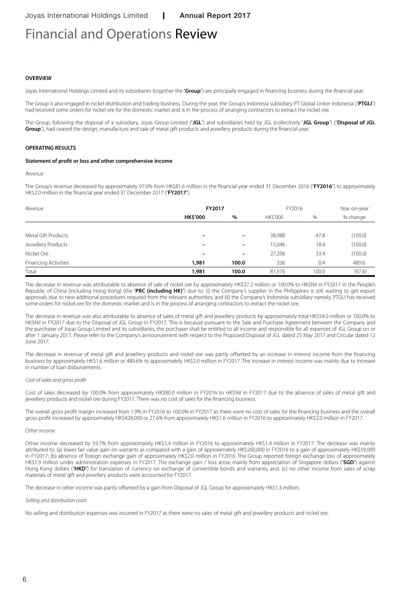# Financial and Operations Review

#### **OVERVIEW**

Joyas International Holdings Limited and its subsidiaries (together the "**Group**") are principally engaged in financing business during the financial year.

The Group is also engaged in nickel distribution and trading business. During the year, the Group's Indonesia subsidiary PT Global Linker Indonesia ("**PTGLI**") had received some orders for nickel ore for the domestic market and is in the process of arranging contractors to extract the nickel ore.

The Group, following the disposal of a subsidiary, Joyas Group Limited ("**JGL**") and subsidiaries held by JGL (collectively "**JGL Group**") ("**Disposal of JGL**  Group<sup>"</sup>), had ceased the design, manufacture and sale of metal gift products and jewellery products during the financial year.

#### **OPERATING RESULTS**

#### **Statement of profit or loss and other comprehensive income**

*Revenue*

The Group's revenue decreased by approximately 97.6% from HK\$81.6 million in the financial year ended 31 December 2016 ("**FY2016**") to approximately HK\$2.0 million in the financial year ended 31 December 2017 ("**FY2017**").

| Revenue              | FY2017          |                          |          | FY2016 |          |  |
|----------------------|-----------------|--------------------------|----------|--------|----------|--|
|                      | <b>HK\$'000</b> | %                        | HK\$'000 | %      | % change |  |
|                      |                 |                          |          |        |          |  |
| Metal Gift Products  | -               | $\overline{\phantom{0}}$ | 38,988   | 47.8   | (100.0)  |  |
| Jewellery Products   | $\qquad \qquad$ | $\qquad \qquad -$        | 15,046   | 18.4   | (100.0)  |  |
| Nickel Ore           |                 | $\overline{\phantom{0}}$ | 27,206   | 33.4   | (100.0)  |  |
| Financing Activities | 1,981           | 100.0                    | 336      | 0.4    | 489.6    |  |
| Total                | 1,981           | 100.0                    | 81,576   | 100.0  | (97.6)   |  |

The decrease in revenue was attributable to absence of sale of nickel ore by approximately HK\$27.2 million or 100.0% to HK\$Nil in FY2017 in the People's Republic of China (including Hong Kong) (the "**PRC (including HK)**") due to: (i) the Company's supplier in the Philippines is still waiting to get export approvals due to new additional procedures required from the relevant authorities; and (ii) the Company's Indonesia subsidiary namely, PTGLI has received some orders for nickel ore for the domestic market and is in the process of arranging contractors to extract the nickel ore.

The decrease in revenue was also attributable to absence of sales of metal gift and jewellery products by approximately total HK\$54.0 million or 100.0% to HK\$Nil in FY2017 due to the Disposal of JGL Group in FY2017. This is because pursuant to the Sale and Purchase Agreement between the Company and the purchaser of Joyas Group Limited and its subsidiaries, the purchaser shall be entitled to all income and responsible for all expenses of JGL Group on or after 1 January 2017. Please refer to the Company's announcement with respect to the Proposed Disposal of JGL dated 25 May 2017 and Circular dated 12 June 2017.

The decrease in revenue of metal gift and jewellery products and nickel ore was partly offsetted by an increase in interest income from the financing business by approximately HK\$1.6 million or 489.6% to approximately HK\$2.0 million in FY2017. The increase in interest income was mainly due to increase in number of loan disbursements.

#### *Cost of sales and gross profit*

Cost of sales decreased by 100.0% from approximately HK\$80.0 million in FY2016 to HK\$Nil in FY2017 due to the absence of sales of metal gift and jewellery products and nickel ore during FY2017. There was no cost of sales for the financing business.

The overall gross profit margin increased from 1.9% in FY2016 to 100.0% in FY2017 as there were no cost of sales for the financing business and the overall gross profit increased by approximately HK\$428,000 or 27.6% from approximately HK\$1.6 million in FY2016 to approximately HK\$2.0 million in FY2017.

#### *Other income*

Other income decreased by 59.7% from approximately HK\$3.4 million in FY2016 to approximately HK\$1.4 million in FY2017. The decrease was mainly attributed to: (a) lower fair value gain on warrants as compared with a gain of approximately HK\$260,000 in FY2016 to a gain of approximately HK\$59,000 in FY2017; (b) absence of foreign exchange gain of approximately HK\$2.0 million in FY2016. The Group reported foreign exchange loss of approximately HK\$1.9 million under administration expenses in FY2017. The exchange gain / loss arose mainly from appreciation of Singapore dollars ("**SGD**") against Hong Kong dollars ("HKD") for translation of currency on exchange of convertible bonds and warrants; and. (c) no other income from sales of scrap materials of metal gift and jewellery products were accounted for FY2017.

The decrease in other income was partly offsetted by a gain from Disposal of JGL Group for approximately HK\$1.3 million.

#### *Selling and distribution costs*

No selling and distribution expenses was incurred in FY2017 as there were no sales of metal gift and jewellery products and nickel ore.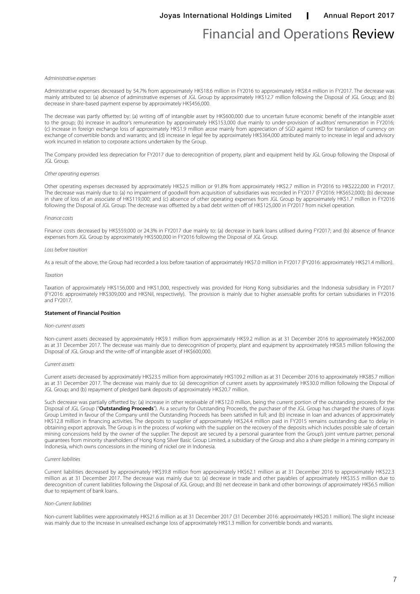### Financial and Operations Review

#### *Administrative expenses*

Administrative expenses decreased by 54.7% from approximately HK\$18.6 million in FY2016 to approximately HK\$8.4 million in FY2017. The decrease was mainly attributed to: (a) absence of adminstrative expenses of JGL Group by approximately HK\$12.7 million following the Disposal of JGL Group; and (b) decrease in share-based payment expense by approximately HK\$456,000.

The decrease was partly offsetted by: (a) writing off of intangible asset by HK\$600,000 due to uncertain future economic benefit of the intangible asset to the group; (b) increase in auditor's remuneration by approximately HK\$153,000 due mainly to under-provision of auditors' remuneration in FY2016; (c) increase in foreign exchange loss of approximately HK\$1.9 million arose mainly from appreciation of SGD against HKD for translation of currency on exchange of convertible bonds and warrants; and (d) increase in legal fee by approximately HK\$364,000 attributed mainly to increase in legal and advisory work incurred in relation to corporate actions undertaken by the Group.

The Company provided less depreciation for FY2017 due to derecognition of property, plant and equipment held by JGL Group following the Disposal of JGL Group.

#### *Other operating expenses*

Other operating expenses decreased by approximately HK\$2.5 million or 91.8% from approximately HK\$2.7 million in FY2016 to HK\$222,000 in FY2017. The decrease was mainly due to: (a) no impairment of goodwill from acquisition of subsidiaries was recorded in FY2017 (FY2016: HK\$652,000); (b) decrease in share of loss of an associate of HK\$119,000; and (c) absence of other operating expenses from JGL Group by approximately HK\$1.7 million in FY2016 following the Disposal of JGL Group. The decrease was offsetted by a bad debt written off of HK\$125,000 in FY2017 from nickel operation.

#### *Finance costs*

Finance costs decreased by HK\$559,000 or 24.3% in FY2017 due mainly to: (a) decrease in bank loans utilised during FY2017; and (b) absence of finance expenses from JGL Group by approximately HK\$500,000 in FY2016 following the Disposal of JGL Group.

#### *Loss before taxation*

As a result of the above, the Group had recorded a loss before taxation of approximately HK\$7.0 million in FY2017 (FY2016: approximately HK\$21.4 million).

#### *Taxation*

Taxation of approximately HK\$156,000 and HK\$1,000, respectively was provided for Hong Kong subsidiaries and the Indonesia subsidiary in FY2017 (FY2016: approximately HK\$309,000 and HK\$Nil, respectively). The provision is mainly due to higher assessable profits for certain subsidiaries in FY2016 and FY2017.

#### **Statement of Financial Position**

#### *Non-current assets*

Non-current assets decreased by approximately HK\$9.1 million from approximately HK\$9.2 million as at 31 December 2016 to approximately HK\$62,000 as at 31 December 2017. The decrease was mainly due to derecognition of property, plant and equipment by approximately HK\$8.5 million following the Disposal of JGL Group and the write-off of intangible asset of HK\$600,000.

#### *Current assets*

Current assets decreased by approximately HK\$23.5 million from approximately HK\$109.2 million as at 31 December 2016 to approximately HK\$85.7 million as at 31 December 2017. The decrease was mainly due to: (a) derecognition of current assets by approximately HK\$30.0 million following the Disposal of JGL Group; and (b) repayment of pledged bank deposits of approximately HK\$20.7 million.

Such decrease was partially offsetted by: (a) increase in other receivable of HK\$12.0 million, being the current portion of the outstanding proceeds for the Disposal of JGL Group ("**Outstanding Proceeds**"). As a security for Outstanding Proceeds, the purchaser of the JGL Group has charged the shares of Joyas Group Limited in favour of the Company until the Outstanding Proceeds has been satisfied in full; and (b) increase in loan and advances of approximately HK\$12.8 million in financing activities. The deposits to supplier of approximately HK\$24.4 million paid in FY2015 remains outstanding due to delay in obtaining export approvals. The Group is in the process of working with the supplier on the recovery of the deposits which includes possible sale of certain mining concessions held by the owner of the supplier. The deposit are secured by a personal guarantee from the Group's joint venture partner, personal guarantees from minority shareholders of Hong Kong Silver Basic Group Limited, a subsidiary of the Group and also a share pledge in a mining company in Indonesia, which owns concessions in the mining of nickel ore in Indonesia.

#### *Current liabilities*

Current liabilities decreased by approximately HK\$39.8 million from approximately HK\$62.1 million as at 31 December 2016 to approximately HK\$22.3 million as at 31 December 2017. The decrease was mainly due to: (a) decrease in trade and other payables of approximately HK\$35.5 million due to derecognition of current liabilities following the Disposal of JGL Group; and (b) net decrease in bank and other borrowings of approximately HK\$6.5 million due to repayment of bank loans.

#### *Non-Current liabilities*

Non-current liabilities were approximately HK\$21.6 million as at 31 December 2017 (31 December 2016: approximately HK\$20.1 million). The slight increase was mainly due to the increase in unrealised exchange loss of approximately HK\$1.3 million for convertible bonds and warrants.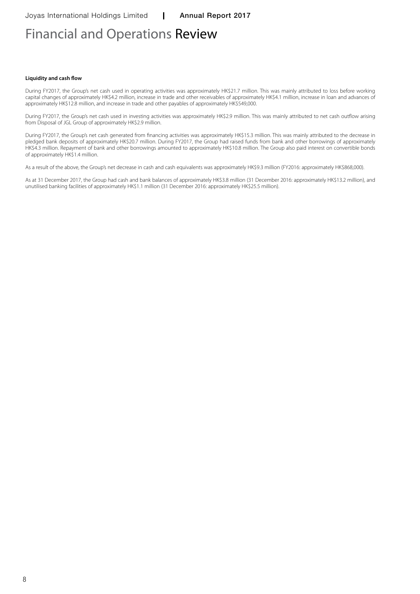## Financial and Operations Review

#### **Liquidity and cash flow**

During FY2017, the Group's net cash used in operating activities was approximately HK\$21.7 million. This was mainly attributed to loss before working capital changes of approximately HK\$4.2 million, increase in trade and other receivables of approximately HK\$4.1 million, increase in loan and advances of approximately HK\$12.8 million, and increase in trade and other payables of approximately HK\$549,000.

During FY2017, the Group's net cash used in investing activities was approximately HK\$2.9 million. This was mainly attributed to net cash outflow arising from Disposal of JGL Group of approximately HK\$2.9 million.

During FY2017, the Group's net cash generated from financing activities was approximately HK\$15.3 million. This was mainly attributed to the decrease in pledged bank deposits of approximately HK\$20.7 million. During FY2017, the Group had raised funds from bank and other borrowings of approximately HK\$4.3 million. Repayment of bank and other borrowings amounted to approximately HK\$10.8 million. The Group also paid interest on convertible bonds of approximately HK\$1.4 million.

As a result of the above, the Group's net decrease in cash and cash equivalents was approximately HK\$9.3 million (FY2016: approximately HK\$868,000).

As at 31 December 2017, the Group had cash and bank balances of approximately HK\$3.8 million (31 December 2016: approximately HK\$13.2 million), and unutilised banking facilities of approximately HK\$1.1 million (31 December 2016: approximately HK\$25.5 million).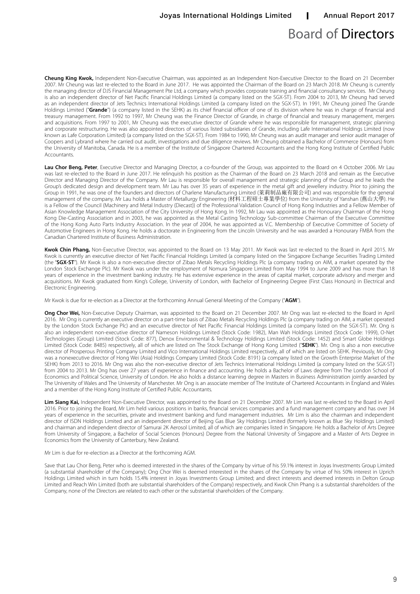### Board of Directors

**Cheung King Kwok,** Independent Non-Executive Chairman, was appointed as an Independent Non-Executive Director to the Board on 21 December 2007. Mr Cheung was last re-elected to the Board in June 2017. He was appointed the Chairman of the Board on 23 March 2018. Mr Cheung is currently the managing director of DJS Financial Management Pte Ltd, a company which provides corporate training and financial consultancy services. Mr Cheung is also an independent director of Net Pacific Financial Holdings Limited (a company listed on the SGX-ST). From 2004 to 2013, Mr Cheung had served as an independent director of Jets Technics International Holdings Limited (a company listed on the SGX-ST). In 1991, Mr Cheung joined The Grande Holdings Limited ("**Grande**") (a company listed in the SEHK) as its chief financial officer of one of its division where he was in charge of financial and treasury management. From 1992 to 1997, Mr Cheung was the Finance Director of Grande, in charge of financial and treasury management, mergers and acquisitions. From 1997 to 2001, Mr Cheung was the executive director of Grande where he was responsible for management, strategic planning and corporate restructuring. He was also appointed directors of various listed subsidiaries of Grande, including Lafe International Holdings Limited (now known as Lafe Corporation Limited) (a company listed on the SGX-ST). From 1984 to 1990, Mr Cheung was an audit manager and senior audit manager of Coopers and Lybrand where he carried out audit, investigations and due diligence reviews. Mr Cheung obtained a Bachelor of Commerce (Honours) from the University of Manitoba, Canada. He is a member of the Institute of Singapore Chartered Accountants and the Hong Kong Institute of Certified Public Accountants.

**Lau Chor Beng, Peter**, Executive Director and Managing Director, a co-founder of the Group, was appointed to the Board on 4 October 2006. Mr Lau was last re-elected to the Board in June 2017. He relinquish his position as the Chairman of the Board on 23 March 2018 and remain as the Executive Director and Managing Director of the Company. Mr Lau is responsible for overall management and strategic planning of the Group and he leads the Group's dedicated design and development team. Mr Lau has over 35 years of experience in the metal gift and jewellery industry. Prior to joining the Group in 1991, he was one of the founders and directors of Charlene Manufacturing Limited (萊莉制品廠有限公司) and was responsible for the general management of the company. Mr Lau holds a Master of Metallurgy Engineering (材料工程碩士專業學位) from the University of Yanshan (燕山大學). He is a Fellow of the Council (Machinery and Metal Industry (Diecast)) of the Professional Validation Council of Hong Kong Industries and a Fellow Member of Asian Knowledge Management Association of the City University of Hong Kong. In 1992, Mr Lau was appointed as the Honourary Chairman of the Hong Kong Die-Casting Association and in 2003, he was appointed as the Metal Casting Technology Sub-committee Chairman of the Executive Committee of the Hong Kong Auto Parts Industry Association. In the year of 2004, he was appointed as V.C. Membership of Executive Committee of Society of Automotive Engineers in Hong Kong. He holds a doctorate in Engineering from the Lincoln University and he was awarded a Honourary FMBA from the Canadian Chartered Institute of Business Administration.

**Kwok Chin Phang,** Non-Executive Director, was appointed to the Board on 13 May 2011. Mr Kwok was last re-elected to the Board in April 2015. Mr Kwok is currently an executive director of Net Pacific Financial Holdings Limited (a company listed on the Singapore Exchange Securities Trading Limited (the "**SGX-ST**"). Mr Kwok is also a non-executive director of Zibao Metals Recycling Holdings Plc (a company trading on AIM, a market operated by the London Stock Exchange Plc). Mr Kwok was under the employment of Nomura Singapore Limited from May 1994 to June 2009 and has more than 18 years of experience in the investment banking industry. He has extensive experience in the areas of capital market, corporate advisory and merger and acquisitions. Mr Kwok graduated from King's College, University of London, with Bachelor of Engineering Degree (First Class Honours) in Electrical and Electronic Engineering.

Mr Kwok is due for re-election as a Director at the forthcoming Annual General Meeting of the Company ("**AGM**").

**Ong Chor Wei,** Non-Executive Deputy Chairman, was appointed to the Board on 21 December 2007. Mr Ong was last re-elected to the Board in April 2016. Mr Ong is currently an executive director on a part-time basis of Zibao Metals Recycling Holdings Plc (a company trading on AIM, a market operated by the London Stock Exchange Plc) and an executive director of Net Pacific Financial Holdings Limited (a company listed on the SGX-ST). Mr. Ong is also an independent non-executive director of Nameson Holdings Limited (Stock Code: 1982), Man Wah Holdings Limited (Stock Code: 1999), O-Net Technologies (Group) Limited (Stock Code: 877), Denox Environmental & Technology Holdings Limited (Stock Code: 1452) and Smart Globe Holdings Limited (Stock Code: 8485) respectively, all of which are listed on The Stock Exchange of Hong Kong Limited ("**SEHK**"). Mr. Ong is also a non executive director of Prosperous Printing Company Limited and Vico International Holdings Limited respectively, all of which are listed on SEHK. Previously, Mr Ong was a nonexecutive director of Hong Wei (Asia) Holdings Company Limited (Stock Code: 8191) (a company listed on the Growth Enterprise Market of the SEHK) from 2013 to 2016. Mr Ong was also the non-executive director of Jets Technics International Holdings Limited (a company listed on the SGX-ST) from 2004 to 2013. Mr Ong has over 27 years of experience in finance and accounting. He holds a Bachelor of Laws degree from The London School of Economics and Political Science, University of London. He also holds a distance learning degree in Masters in Business Administration jointly awarded by The University of Wales and The University of Manchester. Mr Ong is an associate member of The Institute of Chartered Accountants in England and Wales and a member of the Hong Kong Institute of Certified Public Accountants.

**Lim Siang Kai,** Independent Non-Executive Director, was appointed to the Board on 21 December 2007. Mr Lim was last re-elected to the Board in April 2016. Prior to joining the Board, Mr Lim held various positions in banks, financial services companies and a fund management company and has over 34 years of experience in the securities, private and investment banking and fund management industries. Mr Lim is also the chairman and independent director of ISDN Holdings Limited and an independent director of Beijing Gas Blue Sky Holdings Limited (formerly known as Blue Sky Holdings Limited) and chairman and independent director of Samurai 2K Aerosol Limited, all of which are companies listed in Singapore. He holds a Bachelor of Arts Degree from University of Singapore, a Bachelor of Social Sciences (Honours) Degree from the National University of Singapore and a Master of Arts Degree in Economics from the University of Canterbury, New Zealand.

Mr Lim is due for re-election as a Director at the forthcoming AGM.

Save that Lau Chor Beng, Peter who is deemed interested in the shares of the Company by virtue of his 59.1% interest in Joyas Investments Group Limited (a substantial shareholder of the Company); Ong Chor Wei is deemed interested in the shares of the Company by virtue of his 50% interest in Uprich Holdings Limited which in turn holds 15.4% interest in Joyas Investments Group Limited; and direct interests and deemed interests in Delton Group Limited and Reach Win Limited (both are substantial shareholders of the Company) respectively, and Kwok Chin Phang is a substantial shareholders of the Company, none of the Directors are related to each other or the substantial shareholders of the Company.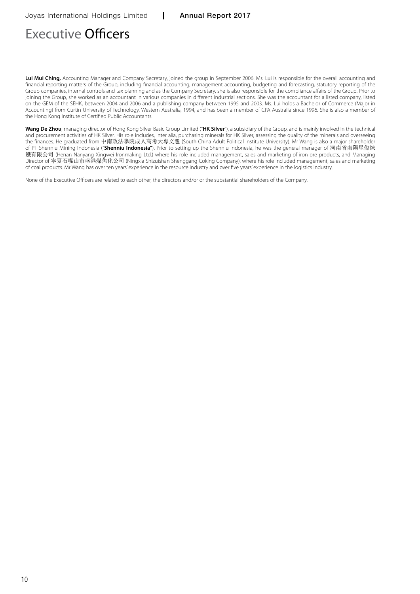# Executive Officers

**Lui Mui Ching,** Accounting Manager and Company Secretary, joined the group in September 2006. Ms. Lui is responsible for the overall accounting and financial reporting matters of the Group, including financial accounting, management accounting, budgeting and forecasting, statutory reporting of the Group companies, internal controls and tax planning and as the Company Secretary, she is also responsible for the compliance affairs of the Group. Prior to joining the Group, she worked as an accountant in various companies in different industrial sections. She was the accountant for a listed company, listed on the GEM of the SEHK, between 2004 and 2006 and a publishing company between 1995 and 2003. Ms. Lui holds a Bachelor of Commerce (Major in Accounting) from Curtin University of Technology, Western Australia, 1994, and has been a member of CPA Australia since 1996. She is also a member of the Hong Kong Institute of Certified Public Accountants.

**Wang De Zhou**, managing director of Hong Kong Silver Basic Group Limited ("**HK Silver**"), a subsidiary of the Group, and is mainly involved in the technical and procurement activities of HK Silver. His role includes, inter alia, purchasing minerals for HK Silver, assessing the quality of the minerals and overseeing the finances. He graduated from 中南政法學院成人高考大專文憑 (South China Adult Political Institute University). Mr Wang is also a major shareholder of PT Shenniu Mining Indonesia ("**Shenniu Indonesia"**). Prior to setting up the Shenniu Indonesia, he was the general manager of 河南省南陽星偉煉 鐵有限公司 (Henan Nanyang Xingwei Ironmaking Ltd.) where his role included management, sales and marketing of iron ore products, and Managing Director of 寧夏石嘴山市盛港煤焦化公司 (Ningxia Shizuishan Shenggang Coking Company), where his role included management, sales and marketing of coal products. Mr Wang has over ten years' experience in the resource industry and over five years' experience in the logistics industry.

None of the Executive Officers are related to each other, the directors and/or or the substantial shareholders of the Company.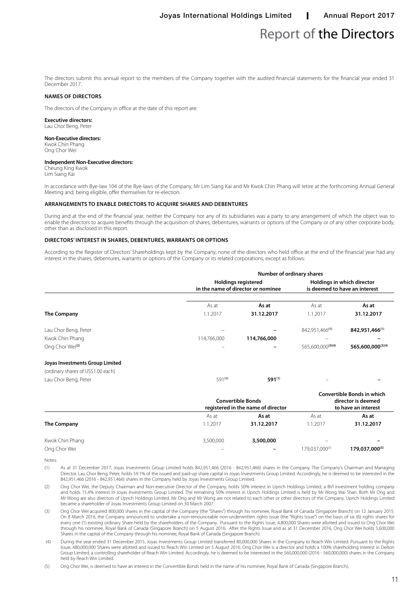### Report of the Directors

The directors submit this annual report to the members of the Company together with the audited financial statements for the financial year ended 31 December 2017.

#### **Names of directors**

The directors of the Company in office at the date of this report are:

#### **Executive directors:**

Lau Chor Beng, Peter

#### **Non-Executive directors:**

Kwok Chin Phang Ong Chor Wei

#### **Independent Non-Executive directors:**

Cheung King Kwok Lim Siang Kai

In accordance with Bye-law 104 of the Bye-laws of the Company, Mr Lim Siang Kai and Mr Kwok Chin Phang will retire at the forthcoming Annual General Meeting and, being eligible, offer themselves for re-election.

#### **Arrangements to enable directors to acquire shares and debentures**

During and at the end of the financial year, neither the Company nor any of its subsidiaries was a party to any arrangement of which the object was to enable the directors to acquire benefits through the acquisition of shares, debentures, warrants or options of the Company or of any other corporate body, other than as disclosed in this report.

#### **Directors' interest in shares, debentures, warrants or options**

According to the Register of Directors' Shareholdings kept by the Company, none of the directors who held office at the end of the financial year had any interest in the shares, debentures, warrants or options of the Company or its related corporations, except as follows:

|                                                                                               |             | Number of ordinary shares                                        |                                                             |                   |
|-----------------------------------------------------------------------------------------------|-------------|------------------------------------------------------------------|-------------------------------------------------------------|-------------------|
|                                                                                               |             | <b>Holdings registered</b><br>in the name of director or nominee | Holdings in which director<br>is deemed to have an interest |                   |
|                                                                                               | As at       | As at                                                            | As at                                                       | As at             |
| The Company                                                                                   | 1.1.2017    | 31.12.2017                                                       | 1.1.2017                                                    | 31.12.2017        |
| Lau Chor Beng, Peter                                                                          |             |                                                                  | 842,951,466 <sup>(1)</sup>                                  | 842,951,466(1)    |
| Kwok Chin Phang                                                                               | 114,766,000 | 114,766,000                                                      | $\overline{\phantom{0}}$                                    |                   |
| Ong Chor Wei <sup>(2)</sup>                                                                   |             |                                                                  | 565,600,000(3)(4)                                           | 565,600,000(3)(4) |
| Joyas Investments Group Limited<br>(ordinary shares of US\$1.00 each)<br>Lau Chor Beng, Peter | $591^{(1)}$ | 591(1)                                                           |                                                             |                   |
|                                                                                               |             |                                                                  |                                                             |                   |

|                 |                          | <b>Convertible Bonds</b><br>registered in the name of director |                          | <b>Convertible Bonds in which</b><br>director is deemed<br>to have an interest |  |
|-----------------|--------------------------|----------------------------------------------------------------|--------------------------|--------------------------------------------------------------------------------|--|
|                 | As at                    | As at                                                          | As at                    | As at                                                                          |  |
| The Company     | 1.1.2017                 | 31.12.2017                                                     | 1.1.2017                 | 31.12.2017                                                                     |  |
| Kwok Chin Phang | 3,500,000                | 3,500,000                                                      | $\overline{\phantom{0}}$ |                                                                                |  |
| Ong Chor Wei    | $\overline{\phantom{0}}$ |                                                                | 179,037,000(5)           | 179,037,000(5)                                                                 |  |

Notes:

(1) As at 31 December 2017, Joyas Investments Group Limited holds 842,951,466 (2016 - 842,951,466) shares in the Company. The Company's Chairman and Managing Director, Lau Chor Beng, Peter, holds 59.1% of the issued and paid-up share capital in Joyas Investments Group Limited. Accordingly, he is deemed to be interested in the 842,951,466 (2016 - 842,951,466) shares in the Company held by Joyas Investments Group Limited.

(2) Ong Chor Wei, the Deputy Chairman and Non-executive Director of the Company, holds 50% interest in Uprich Holdings Limited, a BVI investment holding company and holds 15.4% interest in Joyas Investments Group Limited. The remaining 50% interest in Uprich Holdings Limited is held by Mr Wong Wai Shan. Both Mr Ong and Mr Wong are also directors of Uprich Holdings Limited. Mr Ong and Mr Wong are not related to each other or other directors of the Company. Uprich Holdings Limited became a shareholder of Joyas Investments Group Limited on 30 March 2007.

(3) Ong Chor Wei acquired 800,000 shares in the capital of the Company (the "Shares") through his nominee, Royal Bank of Canada (Singapore Branch) on 12 January 2015. On 8 March 2016, the Company announced to undertake a non-renounceable non-underwritten rights issue (the "Rights Issue") on the basis of six (6) rights shares for every one (1) existing ordinary Share held by the shareholders of the Company. Pursuant to the Rights Issue, 4,800,000 Shares were allotted and issued to Ong Chor Wei through his nominee, Royal Bank of Canada (Singapore Branch) on 5 August 2016. After the Rights Issue and as at 31 December 2016, Ong Chor Wei holds 5,600,000 Shares in the capital of the Company through his nominee, Royal Bank of Canada (Singapore Branch).

 (4) During the year ended 31 December 2015, Joyas Investments Group Limited transferred 80,000,000 Shares in the Company to Reach Win Limited. Pursuant to the Rights Issue, 480,000,000 Shares were allotted and issued to Reach Win Limited on 5 August 2016. Ong Chor Wei is a director and holds a 100% shareholding interest in Delton Group Limited, a controlling shareholder of Reach Win Limited. Accordingly, he is deemed to be interested in the 560,000,000 (2016 - 560,000,000) shares in the Company held by Reach Win Limited.

(5) Ong Chor Wei, is deemed to have an interest in the Convertible Bonds held in the name of his nominee, Royal Bank of Canada (Singapore Branch).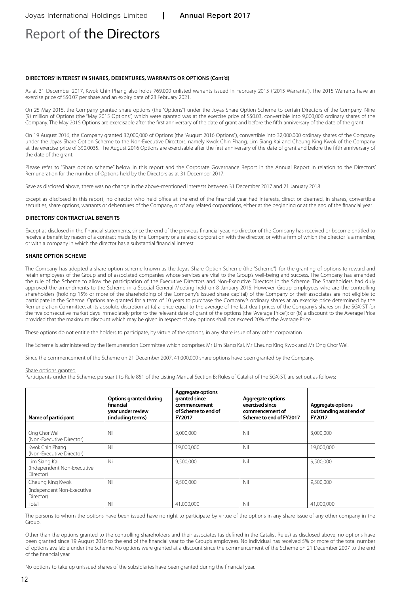### Report of the Directors

#### **Directors' interest in shares, debentures, warrants or options (Cont'd)**

As at 31 December 2017, Kwok Chin Phang also holds 769,000 unlisted warrants issued in February 2015 ("2015 Warrants"). The 2015 Warrants have an exercise price of S\$0.07 per share and an expiry date of 23 February 2021.

On 25 May 2015, the Company granted share options (the "Options") under the Joyas Share Option Scheme to certain Directors of the Company. Nine (9) million of Options (the "May 2015 Options") which were granted was at the exercise price of S\$0.03, convertible into 9,000,000 ordinary shares of the Company. The May 2015 Options are exercisable after the first anniversary of the date of grant and before the fifth anniversary of the date of the grant.

On 19 August 2016, the Company granted 32,000,000 of Options (the "August 2016 Options"), convertible into 32,000,000 ordinary shares of the Company under the Joyas Share Option Scheme to the Non-Executive Directors, namely Kwok Chin Phang, Lim Siang Kai and Cheung King Kwok of the Company at the exercise price of S\$0.0035. The August 2016 Options are exercisable after the first anniversary of the date of grant and before the fifth anniversary of the date of the grant.

Please refer to "Share option scheme" below in this report and the Corporate Governance Report in the Annual Report in relation to the Directors' Remuneration for the number of Options held by the Directors as at 31 December 2017.

Save as disclosed above, there was no change in the above-mentioned interests between 31 December 2017 and 21 January 2018.

Except as disclosed in this report, no director who held office at the end of the financial year had interests, direct or deemed, in shares, convertible securities, share options, warrants or debentures of the Company, or of any related corporations, either at the beginning or at the end of the financial year.

#### **Directors' contractual benefits**

Except as disclosed in the financial statements, since the end of the previous financial year, no director of the Company has received or become entitled to receive a benefit by reason of a contract made by the Company or a related corporation with the director, or with a firm of which the director is a member, or with a company in which the director has a substantial financial interest.

#### **Share option scheme**

The Company has adopted a share option scheme known as the Joyas Share Option Scheme (the "Scheme"), for the granting of options to reward and retain employees of the Group and of associated companies whose services are vital to the Group's well-being and success. The Company has amended the rule of the Scheme to allow the participation of the Executive Directors and Non-Executive Directors in the Scheme. The Shareholders had duly approved the amendments to the Scheme in a Special General Meeting held on 8 January 2015. However, Group employees who are the controlling shareholders (holding 15% or more of the shareholding of the Company's issued share capital) of the Company or their associates are not eligible to participate in the Scheme. Options are granted for a term of 10 years to purchase the Company's ordinary shares at an exercise price determined by the Remuneration Committee, at its absolute discretion at (a) a price equal to the average of the last dealt prices of the Company's shares on the SGX-ST for the five consecutive market days immediately prior to the relevant date of grant of the options (the "Average Price"); or (b) a discount to the Average Price provided that the maximum discount which may be given in respect of any options shall not exceed 20% of the Average Price.

These options do not entitle the holders to participate, by virtue of the options, in any share issue of any other corporation.

The Scheme is administered by the Remuneration Committee which comprises Mr Lim Siang Kai, Mr Cheung King Kwok and Mr Ong Chor Wei.

Since the commencement of the Scheme on 21 December 2007, 41,000,000 share options have been granted by the Company.

#### Share options granted

Participants under the Scheme, pursuant to Rule 851 of the Listing Manual Section B: Rules of Catalist of the SGX-ST, are set out as follows:

| Name of participant                                      | Options granted during<br>financial<br>year under review<br>(including terms) | Aggregate options<br>granted since<br>commencement<br>of Scheme to end of<br>FY2017 | <b>Aggregate options</b><br>exercised since<br>commencement of<br>Scheme to end of FY2017 | Aggregate options<br>outstanding as at end of<br>FY2017 |
|----------------------------------------------------------|-------------------------------------------------------------------------------|-------------------------------------------------------------------------------------|-------------------------------------------------------------------------------------------|---------------------------------------------------------|
|                                                          |                                                                               |                                                                                     |                                                                                           |                                                         |
| Ong Chor Wei<br>(Non-Executive Director)                 | Nil                                                                           | 3,000,000                                                                           | Nil                                                                                       | 3,000,000                                               |
| Kwok Chin Phang<br>(Non-Executive Director)              | Nil                                                                           | 19.000.000                                                                          | Nil                                                                                       | 19,000,000                                              |
| Lim Siang Kai<br>(Independent Non-Executive<br>Director) | Ni                                                                            | 9,500,000                                                                           | Nil                                                                                       | 9,500,000                                               |
| Cheung King Kwok                                         | Nil                                                                           | 9,500,000                                                                           | Nil                                                                                       | 9,500,000                                               |
| (Independent Non-Executive<br>Director)                  |                                                                               |                                                                                     |                                                                                           |                                                         |
| Total                                                    | Nil                                                                           | 41,000,000                                                                          | Nil                                                                                       | 41,000,000                                              |

The persons to whom the options have been issued have no right to participate by virtue of the options in any share issue of any other company in the Group.

Other than the options granted to the controlling shareholders and their associates (as defined in the Catalist Rules) as disclosed above, no options have been granted since 19 August 2016 to the end of the financial year to the Group's employees. No individual has received 5% or more of the total number of options available under the Scheme. No options were granted at a discount since the commencement of the Scheme on 21 December 2007 to the end of the financial year.

No options to take up unissued shares of the subsidiaries have been granted during the financial year.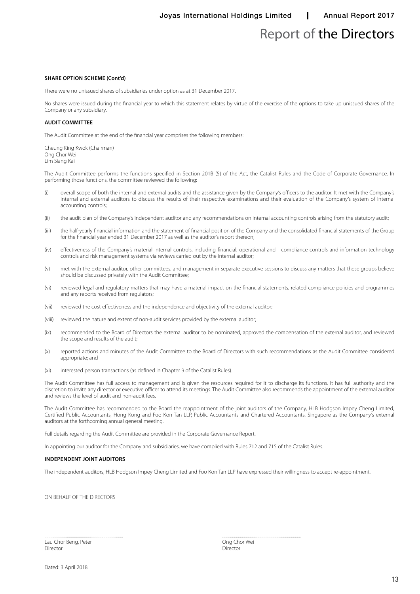### Report of the Directors

#### **Share option scheme (Cont'd)**

There were no unissued shares of subsidiaries under option as at 31 December 2017.

No shares were issued during the financial year to which this statement relates by virtue of the exercise of the options to take up unissued shares of the Company or any subsidiary.

#### **Audit committee**

The Audit Committee at the end of the financial year comprises the following members:

Cheung King Kwok (Chairman) Ong Chor Wei Lim Siang Kai

The Audit Committee performs the functions specified in Section 201B (5) of the Act, the Catalist Rules and the Code of Corporate Governance. In performing those functions, the committee reviewed the following:

- (i) overall scope of both the internal and external audits and the assistance given by the Company's officers to the auditor. It met with the Company's internal and external auditors to discuss the results of their respective examinations and their evaluation of the Company's system of internal accounting controls;
- (ii) the audit plan of the Company's independent auditor and any recommendations on internal accounting controls arising from the statutory audit;
- (iii) the half-yearly financial information and the statement of financial position of the Company and the consolidated financial statements of the Group for the financial year ended 31 December 2017 as well as the auditor's report thereon;
- (iv) effectiveness of the Company's material internal controls, including financial, operational and compliance controls and information technology controls and risk management systems via reviews carried out by the internal auditor;
- (v) met with the external auditor, other committees, and management in separate executive sessions to discuss any matters that these groups believe should be discussed privately with the Audit Committee;
- (vi) reviewed legal and regulatory matters that may have a material impact on the financial statements, related compliance policies and programmes and any reports received from regulators;
- (vii) reviewed the cost effectiveness and the independence and objectivity of the external auditor;
- (viii) reviewed the nature and extent of non-audit services provided by the external auditor;
- (ix) recommended to the Board of Directors the external auditor to be nominated, approved the compensation of the external auditor, and reviewed the scope and results of the audit;
- (x) reported actions and minutes of the Audit Committee to the Board of Directors with such recommendations as the Audit Committee considered appropriate; and
- (xi) interested person transactions (as defined in Chapter 9 of the Catalist Rules).

The Audit Committee has full access to management and is given the resources required for it to discharge its functions. It has full authority and the discretion to invite any director or executive officer to attend its meetings. The Audit Committee also recommends the appointment of the external auditor and reviews the level of audit and non-audit fees.

The Audit Committee has recommended to the Board the reappointment of the joint auditors of the Company, HLB Hodgson Impey Cheng Limited, Certified Public Accountants, Hong Kong and Foo Kon Tan LLP, Public Accountants and Chartered Accountants, Singapore as the Company's external auditors at the forthcoming annual general meeting.

Full details regarding the Audit Committee are provided in the Corporate Governance Report.

In appointing our auditor for the Company and subsidiaries, we have complied with Rules 712 and 715 of the Catalist Rules.

#### **Independent joint auditors**

The independent auditors, HLB Hodgson Impey Cheng Limited and Foo Kon Tan LLP have expressed their willingness to accept re-appointment.

ON BEHALF OF THE DIRECTORS

Lau Chor Beng, Peter **Charles Chor Weilter Chor Weilter Chor Weilter** Ong Chor Wei Director Director

................................................................................ ................................................................................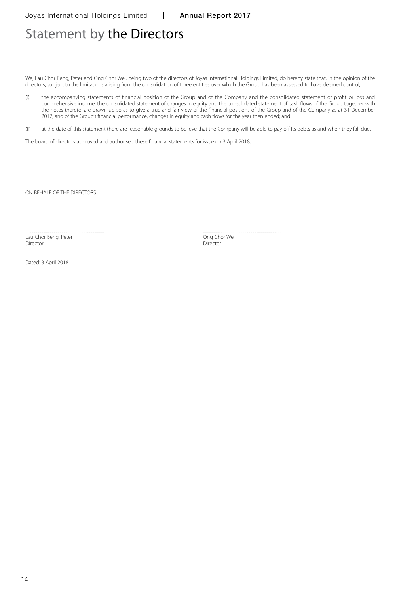### Statement by the Directors

We, Lau Chor Beng, Peter and Ong Chor Wei, being two of the directors of Joyas International Holdings Limited, do hereby state that, in the opinion of the directors, subject to the limitations arising from the consolidation of three entities over which the Group has been assessed to have deemed control,

(i) the accompanying statements of financial position of the Group and of the Company and the consolidated statement of profit or loss and comprehensive income, the consolidated statement of changes in equity and the consolidated statement of cash flows of the Group together with the notes thereto, are drawn up so as to give a true and fair view of the financial positions of the Group and of the Company as at 31 December 2017, and of the Group's financial performance, changes in equity and cash flows for the year then ended; and

(ii) at the date of this statement there are reasonable grounds to believe that the Company will be able to pay off its debts as and when they fall due.

The board of directors approved and authorised these financial statements for issue on 3 April 2018.

ON BEHALF OF THE DIRECTORS

................................................................................ ................................................................................ Lau Chor Beng, Peter **Charles Chor Beng, Peter Chor Chor Chor Wei** Chor Wei Director Director Director Director

Dated: 3 April 2018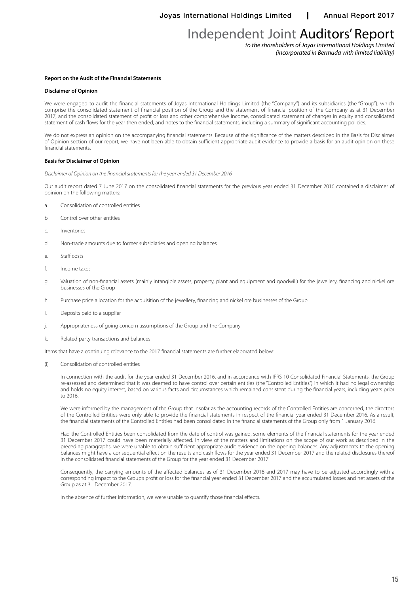*to the shareholders of Joyas International Holdings Limited (incorporated in Bermuda with limited liability)*

#### **Report on the Audit of the Financial Statements**

#### **Disclaimer of Opinion**

We were engaged to audit the financial statements of Joyas International Holdings Limited (the "Company") and its subsidiaries (the "Group"), which comprise the consolidated statement of financial position of the Group and the statement of financial position of the Company as at 31 December 2017, and the consolidated statement of profit or loss and other comprehensive income, consolidated statement of changes in equity and consolidated statement of cash flows for the year then ended, and notes to the financial statements, including a summary of significant accounting policies.

We do not express an opinion on the accompanying financial statements. Because of the significance of the matters described in the Basis for Disclaimer of Opinion section of our report, we have not been able to obtain sufficient appropriate audit evidence to provide a basis for an audit opinion on these financial statements.

#### **Basis for Disclaimer of Opinion**

*Disclaimer of Opinion on the financial statements for the year ended 31 December 2016*

Our audit report dated 7 June 2017 on the consolidated financial statements for the previous year ended 31 December 2016 contained a disclaimer of opinion on the following matters:

- a. Consolidation of controlled entities
- b. Control over other entities
- c. Inventories
- d. Non-trade amounts due to former subsidiaries and opening balances
- e. Staff costs
- f. Income taxes
- g. Valuation of non-financial assets (mainly intangible assets, property, plant and equipment and goodwill) for the jewellery, financing and nickel ore businesses of the Group
- h. Purchase price allocation for the acquisition of the jewellery, financing and nickel ore businesses of the Group
- i. Deposits paid to a supplier
- j. Appropriateness of going concern assumptions of the Group and the Company
- k. Related party transactions and balances

Items that have a continuing relevance to the 2017 financial statements are further elaborated below:

(i) Consolidation of controlled entities

In connection with the audit for the year ended 31 December 2016, and in accordance with IFRS 10 Consolidated Financial Statements, the Group re-assessed and determined that it was deemed to have control over certain entities (the "Controlled Entities") in which it had no legal ownership and holds no equity interest, based on various facts and circumstances which remained consistent during the financial years, including years prior to 2016.

We were informed by the management of the Group that insofar as the accounting records of the Controlled Entities are concerned, the directors of the Controlled Entities were only able to provide the financial statements in respect of the financial year ended 31 December 2016. As a result, the financial statements of the Controlled Entities had been consolidated in the financial statements of the Group only from 1 January 2016.

Had the Controlled Entities been consolidated from the date of control was gained, some elements of the financial statements for the year ended 31 December 2017 could have been materially affected. In view of the matters and limitations on the scope of our work as described in the preceding paragraphs, we were unable to obtain sufficient appropriate audit evidence on the opening balances. Any adjustments to the opening balances might have a consequential effect on the results and cash flows for the year ended 31 December 2017 and the related disclosures thereof in the consolidated financial statements of the Group for the year ended 31 December 2017.

Consequently, the carrying amounts of the affected balances as of 31 December 2016 and 2017 may have to be adjusted accordingly with a corresponding impact to the Group's profit or loss for the financial year ended 31 December 2017 and the accumulated losses and net assets of the Group as at 31 December 2017.

In the absence of further information, we were unable to quantify those financial effects.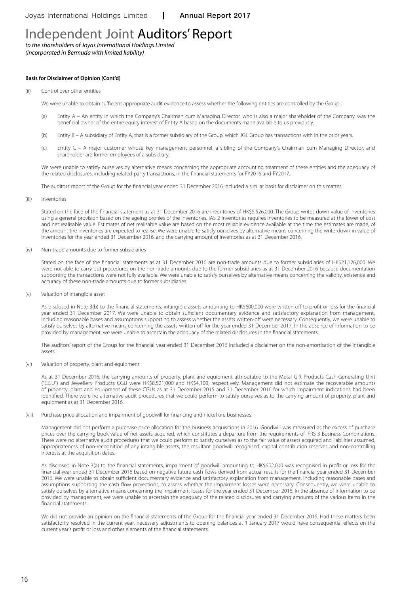*to the shareholders of Joyas International Holdings Limited (incorporated in Bermuda with limited liability)*

#### **Basis for Disclaimer of Opinion (Cont'd)**

#### (ii) Control over other entities

We were unable to obtain sufficient appropriate audit evidence to assess whether the following entities are controlled by the Group:

- (a) Entity A An entity in which the Company's Chairman cum Managing Director, who is also a major shareholder of the Company, was the beneficial owner of the entire equity interest of Entity A based on the documents made available to us previously.
- (b) Entity B A subsidiary of Entity A, that is a former subsidiary of the Group, which JGL Group has transactions with in the prior years.
- (c) Entity C A major customer whose key management personnel, a sibling of the Company's Chairman cum Managing Director, and shareholder are former employees of a subsidiary.

We were unable to satisfy ourselves by alternative means concerning the appropriate accounting treatment of these entities and the adequacy of the related disclosures, including related party transactions, in the financial statements for FY2016 and FY2017.

The auditors' report of the Group for the financial year ended 31 December 2016 included a similar basis for disclaimer on this matter.

(iii) Inventories

Stated on the face of the financial statement as at 31 December 2016 are inventories of HK\$5,526,000. The Group writes down value of inventories using a general provision based on the ageing profiles of the inventories. IAS 2 Inventories requires inventories to be measured at the lower of cost and net realisable value. Estimates of net realisable value are based on the most reliable evidence available at the time the estimates are made, of the amount the inventories are expected to realise. We were unable to satisfy ourselves by alternative means concerning the write-down in value of inventories for the year ended 31 December 2016, and the carrying amount of inventories as at 31 December 2016.

#### (iv) Non-trade amounts due to former subsidiaries

Stated on the face of the financial statements as at 31 December 2016 are non-trade amounts due to former subsidiaries of HK\$21,126,000. We were not able to carry out procedures on the non-trade amounts due to the former subsidiaries as at 31 December 2016 because documentation supporting the transactions were not fully available. We were unable to satisfy ourselves by alternative means concerning the validity, existence and accuracy of these non-trade amounts due to former subsidiaries.

(v) Valuation of intangible asset

As disclosed in Note 3(b) to the financial statements, intangible assets amounting to HK\$600,000 were written off to profit or loss for the financial year ended 31 December 2017. We were unable to obtain sufficient documentary evidence and satisfactory explanation from management, including reasonable bases and assumptions supporting to assess whether the assets written-off were necessary. Consequently, we were unable to satisfy ourselves by alternative means concerning the assets written-off for the year ended 31 December 2017. In the absence of information to be provided by management, we were unable to ascertain the adequacy of the related disclosures in the financial statements.

The auditors' report of the Group for the financial year ended 31 December 2016 included a disclaimer on the non-amortisation of the intangible assets.

#### (vi) Valuation of property, plant and equipment

As at 31 December 2016, the carrying amounts of property, plant and equipment attributable to the Metal Gift Products Cash-Generating Unit ("CGU") and Jewellery Products CGU were HK\$8,521,000 and HK\$4,100, respectively. Management did not estimate the recoverable amounts of property, plant and equipment of these CGUs as at 31 December 2015 and 31 December 2016 for which impairment indications had been identified. There were no alternative audit procedures that we could perform to satisfy ourselves as to the carrying amount of property, plant and equipment as at 31 December 2016.

#### (vii) Purchase price allocation and impairment of goodwill for financing and nickel ore businesses

Management did not perform a purchase price allocation for the business acquisitions in 2016. Goodwill was measured as the excess of purchase prices over the carrying book value of net assets acquired, which constitutes a departure from the requirements of IFRS 3 Business Combinations. There were no alternative audit procedures that we could perform to satisfy ourselves as to the fair value of assets acquired and liabilities assumed, appropriateness of non-recognition of any intangible assets, the resultant goodwill recognised, capital contribution reserves and non-controlling interests at the acquisition dates.

As disclosed in Note 3(a) to the financial statements, impairment of goodwill amounting to HK\$652,000 was recognised in profit or loss for the financial year ended 31 December 2016 based on negative future cash flows derived from actual results for the financial year ended 31 December 2016. We were unable to obtain sufficient documentary evidence and satisfactory explanation from management, including reasonable bases and assumptions supporting the cash flow projections, to assess whether the impairment losses were necessary. Consequently, we were unable to satisfy ourselves by alternative means concerning the impairment losses for the year ended 31 December 2016. In the absence of information to be provided by management, we were unable to ascertain the adequacy of the related disclosures and carrying amounts of the various items in the financial statements.

We did not provide an opinion on the financial statements of the Group for the financial year ended 31 December 2016. Had these matters been satisfactorily resolved in the current year, necessary adjustments to opening balances at 1 January 2017 would have consequential effects on the current year's profit or loss and other elements of the financial statements.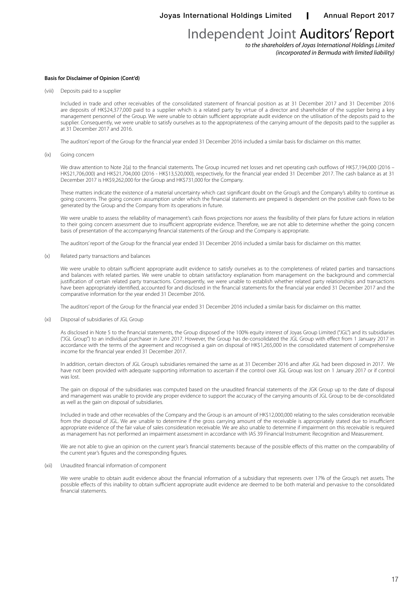*to the shareholders of Joyas International Holdings Limited (incorporated in Bermuda with limited liability)*

#### **Basis for Disclaimer of Opinion (Cont'd)**

(viii) Deposits paid to a supplier

Included in trade and other receivables of the consolidated statement of financial position as at 31 December 2017 and 31 December 2016 are deposits of HK\$24,377,000 paid to a supplier which is a related party by virtue of a director and shareholder of the supplier being a key management personnel of the Group. We were unable to obtain sufficient appropriate audit evidence on the utilisation of the deposits paid to the supplier. Consequently, we were unable to satisfy ourselves as to the appropriateness of the carrying amount of the deposits paid to the supplier as at 31 December 2017 and 2016.

The auditors' report of the Group for the financial year ended 31 December 2016 included a similar basis for disclaimer on this matter.

(ix) Going concern

We draw attention to Note 2(a) to the financial statements. The Group incurred net losses and net operating cash outflows of HK\$7,194,000 (2016 – HK\$21,706,000) and HK\$21,704,000 (2016 - HK\$13,520,000), respectively, for the financial year ended 31 December 2017. The cash balance as at 31 December 2017 is HK\$9,262,000 for the Group and HK\$731,000 for the Company.

These matters indicate the existence of a material uncertainty which cast significant doubt on the Group's and the Company's ability to continue as going concerns. The going concern assumption under which the financial statements are prepared is dependent on the positive cash flows to be generated by the Group and the Company from its operations in future.

We were unable to assess the reliability of management's cash flows projections nor assess the feasibility of their plans for future actions in relation to their going concern assessment due to insufficient appropriate evidence. Therefore, we are not able to determine whether the going concern basis of presentation of the accompanying financial statements of the Group and the Company is appropriate.

The auditors' report of the Group for the financial year ended 31 December 2016 included a similar basis for disclaimer on this matter.

(x) Related party transactions and balances

We were unable to obtain sufficient appropriate audit evidence to satisfy ourselves as to the completeness of related parties and transactions and balances with related parties. We were unable to obtain satisfactory explanation from management on the background and commercial justification of certain related party transactions. Consequently, we were unable to establish whether related party relationships and transactions have been appropriately identified, accounted for and disclosed in the financial statements for the financial year ended 31 December 2017 and the comparative information for the year ended 31 December 2016.

The auditors' report of the Group for the financial year ended 31 December 2016 included a similar basis for disclaimer on this matter.

#### (xi) Disposal of subsidiaries of JGL Group

As disclosed in Note 5 to the financial statements, the Group disposed of the 100% equity interest of Joyas Group Limited ("JGL") and its subsidiaries ("JGL Group") to an individual purchaser in June 2017. However, the Group has de-consolidated the JGL Group with effect from 1 January 2017 in accordance with the terms of the agreement and recognised a gain on disposal of HK\$1,265,000 in the consolidated statement of comprehensive income for the financial year ended 31 December 2017.

In addition, certain directors of JGL Group's subsidiaries remained the same as at 31 December 2016 and after JGL had been disposed in 2017. We have not been provided with adequate supporting information to ascertain if the control over JGL Group was lost on 1 January 2017 or if control was lost.

The gain on disposal of the subsidiaries was computed based on the unaudited financial statements of the JGK Group up to the date of disposal and management was unable to provide any proper evidence to support the accuracy of the carrying amounts of JGL Group to be de-consolidated as well as the gain on disposal of subsidiaries.

Included in trade and other receivables of the Company and the Group is an amount of HK\$12,000,000 relating to the sales consideration receivable from the disposal of JGL. We are unable to determine if the gross carrying amount of the receivable is appropriately stated due to insufficient appropriate evidence of the fair value of sales consideration receivable. We are also unable to determine if impairment on this receivable is required as management has not performed an impairment assessment in accordance with IAS 39 Financial Instrument: Recognition and Measurement.

We are not able to give an opinion on the current year's financial statements because of the possible effects of this matter on the comparability of the current year's figures and the corresponding figures.

#### (xii) Unaudited financial information of component

We were unable to obtain audit evidence about the financial information of a subsidiary that represents over 17% of the Group's net assets. The possible effects of this inability to obtain sufficient appropriate audit evidence are deemed to be both material and pervasive to the consolidated financial statements.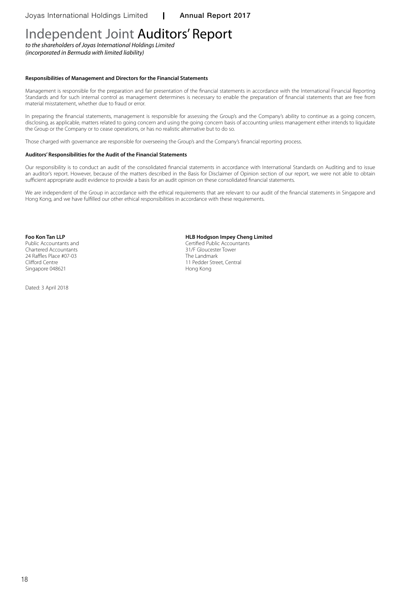*to the shareholders of Joyas International Holdings Limited (incorporated in Bermuda with limited liability)*

#### **Responsibilities of Management and Directors for the Financial Statements**

Management is responsible for the preparation and fair presentation of the financial statements in accordance with the International Financial Reporting Standards and for such internal control as management determines is necessary to enable the preparation of financial statements that are free from material misstatement, whether due to fraud or error.

In preparing the financial statements, management is responsible for assessing the Group's and the Company's ability to continue as a going concern, disclosing, as applicable, matters related to going concern and using the going concern basis of accounting unless management either intends to liquidate the Group or the Company or to cease operations, or has no realistic alternative but to do so.

Those charged with governance are responsible for overseeing the Group's and the Company's financial reporting process.

#### **Auditors' Responsibilities for the Audit of the Financial Statements**

Our responsibility is to conduct an audit of the consolidated financial statements in accordance with International Standards on Auditing and to issue an auditor's report. However, because of the matters described in the Basis for Disclaimer of Opinion section of our report, we were not able to obtain sufficient appropriate audit evidence to provide a basis for an audit opinion on these consolidated financial statements.

We are independent of the Group in accordance with the ethical requirements that are relevant to our audit of the financial statements in Singapore and Hong Kong, and we have fulfilled our other ethical responsibilities in accordance with these requirements.

Chartered Accountants 24 Raffles Place #07-03 The Landmark Singapore 048621

Dated: 3 April 2018

### **Foo Kon Tan LLP**<br> **Fublic Accountants and**<br> **Public Accountants and**

Certified Public Accountants<br>31/F Gloucester Tower Clifford Centre 11 Pedder Street, Central<br>
Singapore 048621 11 Pedder Street, Central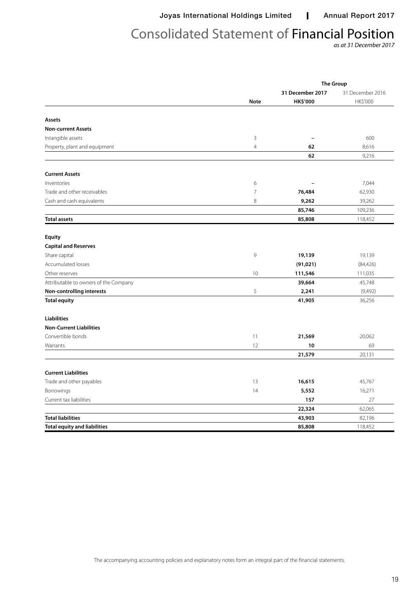Joyas International Holdings Limited | Annual Report 2017

# Consolidated Statement of Financial Position

*as at 31 December 2017*

|                                       |                 |                          | <b>The Group</b> |
|---------------------------------------|-----------------|--------------------------|------------------|
|                                       |                 | 31 December 2017         | 31 December 2016 |
|                                       | <b>Note</b>     | <b>HK\$'000</b>          | HK\$'000         |
| Assets                                |                 |                          |                  |
| <b>Non-current Assets</b>             |                 |                          |                  |
| Intangible assets                     | $\mathbf{3}$    |                          | 600              |
|                                       |                 | $\overline{\phantom{a}}$ |                  |
| Property, plant and equipment         | $\overline{4}$  | 62<br>62                 | 8,616<br>9,216   |
|                                       |                 |                          |                  |
| <b>Current Assets</b>                 |                 |                          |                  |
| Inventories                           | 6               |                          | 7,044            |
| Trade and other receivables           | $\overline{7}$  | 76,484                   | 62,930           |
| Cash and cash equivalents             | $\,8\,$         | 9,262                    | 39,262           |
|                                       |                 | 85,746                   | 109,236          |
| <b>Total assets</b>                   |                 | 85,808                   | 118,452          |
| <b>Equity</b>                         |                 |                          |                  |
|                                       |                 |                          |                  |
| <b>Capital and Reserves</b>           |                 |                          |                  |
| Share capital                         | 9               | 19,139                   | 19,139           |
| Accumulated losses                    |                 | (91, 021)                | (84, 426)        |
| Other reserves                        | 10 <sup>°</sup> | 111,546                  | 111,035          |
| Attributable to owners of the Company |                 | 39,664                   | 45,748           |
| Non-controlling interests             | 5               | 2,241                    | (9,492)          |
| <b>Total equity</b>                   |                 | 41,905                   | 36,256           |
| <b>Liabilities</b>                    |                 |                          |                  |
| <b>Non-Current Liabilities</b>        |                 |                          |                  |
| Convertible bonds                     | 11              | 21,569                   | 20,062           |
| Warrants                              | 12              | 10                       | 69               |
|                                       |                 | 21,579                   | 20,131           |
| <b>Current Liabilities</b>            |                 |                          |                  |
| Trade and other payables              | 13              | 16,615                   | 45,767           |
| Borrowings                            | 14              | 5,552                    | 16,271           |
| Current tax liabilities               |                 | 157                      | 27               |
|                                       |                 | 22,324                   | 62,065           |
| <b>Total liabilities</b>              |                 | 43,903                   | 82,196           |
| <b>Total equity and liabilities</b>   |                 | 85,808                   | 118,452          |

The accompanying accounting policies and explanatory notes form an integral part of the financial statements.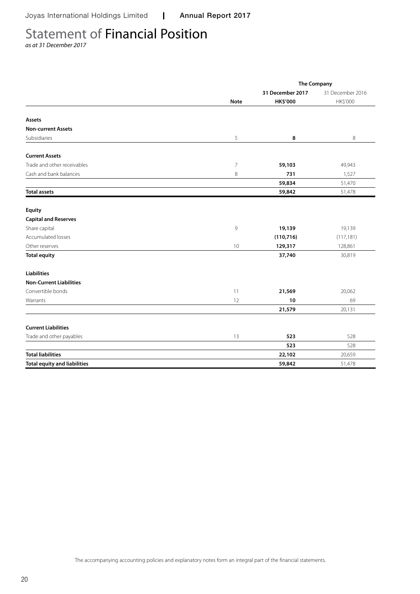# Statement of Financial Position

*as at 31 December 2017*

|                                     |                | <b>The Company</b> |                  |
|-------------------------------------|----------------|--------------------|------------------|
|                                     |                | 31 December 2017   | 31 December 2016 |
|                                     | <b>Note</b>    | <b>HK\$'000</b>    | HK\$'000         |
|                                     |                |                    |                  |
| Assets                              |                |                    |                  |
| <b>Non-current Assets</b>           |                |                    |                  |
| Subsidiaries                        | 5              | 8                  | 8                |
| <b>Current Assets</b>               |                |                    |                  |
| Trade and other receivables         | $\overline{7}$ | 59,103             | 49,943           |
| Cash and bank balances              | 8              | 731                | 1,527            |
|                                     |                | 59,834             | 51,470           |
| <b>Total assets</b>                 |                | 59,842             | 51,478           |
| Equity                              |                |                    |                  |
| <b>Capital and Reserves</b>         |                |                    |                  |
| Share capital                       | 9              | 19,139             | 19,139           |
| Accumulated losses                  |                | (110, 716)         | (117, 181)       |
| Other reserves                      | 10             | 129,317            | 128,861          |
| <b>Total equity</b>                 |                | 37,740             | 30,819           |
| <b>Liabilities</b>                  |                |                    |                  |
| <b>Non-Current Liabilities</b>      |                |                    |                  |
| Convertible bonds                   | 11             | 21,569             | 20,062           |
| Warrants                            | 12             | 10                 | 69               |
|                                     |                | 21,579             | 20,131           |
| <b>Current Liabilities</b>          |                |                    |                  |
| Trade and other payables            | 13             | 523                | 528              |
|                                     |                | 523                | 528              |
| <b>Total liabilities</b>            |                | 22,102             | 20,659           |
| <b>Total equity and liabilities</b> |                | 59,842             | 51,478           |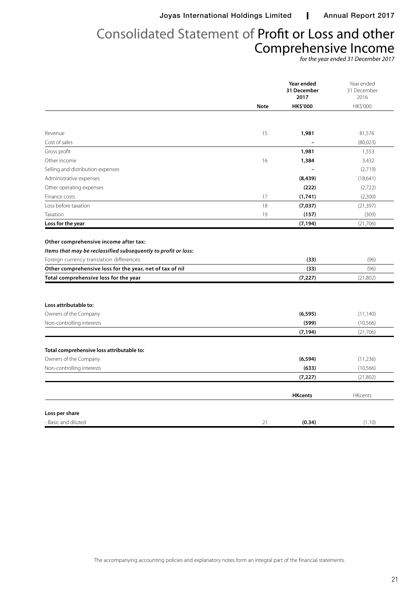# Consolidated Statement of Profit or Loss and other Comprehensive Income

*for the year ended 31 December 2017*

|                                                                                                                                                                                                  |             | Year ended<br>31 December<br>2017 | Year ended<br>31 December<br>2016 |
|--------------------------------------------------------------------------------------------------------------------------------------------------------------------------------------------------|-------------|-----------------------------------|-----------------------------------|
|                                                                                                                                                                                                  | <b>Note</b> | <b>HK\$'000</b>                   | HK\$'000                          |
|                                                                                                                                                                                                  |             |                                   |                                   |
| Revenue                                                                                                                                                                                          | 15          | 1,981                             | 81,576                            |
| Cost of sales                                                                                                                                                                                    |             |                                   | (80,023)                          |
| Gross profit                                                                                                                                                                                     |             | 1,981                             | 1,553                             |
| Other income                                                                                                                                                                                     | 16          | 1,384                             | 3,432                             |
| Selling and distribution expenses                                                                                                                                                                |             |                                   | (2,719)                           |
| Administrative expenses                                                                                                                                                                          |             | (8, 439)                          | (18,641)                          |
| Other operating expenses                                                                                                                                                                         |             | (222)                             | (2,722)                           |
| Finance costs                                                                                                                                                                                    | 17          | (1,741)                           | (2,300)                           |
| Loss before taxation                                                                                                                                                                             | 18          | (7,037)                           | (21, 397)                         |
| Taxation                                                                                                                                                                                         | 19          | (157)                             | (309)                             |
| Loss for the year                                                                                                                                                                                |             | (7, 194)                          | (21,706)                          |
| Other comprehensive loss for the year, net of tax of nil<br>Total comprehensive loss for the year                                                                                                |             | (33)<br>(7, 227)                  | (96)<br>(21,802)                  |
|                                                                                                                                                                                                  |             |                                   |                                   |
|                                                                                                                                                                                                  |             |                                   |                                   |
|                                                                                                                                                                                                  |             |                                   |                                   |
|                                                                                                                                                                                                  |             | (6, 595)                          | (11, 140)                         |
|                                                                                                                                                                                                  |             | (599)                             | (10, 566)                         |
|                                                                                                                                                                                                  |             | (7, 194)                          | (21,706)                          |
|                                                                                                                                                                                                  |             |                                   |                                   |
|                                                                                                                                                                                                  |             | (6, 594)                          | (11,236)                          |
|                                                                                                                                                                                                  |             | (633)                             | (10, 566)                         |
|                                                                                                                                                                                                  |             | (7, 227)                          | (21,802)                          |
|                                                                                                                                                                                                  |             | <b>HKcents</b>                    | <b>HKcents</b>                    |
| Loss attributable to:<br>Owners of the Company<br>Non-controlling interests<br>Total comprehensive loss attributable to:<br>Owners of the Company<br>Non-controlling interests<br>Loss per share |             |                                   |                                   |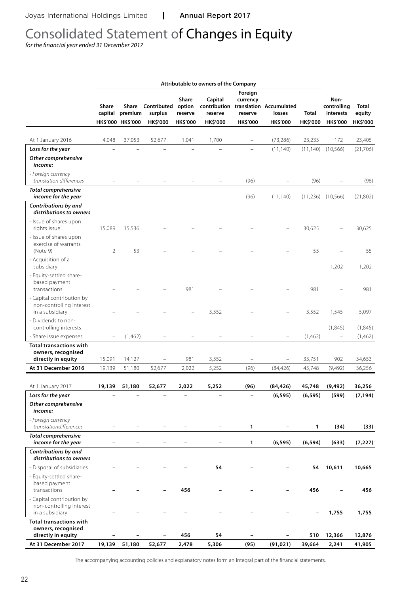# Consolidated Statement of Changes in Equity

*for the financial year ended 31 December 2017*

|                                                                          | Attributable to owners of the Company |                                       |                                           |                                               |                                |                                                   |                                                                   |                          |                                                     |                             |
|--------------------------------------------------------------------------|---------------------------------------|---------------------------------------|-------------------------------------------|-----------------------------------------------|--------------------------------|---------------------------------------------------|-------------------------------------------------------------------|--------------------------|-----------------------------------------------------|-----------------------------|
|                                                                          | Share<br>capital                      | Share<br>premium<br>HK\$'000 HK\$'000 | Contributed<br>surplus<br><b>HK\$'000</b> | <b>Share</b><br>option<br>reserve<br>HK\$'000 | Capital<br>reserve<br>HK\$'000 | Foreign<br>currency<br>reserve<br><b>HK\$'000</b> | contribution translation Accumulated<br>losses<br><b>HK\$'000</b> | Total<br><b>HK\$'000</b> | Non-<br>controlling<br>interests<br><b>HK\$'000</b> | Total<br>equity<br>HK\$'000 |
|                                                                          |                                       |                                       |                                           |                                               |                                |                                                   |                                                                   |                          |                                                     |                             |
| At 1 January 2016                                                        | 4,048                                 | 37,053                                | 52,677                                    | 1,041                                         | 1,700                          |                                                   | (73, 286)                                                         | 23,233                   | 172                                                 | 23,405                      |
| Loss for the year<br>Other comprehensive<br>income:                      |                                       |                                       |                                           |                                               |                                |                                                   | (11, 140)                                                         | (11, 140)                | (10, 566)                                           | (21,706)                    |
| - Foreign currency<br>translation differences                            |                                       |                                       |                                           |                                               |                                | (96)                                              |                                                                   | (96)                     |                                                     | (96)                        |
| <b>Total comprehensive</b><br>income for the year                        |                                       |                                       |                                           |                                               |                                | (96)                                              | (11, 140)                                                         | (11,236)                 | (10, 566)                                           | (21, 802)                   |
| Contributions by and<br>distributions to owners                          |                                       |                                       |                                           |                                               |                                |                                                   |                                                                   |                          |                                                     |                             |
| - Issue of shares upon<br>rights issue                                   | 15,089                                | 15,536                                |                                           |                                               |                                |                                                   |                                                                   | 30,625                   |                                                     | 30,625                      |
| - Issue of shares upon<br>exercise of warrants<br>(Note 9)               | $\overline{2}$                        | 53                                    |                                           |                                               |                                |                                                   |                                                                   | 55                       |                                                     | 55                          |
| - Acquisition of a<br>subsidiary                                         |                                       |                                       |                                           |                                               |                                |                                                   |                                                                   |                          | 1,202                                               | 1,202                       |
| - Equity-settled share-<br>based payment<br>transactions                 |                                       |                                       |                                           | 981                                           |                                |                                                   |                                                                   | 981                      |                                                     | 981                         |
| - Capital contribution by<br>non-controlling interest<br>in a subsidiary |                                       |                                       |                                           |                                               | 3,552                          |                                                   |                                                                   | 3,552                    | 1,545                                               | 5,097                       |
| - Dividends to non-<br>controlling interests                             |                                       |                                       |                                           |                                               |                                |                                                   |                                                                   | $\overline{a}$           | (1,845)                                             | (1,845)                     |
| - Share issue expenses                                                   | $\overline{\phantom{0}}$              | (1,462)                               |                                           |                                               |                                |                                                   |                                                                   | (1,462)                  | $\qquad \qquad -$                                   | (1,462)                     |
| <b>Total transactions with</b><br>owners, recognised                     |                                       |                                       |                                           |                                               |                                |                                                   |                                                                   |                          |                                                     |                             |
| directly in equity                                                       | 15,091                                | 14,127                                |                                           | 981                                           | 3,552                          |                                                   | $\qquad \qquad -$                                                 | 33,751                   | 902                                                 | 34,653                      |
| At 31 December 2016                                                      | 19,139                                | 51,180                                | 52,677                                    | 2,022                                         | 5,252                          | (96)                                              | (84, 426)                                                         | 45,748                   | (9,492)                                             | 36,256                      |
| At 1 January 2017                                                        | 19,139                                | 51,180                                | 52,677                                    | 2,022                                         | 5,252                          | (96)                                              | (84, 426)                                                         | 45,748                   | (9, 492)                                            | 36,256                      |
| Loss for the year                                                        |                                       |                                       |                                           |                                               |                                |                                                   | (6, 595)                                                          | (6, 595)                 | (599)                                               | (7, 194)                    |
| Other comprehensive<br>income:                                           |                                       |                                       |                                           |                                               |                                |                                                   |                                                                   |                          |                                                     |                             |
| - Foreign currency<br>translationdifferences                             |                                       |                                       |                                           |                                               |                                | 1                                                 |                                                                   | 1                        | (34)                                                | (33)                        |
| <b>Total comprehensive</b><br>income for the year                        |                                       |                                       |                                           |                                               |                                | 1                                                 | (6, 595)                                                          | (6, 594)                 | (633)                                               | (7, 227)                    |
| Contributions by and<br>distributions to owners                          |                                       |                                       |                                           |                                               |                                |                                                   |                                                                   |                          |                                                     |                             |
| - Disposal of subsidiaries                                               |                                       |                                       |                                           |                                               | 54                             |                                                   |                                                                   | 54                       | 10,611                                              | 10,665                      |
| - Equity-settled share-<br>based payment<br>transactions                 |                                       |                                       |                                           | 456                                           |                                |                                                   |                                                                   | 456                      |                                                     | 456                         |
| - Capital contribution by<br>non-controlling interest<br>in a subsidiary |                                       |                                       |                                           |                                               |                                |                                                   |                                                                   | $\qquad \qquad -$        | 1,755                                               | 1,755                       |
| <b>Total transactions with</b>                                           |                                       |                                       |                                           |                                               |                                |                                                   |                                                                   |                          |                                                     |                             |
| owners, recognised<br>directly in equity                                 |                                       |                                       |                                           | 456                                           | 54                             |                                                   |                                                                   | 510                      | 12,366                                              | 12,876                      |
| At 31 December 2017                                                      | 19,139                                | 51,180                                | 52,677                                    | 2,478                                         | 5,306                          | (95)                                              | (91, 021)                                                         | 39,664                   | 2,241                                               | 41,905                      |
|                                                                          |                                       |                                       |                                           |                                               |                                |                                                   |                                                                   |                          |                                                     |                             |

The accompanying accounting policies and explanatory notes form an integral part of the financial statements.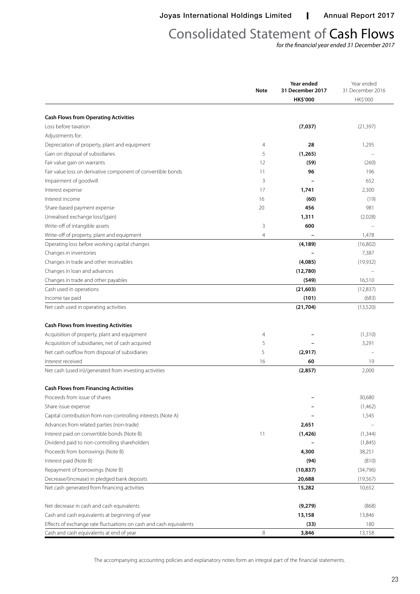Joyas International Holdings Limited | Annual Report 2017

# Consolidated Statement of Cash Flows

*for the financial year ended 31 December 2017*

|                                                                    | <b>Note</b> | Year ended<br>31 December 2017 | Year ended<br>31 December 2016 |  |
|--------------------------------------------------------------------|-------------|--------------------------------|--------------------------------|--|
|                                                                    |             | <b>HK\$'000</b>                | HK\$'000                       |  |
|                                                                    |             |                                |                                |  |
| <b>Cash Flows from Operating Activities</b>                        |             |                                |                                |  |
| Loss before taxation                                               |             | (7,037)                        | (21, 397)                      |  |
| Adjustments for:                                                   |             |                                |                                |  |
| Depreciation of property, plant and equipment                      | 4           | 28                             | 1,295                          |  |
| Gain on disposal of subsidiaries                                   | 5           | (1,265)                        |                                |  |
| Fair value gain on warrants                                        | 12          | (59)                           | (260)                          |  |
| Fair value loss on derivative component of convertible bonds       | 11          | 96                             | 196                            |  |
| Impairment of goodwill                                             | 3           |                                | 652                            |  |
| Interest expense                                                   | 17          | 1,741                          | 2,300                          |  |
| Interest income                                                    | 16          | (60)                           | (19)                           |  |
| Share-based payment expense                                        | 20          | 456                            | 981                            |  |
| Unrealised exchange loss/(gain)                                    |             | 1,311                          | (2,028)                        |  |
| Write-off of intangible assets                                     | 3           | 600                            |                                |  |
| Write-off of property, plant and equipment                         | 4           |                                | 1,478                          |  |
| Operating loss before working capital changes                      |             | (4, 189)                       | (16,802)                       |  |
| Changes in inventories                                             |             |                                | 7,387                          |  |
| Changes in trade and other receivables                             |             | (4,085)                        | (19,932)                       |  |
| Changes in loan and advances                                       |             | (12,780)                       |                                |  |
| Changes in trade and other payables                                |             | (549)                          | 16,510                         |  |
| Cash used in operations                                            |             | (21, 603)                      | (12, 837)                      |  |
| Income tax paid                                                    |             | (101)                          | (683)                          |  |
| Net cash used in operating activities                              |             | (21, 704)                      | (13,520)                       |  |
| <b>Cash Flows from Investing Activities</b>                        |             |                                |                                |  |
| Acquisition of property, plant and equipment                       | 4           |                                | (1, 310)                       |  |
| Acquisition of subsidiaries, net of cash acquired                  | 5           |                                | 3,291                          |  |
| Net cash outflow from disposal of subsidiaries                     | 5           | (2, 917)                       |                                |  |
| Interest received                                                  | 16          | 60                             | 19                             |  |
| Net cash (used in)/generated from investing activities             |             | (2, 857)                       | 2,000                          |  |
| <b>Cash Flows from Financing Activities</b>                        |             |                                |                                |  |
| Proceeds from issue of shares                                      |             |                                | 30,680                         |  |
| Share issue expense                                                |             |                                | (1,462)                        |  |
| Capital contribution from non-controlling interests (Note A)       |             |                                | 1,545                          |  |
| Advances from related parties (non-trade)                          |             | 2,651                          |                                |  |
| Interest paid on convertible bonds (Note B)                        | 11          | (1,426)                        | (1, 344)                       |  |
| Dividend paid to non-controlling shareholders                      |             |                                | (1,845)                        |  |
| Proceeds from borrowings (Note B)                                  |             | 4,300                          | 38,251                         |  |
| Interest paid (Note B)                                             |             |                                | (810)                          |  |
|                                                                    |             | (94)                           |                                |  |
| Repayment of borrowings (Note B)                                   |             | (10, 837)                      | (34,796)                       |  |
| Decrease/(increase) in pledged bank deposits                       |             | 20,688                         | (19, 567)                      |  |
| Net cash generated from financing activities                       |             | 15,282                         | 10,652                         |  |
| Net decrease in cash and cash equivalents                          |             | (9,279)                        | (868)                          |  |
| Cash and cash equivalents at beginning of year                     |             | 13,158                         | 13,846                         |  |
| Effects of exchange rate fluctuations on cash and cash equivalents |             | (33)                           | 180                            |  |
| Cash and cash equivalents at end of year                           | 8           | 3,846                          | 13,158                         |  |

The accompanying accounting policies and explanatory notes form an integral part of the financial statements.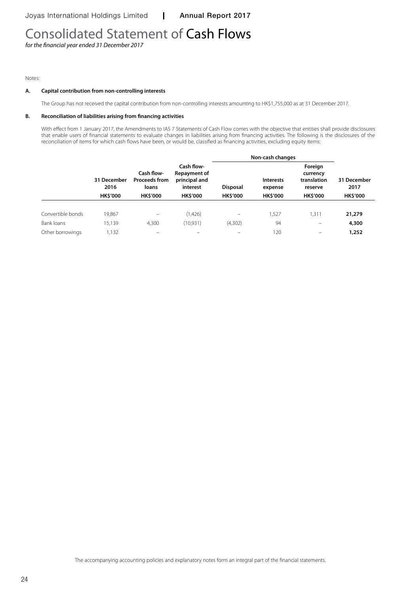# Consolidated Statement of Cash Flows

*for the financial year ended 31 December 2017*

#### Notes:

#### **A. Capital contribution from non-controlling interests**

The Group has not received the capital contribution from non-controlling interests amounting to HK\$1,755,000 as at 31 December 2017.

#### **B. Reconciliation of liabilities arising from financing activities**

With effect from 1 January 2017, the Amendments to IAS 7 Statements of Cash Flow comes with the objective that entities shall provide disclosures that enable users of financial statements to evaluate changes in liabilities arising from financing activities. The following is the disclosures of the reconciliation of items for which cash flows have been, or would be, classified as financing activities, excluding equity items:

|                   |                     |                                             |                                                         | Non-cash changes  |                             |                                               |                     |
|-------------------|---------------------|---------------------------------------------|---------------------------------------------------------|-------------------|-----------------------------|-----------------------------------------------|---------------------|
|                   | 31 December<br>2016 | Cash flow-<br><b>Proceeds from</b><br>loans | Cash flow-<br>Repayment of<br>principal and<br>interest | <b>Disposal</b>   | <b>Interests</b><br>expense | Foreign<br>currency<br>translation<br>reserve | 31 December<br>2017 |
|                   | <b>HK\$'000</b>     | <b>HK\$'000</b>                             | <b>HK\$'000</b>                                         | <b>HK\$'000</b>   | <b>HK\$'000</b>             | <b>HK\$'000</b>                               | <b>HK\$'000</b>     |
| Convertible bonds | 19,867              | -                                           | (1,426)                                                 | $\qquad \qquad -$ | ,527                        | 1.311                                         | 21,279              |
| Bank loans        | 15,139              | 4.300                                       | (10, 931)                                               | (4,302)           | 94                          |                                               | 4,300               |
| Other borrowings  | 1,132               |                                             |                                                         | -                 | 120                         |                                               | 1,252               |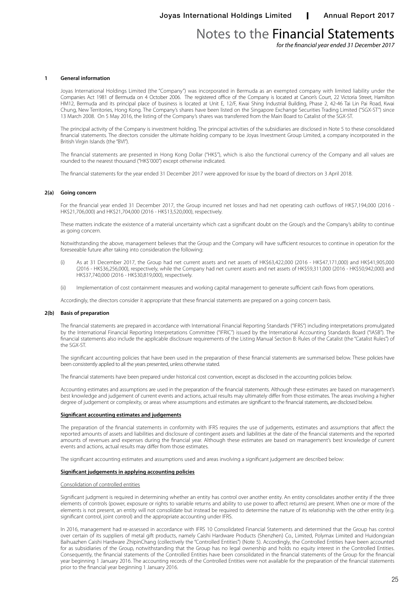*for the financial year ended 31 December 2017*

#### **1 General information**

Joyas International Holdings Limited (the "Company") was incorporated in Bermuda as an exempted company with limited liability under the Companies Act 1981 of Bermuda on 4 October 2006. The registered office of the Company is located at Canon's Court, 22 Victoria Street, Hamilton HM12, Bermuda and its principal place of business is located at Unit E, 12/F, Kwai Shing Industrial Building, Phase 2, 42-46 Tai Lin Pai Road, Kwai Chung, New Territories, Hong Kong. The Company's shares have been listed on the Singapore Exchange Securities Trading Limited ("SGX-ST") since 13 March 2008. On 5 May 2016, the listing of the Company's shares was transferred from the Main Board to Catalist of the SGX-ST.

The principal activity of the Company is investment holding. The principal activities of the subsidiaries are disclosed in Note 5 to these consolidated financial statements. The directors consider the ultimate holding company to be Joyas Investment Group Limited, a company incorporated in the British Virgin Islands (the "BVI").

The financial statements are presented in Hong Kong Dollar ("HK\$"), which is also the functional currency of the Company and all values are rounded to the nearest thousand ("HK\$'000") except otherwise indicated.

The financial statements for the year ended 31 December 2017 were approved for issue by the board of directors on 3 April 2018.

#### **2(a) Going concern**

For the financial year ended 31 December 2017, the Group incurred net losses and had net operating cash outflows of HK\$7,194,000 (2016 -HK\$21,706,000) and HK\$21,704,000 (2016 - HK\$13,520,000), respectively.

These matters indicate the existence of a material uncertainty which cast a significant doubt on the Group's and the Company's ability to continue as going concern.

Notwithstanding the above, management believes that the Group and the Company will have sufficient resources to continue in operation for the foreseeable future after taking into consideration the following:

- (i) As at 31 December 2017, the Group had net current assets and net assets of HK\$63,422,000 (2016 HK\$47,171,000) and HK\$41,905,000 (2016 - HK\$36,256,000), respectively, while the Company had net current assets and net assets of HK\$59,311,000 (2016 - HK\$50,942,000) and HK\$37,740,000 (2016 - HK\$30,819,000), respectively.
- (ii) Implementation of cost containment measures and working capital management to generate sufficient cash flows from operations.

Accordingly, the directors consider it appropriate that these financial statements are prepared on a going concern basis.

#### **2(b) Basis of preparation**

The financial statements are prepared in accordance with International Financial Reporting Standards ("IFRS") including interpretations promulgated by the International Financial Reporting Interpretations Committee ("IFRIC") issued by the International Accounting Standards Board ("IASB"). The financial statements also include the applicable disclosure requirements of the Listing Manual Section B: Rules of the Catalist (the "Catalist Rules") of the SGX-ST.

The significant accounting policies that have been used in the preparation of these financial statements are summarised below. These policies have been consistently applied to all the years presented, unless otherwise stated.

The financial statements have been prepared under historical cost convention, except as disclosed in the accounting policies below.

Accounting estimates and assumptions are used in the preparation of the financial statements. Although these estimates are based on management's best knowledge and judgement of current events and actions, actual results may ultimately differ from those estimates. The areas involving a higher degree of judgement or complexity, or areas where assumptions and estimates are significant to the financial statements, are disclosed below.

#### **Significant accounting estimates and judgements**

The preparation of the financial statements in conformity with IFRS requires the use of judgements, estimates and assumptions that affect the reported amounts of assets and liabilities and disclosure of contingent assets and liabilities at the date of the financial statements and the reported amounts of revenues and expenses during the financial year. Although these estimates are based on management's best knowledge of current events and actions, actual results may differ from those estimates.

The significant accounting estimates and assumptions used and areas involving a significant judgement are described below:

#### **Significant judgements in applying accounting policies**

#### Consolidation of controlled entities

Significant judgment is required in determining whether an entity has control over another entity. An entity consolidates another entity if the three elements of controls (power, exposure or rights to variable returns and ability to use power to affect returns) are present. When one or more of the elements is not present, an entity will not consolidate but instead be required to determine the nature of its relationship with the other entity (e.g. significant control, joint control) and the appropriate accounting under IFRS.

In 2016, management had re-assessed in accordance with IFRS 10 Consolidated Financial Statements and determined that the Group has control over certain of its suppliers of metal gift products, namely Caishi Hardware Products (Shenzhen) Co., Limited, Polymax Limited and Huidongxian Baihuazhen Caishi Hardware ZhipinChang (collectively the "Controlled Entities") (Note 5). Accordingly, the Controlled Entities have been accounted for as subsidiaries of the Group, notwithstanding that the Group has no legal ownership and holds no equity interest in the Controlled Entities. Consequently, the financial statements of the Controlled Entities have been consolidated in the financial statements of the Group for the financial year beginning 1 January 2016. The accounting records of the Controlled Entities were not available for the preparation of the financial statements prior to the financial year beginning 1 January 2016.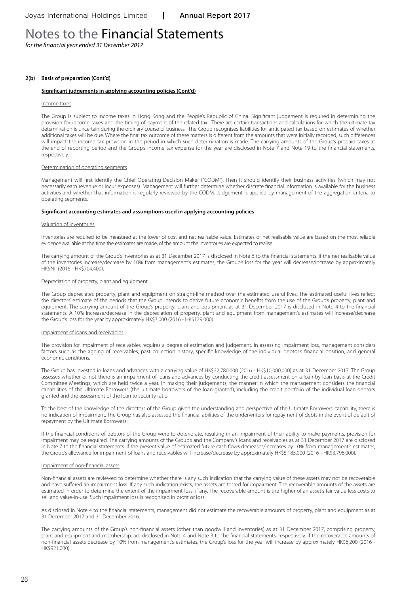*for the financial year ended 31 December 2017*

#### **2(b) Basis of preparation (Cont'd)**

#### **Significant judgements in applying accounting policies (Cont'd)**

#### Income taxes

The Group is subject to income taxes in Hong Kong and the People's Republic of China. Significant judgement is required in determining the provision for income taxes and the timing of payment of the related tax. There are certain transactions and calculations for which the ultimate tax determination is uncertain during the ordinary course of business. The Group recognises liabilities for anticipated tax based on estimates of whether additional taxes will be due. Where the final tax outcome of these matters is different from the amounts that were initially recorded, such differences will impact the income tax provision in the period in which such determination is made. The carrying amounts of the Group's prepaid taxes at the end of reporting period and the Group's income tax expense for the year are disclosed in Note 7 and Note 19 to the financial statements, respectively.

#### Determination of operating segments

Management will first identify the Chief Operating Decision Maker ("CODM"). Then it should identify their business activities (which may not necessarily earn revenue or incur expenses). Management will further determine whether discrete financial information is available for the business activities and whether that information is regularly reviewed by the CODM. Judgement is applied by management of the aggregation criteria to operating segments.

#### **Significant accounting estimates and assumptions used in applying accounting policies**

#### Valuation of inventories

Inventories are required to be measured at the lower of cost and net realisable value. Estimates of net realisable value are based on the most reliable evidence available at the time the estimates are made, of the amount the inventories are expected to realise.

The carrying amount of the Group's inventories as at 31 December 2017 is disclosed in Note 6 to the financial statements. If the net realisable value of the inventories increase/decrease by 10% from management's estimates, the Group's loss for the year will decrease/increase by approximately HK\$Nil (2016 - HK\$704,400).

#### Depreciation of property, plant and equipment

The Group depreciates property, plant and equipment on straight-line method over the estimated useful lives. The estimated useful lives reflect the directors' estimate of the periods that the Group intends to derive future economic benefits from the use of the Group's property, plant and equipment. The carrying amount of the Group's property, plant and equipment as at 31 December 2017 is disclosed in Note 4 to the financial statements. A 10% increase/decrease in the depreciation of property, plant and equipment from management's estimates will increase/decrease the Group's loss for the year by approximately HK\$3,000 (2016 - HK\$129,000).

#### Impairment of loans and receivables

The provision for impairment of receivables requires a degree of estimation and judgement. In assessing impairment loss, management considers factors such as the ageing of receivables, past collection history, specific knowledge of the individual debtor's financial position, and general economic conditions.

The Group has invested in loans and advances with a carrying value of HK\$22,780,000 (2016 - HK\$10,000,000) as at 31 December 2017. The Group assesses whether or not there is an impairment of loans and advances by conducting the credit assessment on a loan-by-loan basis at the Credit Committee Meetings, which are held twice a year. In making their judgements, the manner in which the management considers the financial capabilities of the Ultimate Borrowers (the ultimate borrowers of the loan granted), including the credit portfolio of the individual loan debtors granted and the assessment of the loan to security ratio.

To the best of the knowledge of the directors of the Group given the understanding and perspective of the Ultimate Borrowers' capability, there is no indication of impairment. The Group has also assessed the financial abilities of the underwriters for repayment of debts in the event of default of repayment by the Ultimate Borrowers.

If the financial conditions of debtors of the Group were to deteriorate, resulting in an impairment of their ability to make payments, provision for impairment may be required. The carrying amounts of the Group's and the Company's loans and receivables as at 31 December 2017 are disclosed in Note 7 to the financial statements. If the present value of estimated future cash flows decreases/increases by 10% from management's estimates, the Group's allowance for impairment of loans and receivables will increase/decrease by approximately HK\$5,185,000 (2016 - HK\$3,796,000).

#### Impairment of non-financial assets

Non-financial assets are reviewed to determine whether there is any such indication that the carrying value of these assets may not be recoverable and have suffered an impairment loss. If any such indication exists, the assets are tested for impairment. The recoverable amounts of the assets are estimated in order to determine the extent of the impairment loss, if any. The recoverable amount is the higher of an asset's fair value less costs to sell and value-in-use. Such impairment loss is recognised in profit or loss.

As disclosed in Note 4 to the financial statements, management did not estimate the recoverable amounts of property, plant and equipment as at 31 December 2017 and 31 December 2016.

The carrying amounts of the Group's non-financial assets (other than goodwill and inventories) as at 31 December 2017, comprising property, plant and equipment and membership, are disclosed in Note 4 and Note 3 to the financial statements, respectively. If the recoverable amounts of non-financial assets decrease by 10% from management's estimates, the Group's loss for the year will increase by approximately HK\$6,200 (2016 - HK\$921,000).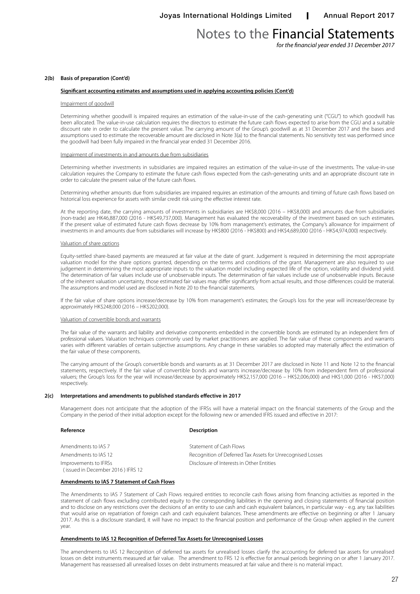*for the financial year ended 31 December 2017*

#### **2(b) Basis of preparation (Cont'd)**

#### **Significant accounting estimates and assumptions used in applying accounting policies (Cont'd)**

#### Impairment of goodwill

Determining whether goodwill is impaired requires an estimation of the value-in-use of the cash-generating unit ("CGU") to which goodwill has been allocated. The value-in-use calculation requires the directors to estimate the future cash flows expected to arise from the CGU and a suitable discount rate in order to calculate the present value. The carrying amount of the Group's goodwill as at 31 December 2017 and the bases and assumptions used to estimate the recoverable amount are disclosed in Note 3(a) to the financial statements. No sensitivity test was performed since the goodwill had been fully impaired in the financial year ended 31 December 2016.

#### Impairment of investments in and amounts due from subsidiaries

Determining whether investments in subsidiaries are impaired requires an estimation of the value-in-use of the investments. The value-in-use calculation requires the Company to estimate the future cash flows expected from the cash-generating units and an appropriate discount rate in order to calculate the present value of the future cash flows.

Determining whether amounts due from subsidiaries are impaired requires an estimation of the amounts and timing of future cash flows based on historical loss experience for assets with similar credit risk using the effective interest rate.

At the reporting date, the carrying amounts of investments in subsidiaries are HK\$8,000 (2016 – HK\$8,000) and amounts due from subsidiaries (non-trade) are HK46,887,000 (2016 - HK\$49,737,000). Management has evaluated the recoverability of the investment based on such estimates. If the present value of estimated future cash flows decrease by 10% from management's estimates, the Company's allowance for impairment of investments in and amounts due from subsidiaries will increase by HK\$800 (2016 - HK\$800) and HK\$4,689,000 (2016 - HK\$4,974,000) respectively.

#### Valuation of share options

Equity-settled share-based payments are measured at fair value at the date of grant. Judgement is required in determining the most appropriate valuation model for the share options granted, depending on the terms and conditions of the grant. Management are also required to use judgement in determining the most appropriate inputs to the valuation model including expected life of the option, volatility and dividend yield. The determination of fair values include use of unobservable inputs. The determination of fair values include use of unobservable inputs. Because of the inherent valuation uncertainty, those estimated fair values may differ significantly from actual results, and those differences could be material. The assumptions and model used are disclosed in Note 20 to the financial statements.

If the fair value of share options increase/decrease by 10% from management's estimates; the Group's loss for the year will increase/decrease by approximately HK\$248,000 (2016 – HK\$202,000).

#### Valuation of convertible bonds and warrants

The fair value of the warrants and liability and derivative components embedded in the convertible bonds are estimated by an independent firm of professional valuers. Valuation techniques commonly used by market practitioners are applied. The fair value of these components and warrants varies with different variables of certain subjective assumptions. Any change in these variables so adopted may materially affect the estimation of the fair value of these components.

The carrying amount of the Group's convertible bonds and warrants as at 31 December 2017 are disclosed in Note 11 and Note 12 to the financial statements, respectively. If the fair value of convertible bonds and warrants increase/decrease by 10% from independent firm of professional valuers; the Group's loss for the year will increase/decrease by approximately HK\$2,157,000 (2016 – HK\$2,006,000) and HK\$1,000 (2016 - HK\$7,000) respectively.

#### **2(c) Interpretations and amendments to published standards effective in 2017**

Management does not anticipate that the adoption of the IFRSs will have a material impact on the financial statements of the Group and the Company in the period of their initial adoption except for the following new or amended IFRS issued and effective in 2017:

| Reference                                                  | <b>Description</b>                                         |
|------------------------------------------------------------|------------------------------------------------------------|
| Amendments to IAS 7                                        | Statement of Cash Flows                                    |
| Amendments to IAS 12                                       | Recognition of Deferred Tax Assets for Unrecognised Losses |
| Improvements to IFRSs<br>(issued in December 2016) IFRS 12 | Disclosure of Interests in Other Entities                  |

#### **Amendments to IAS 7 Statement of Cash Flows**

The Amendments to IAS 7 Statement of Cash Flows required entities to reconcile cash flows arising from financing activities as reported in the statement of cash flows excluding contributed equity to the corresponding liabilities in the opening and closing statements of financial position and to disclose on any restrictions over the decisions of an entity to use cash and cash equivalent balances, in particular way - e.g. any tax liabilities that would arise on repatriation of foreign cash and cash equivalent balances. These amendments are effective on beginning or after 1 January 2017. As this is a disclosure standard, it will have no impact to the financial position and performance of the Group when applied in the current year.

#### **Amendments to IAS 12 Recognition of Deferred Tax Assets for Unrecognised Losses**

The amendments to IAS 12 Recognition of deferred tax assets for unrealised losses clarify the accounting for deferred tax assets for unrealised losses on debt instruments measured at fair value. The amendment to FRS 12 is effective for annual periods beginning on or after 1 January 2017. Management has reassessed all unrealised losses on debt instruments measured at fair value and there is no material impact.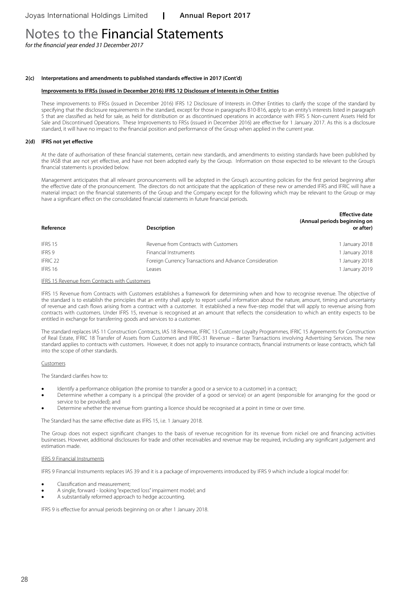*for the financial year ended 31 December 2017*

#### **2(c) Interpretations and amendments to published standards effective in 2017 (Cont'd)**

#### **Improvements to IFRSs (issued in December 2016) IFRS 12 Disclosure of Interests in Other Entities**

These improvements to IFRSs (issued in December 2016) IFRS 12 Disclosure of Interests in Other Entities to clarify the scope of the standard by specifying that the disclosure requirements in the standard, except for those in paragraphs B10-B16, apply to an entity's interests listed in paragraph 5 that are classified as held for sale, as held for distribution or as discontinued operations in accordance with IFRS 5 Non-current Assets Held for Sale and Discontinued Operations. These Improvements to FRSs (issued in December 2016) are effective for 1 January 2017. As this is a disclosure standard, it will have no impact to the financial position and performance of the Group when applied in the current year.

#### **2(d) IFRS not yet effective**

At the date of authorisation of these financial statements, certain new standards, and amendments to existing standards have been published by the IASB that are not yet effective, and have not been adopted early by the Group. Information on those expected to be relevant to the Group's financial statements is provided below.

Management anticipates that all relevant pronouncements will be adopted in the Group's accounting policies for the first period beginning after the effective date of the pronouncement. The directors do not anticipate that the application of these new or amended IFRS and IFRIC will have a material impact on the financial statements of the Group and the Company except for the following which may be relevant to the Group or may have a significant effect on the consolidated financial statements in future financial periods.

| Reference | <b>Description</b>                                      | <b>Effective date</b><br>(Annual periods beginning on<br>or after) |
|-----------|---------------------------------------------------------|--------------------------------------------------------------------|
| IFRS 15   | Revenue from Contracts with Customers                   | 1 January 2018                                                     |
| IFRS 9    | Financial Instruments                                   | 1 January 2018                                                     |
| IFRIC 22  | Foreign Currency Transactions and Advance Consideration | 1 January 2018                                                     |
| IFRS 16   | Leases                                                  | 1 January 2019                                                     |

#### IFRS 15 Revenue from Contracts with Customers

IFRS 15 Revenue from Contracts with Customers establishes a framework for determining when and how to recognise revenue. The objective of the standard is to establish the principles that an entity shall apply to report useful information about the nature, amount, timing and uncertainty of revenue and cash flows arising from a contract with a customer. It established a new five-step model that will apply to revenue arising from contracts with customers. Under IFRS 15, revenue is recognised at an amount that reflects the consideration to which an entity expects to be entitled in exchange for transferring goods and services to a customer.

The standard replaces IAS 11 Construction Contracts, IAS 18 Revenue, IFRIC 13 Customer Loyalty Programmes, IFRIC 15 Agreements for Construction of Real Estate, IFRIC 18 Transfer of Assets from Customers and IFRIC-31 Revenue – Barter Transactions involving Advertising Services. The new standard applies to contracts with customers. However, it does not apply to insurance contracts, financial instruments or lease contracts, which fall into the scope of other standards.

#### **Customers**

The Standard clarifies how to:

- Identify a performance obligation (the promise to transfer a good or a service to a customer) in a contract;
- Determine whether a company is a principal (the provider of a good or service) or an agent (responsible for arranging for the good or service to be provided); and
- Determine whether the revenue from granting a licence should be recognised at a point in time or over time.

The Standard has the same effective date as IFRS 15, i.e. 1 January 2018.

The Group does not expect significant changes to the basis of revenue recognition for its revenue from nickel ore and financing activities businesses. However, additional disclosures for trade and other receivables and revenue may be required, including any significant judgement and estimation made.

#### IFRS 9 Financial Instruments

IFRS 9 Financial Instruments replaces IAS 39 and it is a package of improvements introduced by IFRS 9 which include a logical model for:

- Classification and measurement;
- A single, forward looking "expected loss" impairment model; and
- A substantially reformed approach to hedge accounting.

IFRS 9 is effective for annual periods beginning on or after 1 January 2018.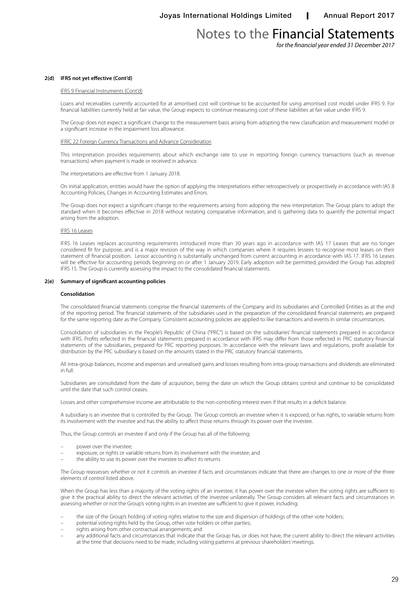*for the financial year ended 31 December 2017*

#### **2(d) IFRS not yet effective (Cont'd)**

#### IFRS 9 Financial Instruments (Cont'd)

Loans and receivables currently accounted for at amortised cost will continue to be accounted for using amortised cost model under IFRS 9. For financial liabilities currently held at fair value, the Group expects to continue measuring cost of these liabilities at fair value under IFRS 9.

The Group does not expect a significant change to the measurement basis arising from adopting the new classification and measurement model or a significant increase in the impairment loss allowance.

#### IFRIC 22 Foreign Currency Transactions and Advance Consideration

This interpretation provides requirements about which exchange rate to use in reporting foreign currency transactions (such as revenue transactions) when payment is made or received in advance.

The interpretations are effective from 1 January 2018.

On initial application, entities would have the option of applying the interpretations either retrospectively or prospectively in accordance with IAS 8 Accounting Policies, Changes in Accounting Estimates and Errors.

The Group does not expect a significant change to the requirements arising from adopting the new interpretation. The Group plans to adopt the standard when it becomes effective in 2018 without restating comparative information; and is gathering data to quantify the potential impact arising from the adoption.

#### IFRS 16 Leases

IFRS 16 Leases replaces accounting requirements introduced more than 30 years ago in accordance with IAS 17 Leases that are no longer considered fit for purpose, and is a major revision of the way in which companies where it requires lessees to recognise most leases on their statement of financial position. Lessor accounting is substantially unchanged from current accounting in accordance with IAS 17. IFRS 16 Leases will be effective for accounting periods beginning on or after 1 January 2019. Early adoption will be permitted, provided the Group has adopted IFRS 15. The Group is currently assessing the impact to the consolidated financial statements.

#### **2(e) Summary of significant accounting policies**

#### **Consolidation**

The consolidated financial statements comprise the financial statements of the Company and its subsidiaries and Controlled Entities as at the end of the reporting period. The financial statements of the subsidiaries used in the preparation of the consolidated financial statements are prepared for the same reporting date as the Company. Consistent accounting policies are applied to like transactions and events in similar circumstances.

Consolidation of subsidiaries in the People's Republic of China ("PRC") is based on the subsidiaries' financial statements prepared in accordance with IFRS. Profits reflected in the financial statements prepared in accordance with IFRS may differ from those reflected in PRC statutory financial statements of the subsidiaries, prepared for PRC reporting purposes. In accordance with the relevant laws and regulations, profit available for distribution by the PRC subsidiary is based on the amounts stated in the PRC statutory financial statements.

All intra-group balances, income and expenses and unrealised gains and losses resulting from intra-group transactions and dividends are eliminated in full.

Subsidiaries are consolidated from the date of acquisition, being the date on which the Group obtains control and continue to be consolidated until the date that such control ceases.

Losses and other comprehensive income are attributable to the non-controlling interest even if that results in a deficit balance.

A subsidiary is an investee that is controlled by the Group. The Group controls an investee when it is exposed, or has rights, to variable returns from its involvement with the investee and has the ability to affect those returns through its power over the investee.

Thus, the Group controls an investee if and only if the Group has all of the following:

- power over the investee;
- exposure, or rights or variable returns from its involvement with the investee; and
- the ability to use its power over the investee to affect its returns

The Group reassesses whether or not it controls an investee if facts and circumstances indicate that there are changes to one or more of the three elements of control listed above.

When the Group has less than a majority of the voting rights of an investee, it has power over the investee when the voting rights are sufficient to give it the practical ability to direct the relevant activities of the investee unilaterally. The Group considers all relevant facts and circumstances in assessing whether or not the Group's voting rights in an investee are sufficient to give it power, including:

- the size of the Group's holding of voting rights relative to the size and dispersion of holdings of the other vote holders;
- potential voting rights held by the Group, other vote holders or other parties;
- rights arising from other contractual arrangements; and
- any additional facts and circumstances that indicate that the Group has, or does not have, the current ability to direct the relevant activities at the time that decisions need to be made, including voting patterns at previous shareholders' meetings.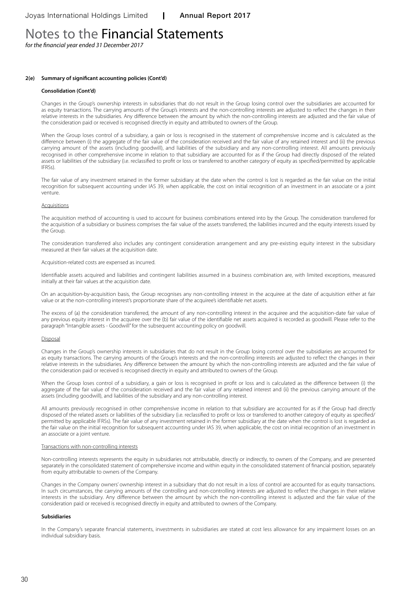*for the financial year ended 31 December 2017*

#### **2(e) Summary of significant accounting policies (Cont'd)**

#### **Consolidation (Cont'd)**

Changes in the Group's ownership interests in subsidiaries that do not result in the Group losing control over the subsidiaries are accounted for as equity transactions. The carrying amounts of the Group's interests and the non-controlling interests are adjusted to reflect the changes in their relative interests in the subsidiaries. Any difference between the amount by which the non-controlling interests are adjusted and the fair value of the consideration paid or received is recognised directly in equity and attributed to owners of the Group.

When the Group loses control of a subsidiary, a gain or loss is recognised in the statement of comprehensive income and is calculated as the difference between (i) the aggregate of the fair value of the consideration received and the fair value of any retained interest and (ii) the previous carrying amount of the assets (including goodwill), and liabilities of the subsidiary and any non-controlling interest. All amounts previously recognised in other comprehensive income in relation to that subsidiary are accounted for as if the Group had directly disposed of the related assets or liabilities of the subsidiary (i.e. reclassified to profit or loss or transferred to another category of equity as specified/permitted by applicable IFRSs).

The fair value of any investment retained in the former subsidiary at the date when the control is lost is regarded as the fair value on the initial recognition for subsequent accounting under IAS 39, when applicable, the cost on initial recognition of an investment in an associate or a joint venture.

#### Acquisitions

The acquisition method of accounting is used to account for business combinations entered into by the Group. The consideration transferred for the acquisition of a subsidiary or business comprises the fair value of the assets transferred, the liabilities incurred and the equity interests issued by the Group.

The consideration transferred also includes any contingent consideration arrangement and any pre-existing equity interest in the subsidiary measured at their fair values at the acquisition date.

#### Acquisition-related costs are expensed as incurred.

Identifiable assets acquired and liabilities and contingent liabilities assumed in a business combination are, with limited exceptions, measured initially at their fair values at the acquisition date.

On an acquisition-by-acquisition basis, the Group recognises any non-controlling interest in the acquiree at the date of acquisition either at fair value or at the non-controlling interest's proportionate share of the acquiree's identifiable net assets.

The excess of (a) the consideration transferred, the amount of any non-controlling interest in the acquiree and the acquisition-date fair value of any previous equity interest in the acquiree over the (b) fair value of the identifiable net assets acquired is recorded as goodwill. Please refer to the paragraph "Intangible assets - Goodwill" for the subsequent accounting policy on goodwill.

#### Disposal

Changes in the Group's ownership interests in subsidiaries that do not result in the Group losing control over the subsidiaries are accounted for as equity transactions. The carrying amounts of the Group's interests and the non-controlling interests are adjusted to reflect the changes in their relative interests in the subsidiaries. Any difference between the amount by which the non-controlling interests are adjusted and the fair value of the consideration paid or received is recognised directly in equity and attributed to owners of the Group.

When the Group loses control of a subsidiary, a gain or loss is recognised in profit or loss and is calculated as the difference between (i) the aggregate of the fair value of the consideration received and the fair value of any retained interest and (ii) the previous carrying amount of the assets (including goodwill), and liabilities of the subsidiary and any non-controlling interest.

All amounts previously recognised in other comprehensive income in relation to that subsidiary are accounted for as if the Group had directly disposed of the related assets or liabilities of the subsidiary (i.e. reclassified to profit or loss or transferred to another category of equity as specified/ permitted by applicable IFRSs). The fair value of any investment retained in the former subsidiary at the date when the control is lost is regarded as the fair value on the initial recognition for subsequent accounting under IAS 39, when applicable, the cost on initial recognition of an investment in an associate or a joint venture.

#### Transactions with non-controlling interests

Non-controlling interests represents the equity in subsidiaries not attributable, directly or indirectly, to owners of the Company, and are presented separately in the consolidated statement of comprehensive income and within equity in the consolidated statement of financial position, separately from equity attributable to owners of the Company.

Changes in the Company owners' ownership interest in a subsidiary that do not result in a loss of control are accounted for as equity transactions. In such circumstances, the carrying amounts of the controlling and non-controlling interests are adjusted to reflect the changes in their relative interests in the subsidiary. Any difference between the amount by which the non-controlling interest is adjusted and the fair value of the consideration paid or received is recognised directly in equity and attributed to owners of the Company.

#### **Subsidiaries**

In the Company's separate financial statements, investments in subsidiaries are stated at cost less allowance for any impairment losses on an individual subsidiary basis.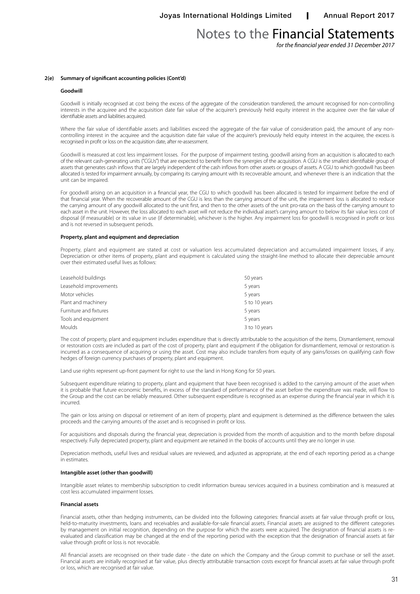*for the financial year ended 31 December 2017*

#### **2(e) Summary of significant accounting policies (Cont'd)**

#### **Goodwill**

Goodwill is initially recognised at cost being the excess of the aggregate of the consideration transferred, the amount recognised for non-controlling interests in the acquiree and the acquisition date fair value of the acquirer's previously held equity interest in the acquiree over the fair value of identifiable assets and liabilities acquired.

Where the fair value of identifiable assets and liabilities exceed the aggregate of the fair value of consideration paid, the amount of any noncontrolling interest in the acquiree and the acquisition date fair value of the acquirer's previously held equity interest in the acquiree, the excess is recognised in profit or loss on the acquisition date, after re-assessment.

Goodwill is measured at cost less impairment losses. For the purpose of impairment testing, goodwill arising from an acquisition is allocated to each of the relevant cash-generating units ("CGUs") that are expected to benefit from the synergies of the acquisition. A CGU is the smallest identifiable group of assets that generates cash inflows that are largely independent of the cash inflows from other assets or groups of assets. A CGU to which goodwill has been allocated is tested for impairment annually, by comparing its carrying amount with its recoverable amount, and whenever there is an indication that the unit can be impaired.

For goodwill arising on an acquisition in a financial year, the CGU to which goodwill has been allocated is tested for impairment before the end of that financial year. When the recoverable amount of the CGU is less than the carrying amount of the unit, the impairment loss is allocated to reduce the carrying amount of any goodwill allocated to the unit first, and then to the other assets of the unit pro-rata on the basis of the carrying amount to each asset in the unit. However, the loss allocated to each asset will not reduce the individual asset's carrying amount to below its fair value less cost of disposal (if measurable) or its value in use (if determinable), whichever is the higher. Any impairment loss for goodwill is recognised in profit or loss and is not reversed in subsequent periods.

#### **Property, plant and equipment and depreciation**

Property, plant and equipment are stated at cost or valuation less accumulated depreciation and accumulated impairment losses, if any. Depreciation or other items of property, plant and equipment is calculated using the straight-line method to allocate their depreciable amount over their estimated useful lives as follows:

| Leasehold buildings    | 50 years      |
|------------------------|---------------|
| Leasehold improvements | 5 years       |
| Motor vehicles         | 5 years       |
| Plant and machinery    | 5 to 10 years |
| Furniture and fixtures | 5 years       |
| Tools and equipment    | 5 years       |
| Moulds                 | 3 to 10 years |

The cost of property, plant and equipment includes expenditure that is directly attributable to the acquisition of the items. Dismantlement, removal or restoration costs are included as part of the cost of property, plant and equipment if the obligation for dismantlement, removal or restoration is incurred as a consequence of acquiring or using the asset. Cost may also include transfers from equity of any gains/losses on qualifying cash flow hedges of foreign currency purchases of property, plant and equipment.

Land use rights represent up-front payment for right to use the land in Hong Kong for 50 years.

Subsequent expenditure relating to property, plant and equipment that have been recognised is added to the carrying amount of the asset when it is probable that future economic benefits, in excess of the standard of performance of the asset before the expenditure was made, will flow to the Group and the cost can be reliably measured. Other subsequent expenditure is recognised as an expense during the financial year in which it is incurred.

The gain or loss arising on disposal or retirement of an item of property, plant and equipment is determined as the difference between the sales proceeds and the carrying amounts of the asset and is recognised in profit or loss.

For acquisitions and disposals during the financial year, depreciation is provided from the month of acquisition and to the month before disposal respectively. Fully depreciated property, plant and equipment are retained in the books of accounts until they are no longer in use.

Depreciation methods, useful lives and residual values are reviewed, and adjusted as appropriate, at the end of each reporting period as a change in estimates.

#### **Intangible asset (other than goodwill)**

Intangible asset relates to membership subscription to credit information bureau services acquired in a business combination and is measured at cost less accumulated impairment losses.

#### **Financial assets**

Financial assets, other than hedging instruments, can be divided into the following categories: financial assets at fair value through profit or loss, held-to-maturity investments, loans and receivables and available-for-sale financial assets. Financial assets are assigned to the different categories by management on initial recognition, depending on the purpose for which the assets were acquired. The designation of financial assets is reevaluated and classification may be changed at the end of the reporting period with the exception that the designation of financial assets at fair value through profit or loss is not revocable.

All financial assets are recognised on their trade date - the date on which the Company and the Group commit to purchase or sell the asset. Financial assets are initially recognised at fair value, plus directly attributable transaction costs except for financial assets at fair value through profit or loss, which are recognised at fair value.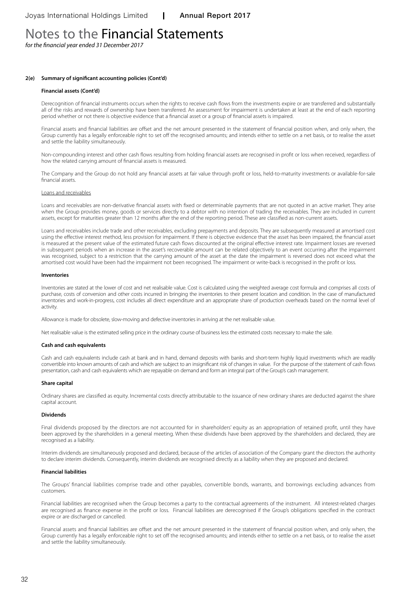*for the financial year ended 31 December 2017*

#### **2(e) Summary of significant accounting policies (Cont'd)**

#### **Financial assets (Cont'd)**

Derecognition of financial instruments occurs when the rights to receive cash flows from the investments expire or are transferred and substantially all of the risks and rewards of ownership have been transferred. An assessment for impairment is undertaken at least at the end of each reporting period whether or not there is objective evidence that a financial asset or a group of financial assets is impaired.

Financial assets and financial liabilities are offset and the net amount presented in the statement of financial position when, and only when, the Group currently has a legally enforceable right to set off the recognised amounts; and intends either to settle on a net basis, or to realise the asset and settle the liability simultaneously.

Non-compounding interest and other cash flows resulting from holding financial assets are recognised in profit or loss when received, regardless of how the related carrying amount of financial assets is measured.

The Company and the Group do not hold any financial assets at fair value through profit or loss, held-to-maturity investments or available-for-sale financial assets.

#### Loans and receivables

Loans and receivables are non-derivative financial assets with fixed or determinable payments that are not quoted in an active market. They arise when the Group provides money, goods or services directly to a debtor with no intention of trading the receivables. They are included in current assets, except for maturities greater than 12 months after the end of the reporting period. These are classified as non-current assets.

Loans and receivables include trade and other receivables, excluding prepayments and deposits. They are subsequently measured at amortised cost using the effective interest method, less provision for impairment. If there is objective evidence that the asset has been impaired, the financial asset is measured at the present value of the estimated future cash flows discounted at the original effective interest rate. Impairment losses are reversed in subsequent periods when an increase in the asset's recoverable amount can be related objectively to an event occurring after the impairment was recognised, subject to a restriction that the carrying amount of the asset at the date the impairment is reversed does not exceed what the amortised cost would have been had the impairment not been recognised. The impairment or write-back is recognised in the profit or loss.

#### **Inventories**

Inventories are stated at the lower of cost and net realisable value. Cost is calculated using the weighted average cost formula and comprises all costs of purchase, costs of conversion and other costs incurred in bringing the inventories to their present location and condition. In the case of manufactured inventories and work-in-progress, cost includes all direct expenditure and an appropriate share of production overheads based on the normal level of activity.

Allowance is made for obsolete, slow-moving and defective inventories in arriving at the net realisable value.

Net realisable value is the estimated selling price in the ordinary course of business less the estimated costs necessary to make the sale.

#### **Cash and cash equivalents**

Cash and cash equivalents include cash at bank and in hand, demand deposits with banks and short-term highly liquid investments which are readily convertible into known amounts of cash and which are subject to an insignificant risk of changes in value. For the purpose of the statement of cash flows presentation, cash and cash equivalents which are repayable on demand and form an integral part of the Group's cash management.

#### **Share capital**

Ordinary shares are classified as equity. Incremental costs directly attributable to the issuance of new ordinary shares are deducted against the share capital account.

#### **Dividends**

Final dividends proposed by the directors are not accounted for in shareholders' equity as an appropriation of retained profit, until they have been approved by the shareholders in a general meeting. When these dividends have been approved by the shareholders and declared, they are recognised as a liability.

Interim dividends are simultaneously proposed and declared, because of the articles of association of the Company grant the directors the authority to declare interim dividends. Consequently, interim dividends are recognised directly as a liability when they are proposed and declared.

#### **Financial liabilities**

The Groups' financial liabilities comprise trade and other payables, convertible bonds, warrants, and borrowings excluding advances from customers.

Financial liabilities are recognised when the Group becomes a party to the contractual agreements of the instrument. All interest-related charges are recognised as finance expense in the profit or loss. Financial liabilities are derecognised if the Group's obligations specified in the contract expire or are discharged or cancelled.

Financial assets and financial liabilities are offset and the net amount presented in the statement of financial position when, and only when, the Group currently has a legally enforceable right to set off the recognised amounts; and intends either to settle on a net basis, or to realise the asset and settle the liability simultaneously.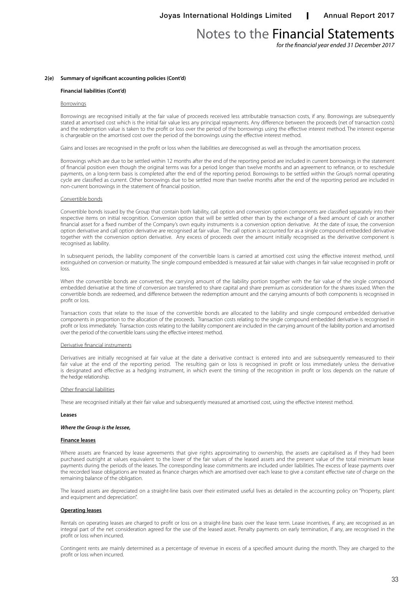*for the financial year ended 31 December 2017*

#### **2(e) Summary of significant accounting policies (Cont'd)**

#### **Financial liabilities (Cont'd)**

#### Borrowings

Borrowings are recognised initially at the fair value of proceeds received less attributable transaction costs, if any. Borrowings are subsequently stated at amortised cost which is the initial fair value less any principal repayments. Any difference between the proceeds (net of transaction costs) and the redemption value is taken to the profit or loss over the period of the borrowings using the effective interest method. The interest expense is chargeable on the amortised cost over the period of the borrowings using the effective interest method.

Gains and losses are recognised in the profit or loss when the liabilities are derecognised as well as through the amortisation process.

Borrowings which are due to be settled within 12 months after the end of the reporting period are included in current borrowings in the statement of financial position even though the original terms was for a period longer than twelve months and an agreement to refinance, or to reschedule payments, on a long-term basis is completed after the end of the reporting period. Borrowings to be settled within the Group's normal operating cycle are classified as current. Other borrowings due to be settled more than twelve months after the end of the reporting period are included in non-current borrowings in the statement of financial position.

#### Convertible bonds

Convertible bonds issued by the Group that contain both liability, call option and conversion option components are classified separately into their respective items on initial recognition. Conversion option that will be settled other than by the exchange of a fixed amount of cash or another financial asset for a fixed number of the Company's own equity instruments is a conversion option derivative. At the date of issue, the conversion option derivative and call option derivative are recognised at fair value. The call option is accounted for as a single compound embedded derivative together with the conversion option derivative. Any excess of proceeds over the amount initially recognised as the derivative component is recognised as liability.

In subsequent periods, the liability component of the convertible loans is carried at amortised cost using the effective interest method, until extinguished on conversion or maturity. The single compound embedded is measured at fair value with changes in fair value recognised in profit or loss.

When the convertible bonds are converted, the carrying amount of the liability portion together with the fair value of the single compound embedded derivative at the time of conversion are transferred to share capital and share premium as consideration for the shares issued. When the convertible bonds are redeemed, and difference between the redemption amount and the carrying amounts of both components is recognised in profit or loss.

Transaction costs that relate to the issue of the convertible bonds are allocated to the liability and single compound embedded derivative components in proportion to the allocation of the proceeds. Transaction costs relating to the single compound embedded derivative is recognised in profit or loss immediately. Transaction costs relating to the liability component are included in the carrying amount of the liability portion and amortised over the period of the convertible loans using the effective interest method.

#### Derivative financial instruments

Derivatives are initially recognised at fair value at the date a derivative contract is entered into and are subsequently remeasured to their fair value at the end of the reporting period. The resulting gain or loss is recognised in profit or loss immediately unless the derivative is designated and effective as a hedging instrument, in which event the timing of the recognition in profit or loss depends on the nature of the hedge relationship.

#### Other financial liabilities

These are recognised initially at their fair value and subsequently measured at amortised cost, using the effective interest method.

#### **Leases**

#### *Where the Group is the lessee,*

#### **Finance leases**

Where assets are financed by lease agreements that give rights approximating to ownership, the assets are capitalised as if they had been purchased outright at values equivalent to the lower of the fair values of the leased assets and the present value of the total minimum lease payments during the periods of the leases. The corresponding lease commitments are included under liabilities. The excess of lease payments over the recorded lease obligations are treated as finance charges which are amortised over each lease to give a constant effective rate of charge on the remaining balance of the obligation.

The leased assets are depreciated on a straight-line basis over their estimated useful lives as detailed in the accounting policy on "Property, plant and equipment and depreciation".

#### **Operating leases**

Rentals on operating leases are charged to profit or loss on a straight-line basis over the lease term. Lease incentives, if any, are recognised as an integral part of the net consideration agreed for the use of the leased asset. Penalty payments on early termination, if any, are recognised in the profit or loss when incurred.

Contingent rents are mainly determined as a percentage of revenue in excess of a specified amount during the month. They are charged to the profit or loss when incurred.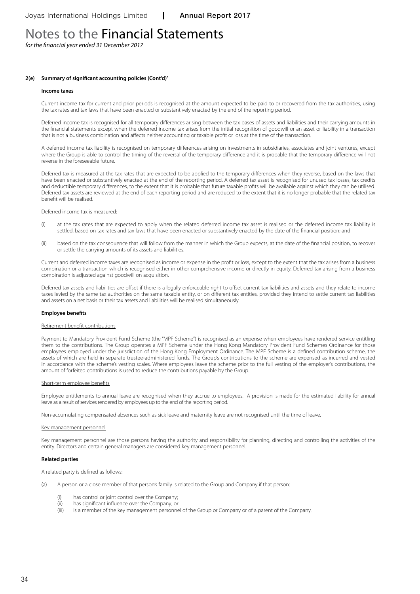*for the financial year ended 31 December 2017*

#### **2(e) Summary of significant accounting policies (Cont'd)'**

#### **Income taxes**

Current income tax for current and prior periods is recognised at the amount expected to be paid to or recovered from the tax authorities, using the tax rates and tax laws that have been enacted or substantively enacted by the end of the reporting period.

Deferred income tax is recognised for all temporary differences arising between the tax bases of assets and liabilities and their carrying amounts in the financial statements except when the deferred income tax arises from the initial recognition of goodwill or an asset or liability in a transaction that is not a business combination and affects neither accounting or taxable profit or loss at the time of the transaction.

A deferred income tax liability is recognised on temporary differences arising on investments in subsidiaries, associates and joint ventures, except where the Group is able to control the timing of the reversal of the temporary difference and it is probable that the temporary difference will not reverse in the foreseeable future.

Deferred tax is measured at the tax rates that are expected to be applied to the temporary differences when they reverse, based on the laws that have been enacted or substantively enacted at the end of the reporting period. A deferred tax asset is recognised for unused tax losses, tax credits and deductible temporary differences, to the extent that it is probable that future taxable profits will be available against which they can be utilised. Deferred tax assets are reviewed at the end of each reporting period and are reduced to the extent that it is no longer probable that the related tax benefit will be realised.

Deferred income tax is measured:

- (i) at the tax rates that are expected to apply when the related deferred income tax asset is realised or the deferred income tax liability is settled, based on tax rates and tax laws that have been enacted or substantively enacted by the date of the financial position; and
- (ii) based on the tax consequence that will follow from the manner in which the Group expects, at the date of the financial position, to recover or settle the carrying amounts of its assets and liabilities.

Current and deferred income taxes are recognised as income or expense in the profit or loss, except to the extent that the tax arises from a business combination or a transaction which is recognised either in other comprehensive income or directly in equity. Deferred tax arising from a business combination is adjusted against goodwill on acquisition.

Deferred tax assets and liabilities are offset if there is a legally enforceable right to offset current tax liabilities and assets and they relate to income taxes levied by the same tax authorities on the same taxable entity, or on different tax entities, provided they intend to settle current tax liabilities and assets on a net basis or their tax assets and liabilities will be realised simultaneously.

#### **Employee benefits**

#### Retirement benefit contributions

Payment to Mandatory Provident Fund Scheme (the "MPF Scheme") is recognised as an expense when employees have rendered service entitling them to the contributions. The Group operates a MPF Scheme under the Hong Kong Mandatory Provident Fund Schemes Ordinance for those employees employed under the jurisdiction of the Hong Kong Employment Ordinance. The MPF Scheme is a defined contribution scheme, the assets of which are held in separate trustee-administered funds. The Group's contributions to the scheme are expensed as incurred and vested in accordance with the scheme's vesting scales. Where employees leave the scheme prior to the full vesting of the employer's contributions, the amount of forfeited contributions is used to reduce the contributions payable by the Group.

#### Short-term employee benefits

Employee entitlements to annual leave are recognised when they accrue to employees. A provision is made for the estimated liability for annual leave as a result of services rendered by employees up to the end of the reporting period.

Non-accumulating compensated absences such as sick leave and maternity leave are not recognised until the time of leave.

#### Key management personnel

Key management personnel are those persons having the authority and responsibility for planning, directing and controlling the activities of the entity. Directors and certain general managers are considered key management personnel.

#### **Related parties**

A related party is defined as follows:

- (a) A person or a close member of that person's family is related to the Group and Company if that person:
	- (i) has control or joint control over the Company;
	- (ii) has significant influence over the Company; or
	- (iii) is a member of the key management personnel of the Group or Company or of a parent of the Company.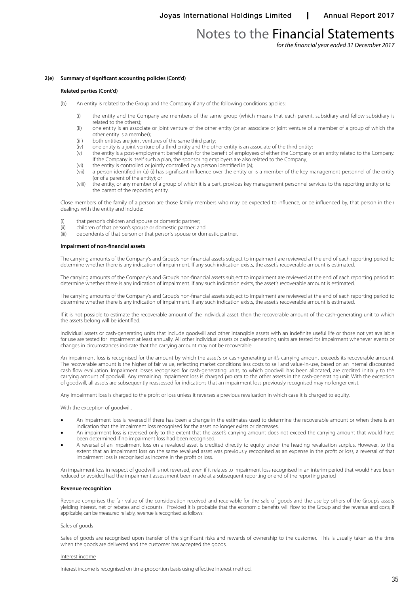*for the financial year ended 31 December 2017*

#### **2(e) Summary of significant accounting policies (Cont'd)**

#### **Related parties (Cont'd)**

- (b) An entity is related to the Group and the Company if any of the following conditions applies:
	- (i) the entity and the Company are members of the same group (which means that each parent, subsidiary and fellow subsidiary is related to the others);
	- (ii) one entity is an associate or joint venture of the other entity (or an associate or joint venture of a member of a group of which the other entity is a member);
	- (iii) both entities are joint ventures of the same third party;<br>(iv) one entity is a joint venture of a third entity and the oth
	- (iv) one entity is a joint venture of a third entity and the other entity is an associate of the third entity;
	- (v) the entity is a post-employment benefit plan for the benefit of employees of either the Company or an entity related to the Company. If the Company is itself such a plan, the sponsoring employers are also related to the Company;
	- (vi) the entity is controlled or jointly controlled by a person identified in (a); (vii) a person identified in (a) (i) has significant influence over the entity or
	- a person identified in (a) (i) has significant influence over the entity or is a member of the key management personnel of the entity (or of a parent of the entity); or
	- (viii) the entity, or any member of a group of which it is a part, provides key management personnel services to the reporting entity or to the parent of the reporting entity.

Close members of the family of a person are those family members who may be expected to influence, or be influenced by, that person in their dealings with the entity and include:

- 
- (i) that person's children and spouse or domestic partner;<br>(ii) children of that person's spouse or domestic partner; ar (ii) children of that person's spouse or domestic partner; and<br>(iii) dependents of that person or that person's spouse or dor
- dependents of that person or that person's spouse or domestic partner.

#### **Impairment of non-financial assets**

The carrying amounts of the Company's and Group's non-financial assets subject to impairment are reviewed at the end of each reporting period to determine whether there is any indication of impairment. If any such indication exists, the asset's recoverable amount is estimated.

The carrying amounts of the Company's and Group's non-financial assets subject to impairment are reviewed at the end of each reporting period to determine whether there is any indication of impairment. If any such indication exists, the asset's recoverable amount is estimated.

The carrying amounts of the Company's and Group's non-financial assets subject to impairment are reviewed at the end of each reporting period to determine whether there is any indication of impairment. If any such indication exists, the asset's recoverable amount is estimated.

If it is not possible to estimate the recoverable amount of the individual asset, then the recoverable amount of the cash-generating unit to which the assets belong will be identified.

Individual assets or cash-generating units that include goodwill and other intangible assets with an indefinite useful life or those not yet available for use are tested for impairment at least annually. All other individual assets or cash-generating units are tested for impairment whenever events or changes in circumstances indicate that the carrying amount may not be recoverable.

An impairment loss is recognised for the amount by which the asset's or cash-generating unit's carrying amount exceeds its recoverable amount. The recoverable amount is the higher of fair value, reflecting market conditions less costs to sell and value-in-use, based on an internal discounted cash flow evaluation. Impairment losses recognised for cash-generating units, to which goodwill has been allocated, are credited initially to the carrying amount of goodwill. Any remaining impairment loss is charged pro rata to the other assets in the cash-generating unit. With the exception of goodwill, all assets are subsequently reassessed for indications that an impairment loss previously recognised may no longer exist.

Any impairment loss is charged to the profit or loss unless it reverses a previous revaluation in which case it is charged to equity.

With the exception of goodwill,

- An impairment loss is reversed if there has been a change in the estimates used to determine the recoverable amount or when there is an indication that the impairment loss recognised for the asset no longer exists or decreases.
- An impairment loss is reversed only to the extent that the asset's carrying amount does not exceed the carrying amount that would have been determined if no impairment loss had been recognised.
- A reversal of an impairment loss on a revalued asset is credited directly to equity under the heading revaluation surplus. However, to the extent that an impairment loss on the same revalued asset was previously recognised as an expense in the profit or loss, a reversal of that impairment loss is recognised as income in the profit or loss.

An impairment loss in respect of goodwill is not reversed, even if it relates to impairment loss recognised in an interim period that would have been reduced or avoided had the impairment assessment been made at a subsequent reporting or end of the reporting period

#### **Revenue recognition**

Revenue comprises the fair value of the consideration received and receivable for the sale of goods and the use by others of the Group's assets yielding interest, net of rebates and discounts. Provided it is probable that the economic benefits will flow to the Group and the revenue and costs, if applicable, can be measured reliably, revenue is recognised as follows:

#### Sales of goods

Sales of goods are recognised upon transfer of the significant risks and rewards of ownership to the customer. This is usually taken as the time when the goods are delivered and the customer has accepted the goods.

#### Interest income

Interest income is recognised on time-proportion basis using effective interest method.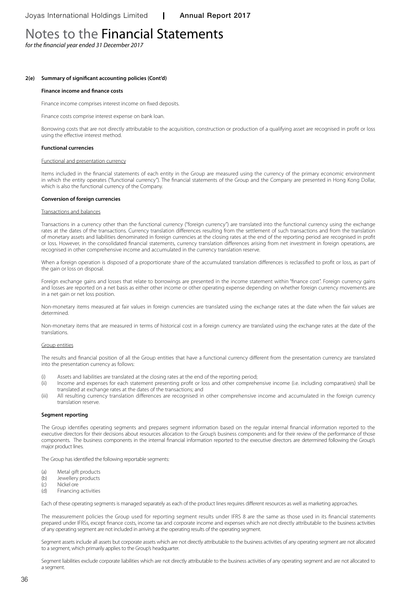*for the financial year ended 31 December 2017*

#### **2(e) Summary of significant accounting policies (Cont'd)**

#### **Finance income and finance costs**

Finance income comprises interest income on fixed deposits.

Finance costs comprise interest expense on bank loan.

Borrowing costs that are not directly attributable to the acquisition, construction or production of a qualifying asset are recognised in profit or loss using the effective interest method.

#### **Functional currencies**

#### Functional and presentation currency

Items included in the financial statements of each entity in the Group are measured using the currency of the primary economic environment in which the entity operates ("functional currency"). The financial statements of the Group and the Company are presented in Hong Kong Dollar, which is also the functional currency of the Company.

#### **Conversion of foreign currencies**

#### Transactions and balances

Transactions in a currency other than the functional currency ("foreign currency") are translated into the functional currency using the exchange rates at the dates of the transactions. Currency translation differences resulting from the settlement of such transactions and from the translation of monetary assets and liabilities denominated in foreign currencies at the closing rates at the end of the reporting period are recognised in profit or loss. However, in the consolidated financial statements, currency translation differences arising from net investment in foreign operations, are recognised in other comprehensive income and accumulated in the currency translation reserve.

When a foreign operation is disposed of a proportionate share of the accumulated translation differences is reclassified to profit or loss, as part of the gain or loss on disposal.

Foreign exchange gains and losses that relate to borrowings are presented in the income statement within "finance cost". Foreign currency gains and losses are reported on a net basis as either other income or other operating expense depending on whether foreign currency movements are in a net gain or net loss position.

Non-monetary items measured at fair values in foreign currencies are translated using the exchange rates at the date when the fair values are determined.

Non-monetary items that are measured in terms of historical cost in a foreign currency are translated using the exchange rates at the date of the translations.

#### Group entities

The results and financial position of all the Group entities that have a functional currency different from the presentation currency are translated into the presentation currency as follows:

- (i) Assets and liabilities are translated at the closing rates at the end of the reporting period;
- (ii) Income and expenses for each statement presenting profit or loss and other comprehensive income (i.e. including comparatives) shall be translated at exchange rates at the dates of the transactions; and
- (iii) All resulting currency translation differences are recognised in other comprehensive income and accumulated in the foreign currency translation reserve.

#### **Segment reporting**

The Group identifies operating segments and prepares segment information based on the regular internal financial information reported to the executive directors for their decisions about resources allocation to the Group's business components and for their review of the performance of those components. The business components in the internal financial information reported to the executive directors are determined following the Group's major product lines.

The Group has identified the following reportable segments:

- (a) Metal gift products
- (b) Jewellery products
- (c) Nickel ore<br>(d) Financino
- Financing activities

Each of these operating segments is managed separately as each of the product lines requires different resources as well as marketing approaches.

The measurement policies the Group used for reporting segment results under IFRS 8 are the same as those used in its financial statements prepared under IFRSs, except finance costs, income tax and corporate income and expenses which are not directly attributable to the business activities of any operating segment are not included in arriving at the operating results of the operating segment.

Segment assets include all assets but corporate assets which are not directly attributable to the business activities of any operating segment are not allocated to a segment, which primarily applies to the Group's headquarter.

Segment liabilities exclude corporate liabilities which are not directly attributable to the business activities of any operating segment and are not allocated to a segment.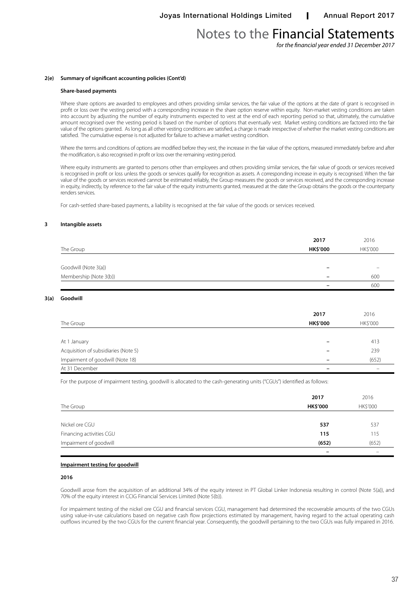*for the financial year ended 31 December 2017*

## **2(e) Summary of significant accounting policies (Cont'd)**

## **Share-based payments**

Where share options are awarded to employees and others providing similar services, the fair value of the options at the date of grant is recognised in profit or loss over the vesting period with a corresponding increase in the share option reserve within equity. Non-market vesting conditions are taken into account by adjusting the number of equity instruments expected to vest at the end of each reporting period so that, ultimately, the cumulative amount recognised over the vesting period is based on the number of options that eventually vest. Market vesting conditions are factored into the fair value of the options granted. As long as all other vesting conditions are satisfied, a charge is made irrespective of whether the market vesting conditions are satisfied. The cumulative expense is not adjusted for failure to achieve a market vesting condition.

Where the terms and conditions of options are modified before they vest, the increase in the fair value of the options, measured immediately before and after the modification, is also recognised in profit or loss over the remaining vesting period.

Where equity instruments are granted to persons other than employees and others providing similar services, the fair value of goods or services received is recognised in profit or loss unless the goods or services qualify for recognition as assets. A corresponding increase in equity is recognised. When the fair value of the goods or services received cannot be estimated reliably, the Group measures the goods or services received, and the corresponding increase in equity, indirectly, by reference to the fair value of the equity instruments granted, measured at the date the Group obtains the goods or the counterparty renders services.

For cash-settled share-based payments, a liability is recognised at the fair value of the goods or services received.

## **3 Intangible assets**

|                        | 2017                     | 2016     |
|------------------------|--------------------------|----------|
| The Group              | <b>HK\$'000</b>          | HK\$'000 |
|                        |                          |          |
| Goodwill (Note 3(a))   | -                        |          |
| Membership (Note 3(b)) | $\overline{\phantom{0}}$ | 600      |
|                        |                          | 600      |

## **3(a) Goodwill**

|                                      | 2017            | 2016     |
|--------------------------------------|-----------------|----------|
| The Group                            | <b>HK\$'000</b> | HK\$'000 |
|                                      |                 |          |
| At 1 January                         |                 | 413      |
| Acquisition of subsidiaries (Note 5) |                 | 239      |
| Impairment of goodwill (Note 18)     |                 | (652)    |
| At 31 December                       |                 |          |

For the purpose of impairment testing, goodwill is allocated to the cash-generating units ("CGUs") identified as follows:

| The Group                | 2017<br><b>HK\$'000</b>  | 2016<br>HK\$'000 |
|--------------------------|--------------------------|------------------|
|                          |                          |                  |
| Nickel ore CGU           | 537                      | 537              |
| Financing activities CGU | 115                      | 115              |
| Impairment of goodwill   | (652)                    | (652)            |
|                          | $\overline{\phantom{0}}$ |                  |

## **Impairment testing for goodwill**

## **2016**

Goodwill arose from the acquisition of an additional 34% of the equity interest in PT Global Linker Indonesia resulting in control (Note 5(a)), and 70% of the equity interest in CCIG Financial Services Limited (Note 5(b)).

For impairment testing of the nickel ore CGU and financial services CGU, management had determined the recoverable amounts of the two CGUs using value-in-use calculations based on negative cash flow projections estimated by management, having regard to the actual operating cash outflows incurred by the two CGUs for the current financial year. Consequently, the goodwill pertaining to the two CGUs was fully impaired in 2016.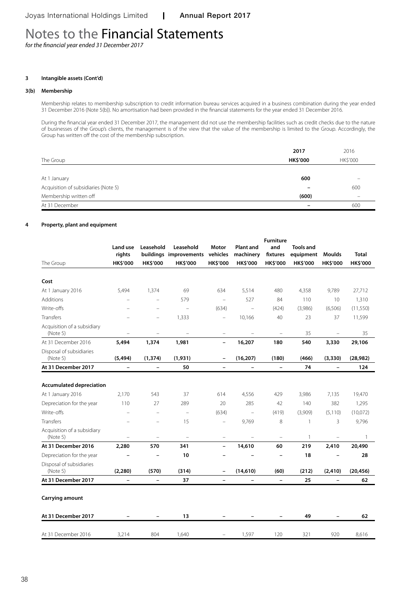*for the financial year ended 31 December 2017*

## **3 Intangible assets (Cont'd)**

## **3(b) Membership**

Membership relates to membership subscription to credit information bureau services acquired in a business combination during the year ended 31 December 2016 (Note 5(b)). No amortisation had been provided in the financial statements for the year ended 31 December 2016.

During the financial year ended 31 December 2017, the management did not use the membership facilities such as credit checks due to the nature of businesses of the Group's clients, the management is of the view that the value of the membership is limited to the Group. Accordingly, the Group has written off the cost of the membership subscription.

|                                      | 2017            | 2016     |
|--------------------------------------|-----------------|----------|
| The Group                            | <b>HK\$'000</b> | HK\$'000 |
|                                      |                 |          |
| At 1 January                         | 600             |          |
| Acquisition of subsidiaries (Note 5) |                 | 600      |
| Membership written off               | (600)           | –        |
| At 31 December                       |                 | 600      |

#### **4 Property, plant and equipment**

|                                         |                          |                          |                                 |                          |                          | <b>Furniture</b>         |                  |                          |                 |
|-----------------------------------------|--------------------------|--------------------------|---------------------------------|--------------------------|--------------------------|--------------------------|------------------|--------------------------|-----------------|
|                                         | Land use                 | Leasehold                | Leasehold                       | Motor                    | <b>Plant and</b>         | and                      | <b>Tools and</b> |                          |                 |
|                                         | rights                   |                          | buildings improvements vehicles |                          | machinery                | fixtures                 | equipment        | <b>Moulds</b>            | <b>Total</b>    |
| The Group                               | <b>HK\$'000</b>          | <b>HK\$'000</b>          | <b>HK\$'000</b>                 | <b>HK\$'000</b>          | <b>HK\$'000</b>          | <b>HK\$'000</b>          | <b>HK\$'000</b>  | <b>HK\$'000</b>          | <b>HK\$'000</b> |
| Cost                                    |                          |                          |                                 |                          |                          |                          |                  |                          |                 |
| At 1 January 2016                       | 5,494                    | 1,374                    | 69                              | 634                      | 5,514                    | 480                      | 4,358            | 9,789                    | 27,712          |
| Additions                               |                          |                          | 579                             | $\overline{\phantom{0}}$ | 527                      | 84                       | 110              | 10                       | 1,310           |
| Write-offs                              |                          | L.                       | $\overline{\phantom{0}}$        | (634)                    | $\overline{\phantom{a}}$ | (424)                    | (3,986)          | (6,506)                  | (11, 550)       |
| Transfers                               |                          | $\equiv$                 | 1,333                           | $\overline{\phantom{0}}$ | 10,166                   | 40                       | 23               | 37                       | 11,599          |
| Acquisition of a subsidiary<br>(Note 5) |                          | $\overline{\phantom{0}}$ |                                 | $\overline{\phantom{0}}$ |                          | $\overline{\phantom{0}}$ | 35               |                          | 35              |
| At 31 December 2016                     | 5,494                    | 1,374                    | 1,981                           | $\overline{\phantom{a}}$ | 16,207                   | 180                      | 540              | 3,330                    | 29,106          |
| Disposal of subsidiaries<br>(Note 5)    | (5, 494)                 | (1, 374)                 | (1,931)                         | $\overline{\phantom{a}}$ | (16, 207)                | (180)                    | (466)            | (3, 330)                 | (28, 982)       |
| At 31 December 2017                     | $\overline{\phantom{a}}$ | $\qquad \qquad -$        | 50                              | $\overline{\phantom{a}}$ | $\overline{\phantom{a}}$ | $\overline{\phantom{a}}$ | 74               | $\overline{\phantom{a}}$ | 124             |
|                                         |                          |                          |                                 |                          |                          |                          |                  |                          |                 |
| <b>Accumulated depreciation</b>         |                          |                          |                                 |                          |                          |                          |                  |                          |                 |
| At 1 January 2016                       | 2,170                    | 543                      | 37                              | 614                      | 4,556                    | 429                      | 3,986            | 7,135                    | 19,470          |
| Depreciation for the year               | 110                      | 27                       | 289                             | 20                       | 285                      | 42                       | 140              | 382                      | 1,295           |
| Write-offs                              | $\overline{\phantom{m}}$ | $\overline{\phantom{0}}$ | $\qquad \qquad -$               | (634)                    | $\overline{\phantom{0}}$ | (419)                    | (3,909)          | (5, 110)                 | (10,072)        |
| Transfers                               |                          | $\overline{\phantom{0}}$ | 15                              | $\overline{\phantom{m}}$ | 9,769                    | 8                        | 1                | 3                        | 9,796           |
| Acquisition of a subsidiary<br>(Note 5) | $\overline{\phantom{m}}$ | $\qquad \qquad -$        | $\overline{\phantom{m}}$        | $\overline{\phantom{0}}$ | $\overline{\phantom{m}}$ | $\overline{\phantom{0}}$ | 1                | $\overline{\phantom{0}}$ | $\mathbf{1}$    |
| At 31 December 2016                     | 2,280                    | 570                      | 341                             | $\overline{\phantom{0}}$ | 14,610                   | 60                       | 219              | 2,410                    | 20,490          |
| Depreciation for the year               |                          |                          | 10                              |                          |                          |                          | 18               |                          | 28              |
| Disposal of subsidiaries<br>(Note 5)    | (2, 280)                 | (570)                    | (314)                           | $\overline{\phantom{a}}$ | (14,610)                 | (60)                     | (212)            | (2, 410)                 | (20, 456)       |
| At 31 December 2017                     | $\overline{\phantom{0}}$ | $\overline{\phantom{0}}$ | 37                              | $\qquad \qquad -$        | $\overline{\phantom{0}}$ | $\overline{\phantom{0}}$ | 25               | $\overline{\phantom{a}}$ | 62              |
| Carrying amount                         |                          |                          |                                 |                          |                          |                          |                  |                          |                 |
| At 31 December 2017                     |                          |                          | 13                              |                          |                          |                          | 49               |                          | 62              |
| At 31 December 2016                     | 3,214                    | 804                      | 1,640                           |                          | 1,597                    | 120                      | 321              | 920                      | 8,616           |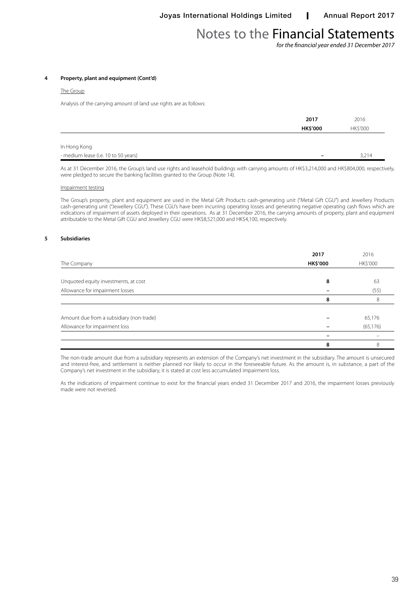*for the financial year ended 31 December 2017*

#### **4 Property, plant and equipment (Cont'd)**

#### The Group

Analysis of the carrying amount of land use rights are as follows:

|                                      | 2017            | 2016     |  |
|--------------------------------------|-----------------|----------|--|
|                                      | <b>HK\$'000</b> | HK\$'000 |  |
|                                      |                 |          |  |
| In Hong Kong                         |                 |          |  |
| - medium lease (i.e. 10 to 50 years) | -               | 3,214    |  |
|                                      |                 |          |  |

As at 31 December 2016, the Group's land use rights and leasehold buildings with carrying amounts of HK\$3,214,000 and HK\$804,000, respectively, were pledged to secure the banking facilities granted to the Group (Note 14).

#### Impairment testing

The Group's property, plant and equipment are used in the Metal Gift Products cash-generating unit ("Metal Gift CGU") and Jewellery Products cash-generating unit ("Jewellery CGU"). These CGU's have been incurring operating losses and generating negative operating cash flows which are indications of impairment of assets deployed in their operations. As at 31 December 2016, the carrying amounts of property, plant and equipment attributable to the Metal Gift CGU and Jewellery CGU were HK\$8,521,000 and HK\$4,100, respectively.

#### **5 Subsidiaries**

|                                          | 2017            | 2016      |
|------------------------------------------|-----------------|-----------|
| The Company                              | <b>HK\$'000</b> | HK\$'000  |
|                                          |                 |           |
| Unquoted equity investments, at cost     | 8               | 63        |
| Allowance for impairment losses          |                 | (55)      |
|                                          | 8               |           |
|                                          |                 |           |
| Amount due from a subsidiary (non-trade) |                 | 65,176    |
| Allowance for impairment loss            |                 | (65, 176) |
|                                          |                 |           |
|                                          | 8               | 8         |

The non-trade amount due from a subsidiary represents an extension of the Company's net investment in the subsidiary. The amount is unsecured and interest-free, and settlement is neither planned nor likely to occur in the foreseeable future. As the amount is, in substance, a part of the Company's net investment in the subsidiary, it is stated at cost less accumulated impairment loss.

As the indications of impairment continue to exist for the financial years ended 31 December 2017 and 2016, the impairment losses previously made were not reversed.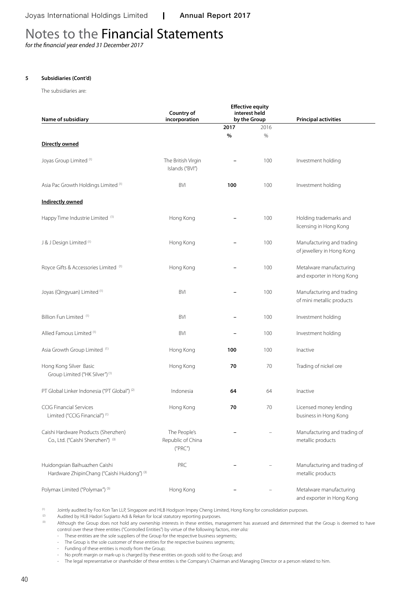*for the financial year ended 31 December 2017*

### **5 Subsidiaries (Cont'd)**

The subsidiaries are:

| Name of subsidiary                                                           | Country of<br>incorporation                  | <b>Effective equity</b><br>interest held<br>by the Group |      | <b>Principal activities</b>                            |
|------------------------------------------------------------------------------|----------------------------------------------|----------------------------------------------------------|------|--------------------------------------------------------|
|                                                                              |                                              | 2017                                                     | 2016 |                                                        |
| Directly owned                                                               |                                              | $\%$                                                     | %    |                                                        |
| Joyas Group Limited <sup>(1)</sup>                                           | The British Virgin<br>Islands ("BVI")        |                                                          | 100  | Investment holding                                     |
| Asia Pac Growth Holdings Limited (1)                                         | <b>BVI</b>                                   | 100                                                      | 100  | Investment holding                                     |
| <b>Indirectly owned</b>                                                      |                                              |                                                          |      |                                                        |
| Happy Time Industrie Limited (1)                                             | Hong Kong                                    |                                                          | 100  | Holding trademarks and<br>licensing in Hong Kong       |
| J & J Design Limited (1)                                                     | Hong Kong                                    | $\overline{\phantom{0}}$                                 | 100  | Manufacturing and trading<br>of jewellery in Hong Kong |
| Royce Gifts & Accessories Limited <sup>(1)</sup>                             | Hong Kong                                    |                                                          | 100  | Metalware manufacturing<br>and exporter in Hong Kong   |
| Joyas (Qingyuan) Limited (1)                                                 | <b>BVI</b>                                   |                                                          | 100  | Manufacturing and trading<br>of mini metallic products |
| Billion Fun Limited (1)                                                      | <b>BVI</b>                                   |                                                          | 100  | Investment holding                                     |
| Allied Famous Limited (1)                                                    | <b>BVI</b>                                   |                                                          | 100  | Investment holding                                     |
| Asia Growth Group Limited (1)                                                | Hong Kong                                    | 100                                                      | 100  | Inactive                                               |
| Hong Kong Silver Basic<br>Group Limited ("HK Silver") <sup>(1)</sup>         | Hong Kong                                    | 70                                                       | 70   | Trading of nickel ore                                  |
| PT Global Linker Indonesia ("PT Global") (2)                                 | Indonesia                                    | 64                                                       | 64   | Inactive                                               |
| <b>CCIG Financial Services</b><br>Limited ("CCIG Financial") (1)             | Hong Kong                                    | 70                                                       | 70   | Licensed money lending<br>business in Hong Kong        |
| Caishi Hardware Products (Shenzhen)<br>Co., Ltd. ("Caishi Shenzhen") (3)     | The People's<br>Republic of China<br>("PRC") |                                                          |      | Manufacturing and trading of<br>metallic products      |
| Huidongxian Baihuazhen Caishi<br>Hardware ZhipinChang ("Caishi Huidong") (3) | PRC                                          |                                                          |      | Manufacturing and trading of<br>metallic products      |
| Polymax Limited ("Polymax") (3)                                              | Hong Kong                                    |                                                          |      | Metalware manufacturing<br>and exporter in Hong Kong   |

(1) Jointly audited by Foo Kon Tan LLP, Singapore and HLB Hodgson Impey Cheng Limited, Hong Kong for consolidation purposes.

<sup>(2)</sup> Audited by HLB Hadori Sugiarto Adi & Rekan for local statutory reporting purposes.<br>Although the Group does not hold any ownership interests in these entities may

(3) Although the Group does not hold any ownership interests in these entities, management has assessed and determined that the Group is deemed to have control over these three entities ("Controlled Entities") by virtue of the following factors, *inter alia:*

- These entities are the sole suppliers of the Group for the respective business segments;

- The Group is the sole customer of these entities for the respective business segments;

- Funding of these entities is mostly from the Group;

- No profit margin or mark-up is charged by these entities on goods sold to the Group; and

- The legal representative or shareholder of these entities is the Company's Chairman and Managing Director or a person related to him.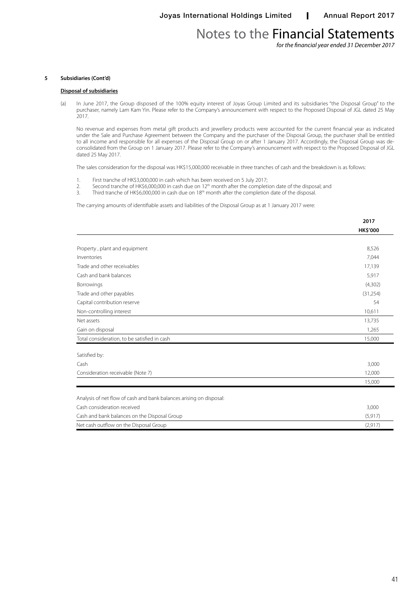*for the financial year ended 31 December 2017*

#### **5 Subsidiaries (Cont'd)**

#### **Disposal of subsidiaries**

(a) In June 2017, the Group disposed of the 100% equity interest of Joyas Group Limited and its subsidiaries "the Disposal Group" to the purchaser, namely Lam Kam Yin. Please refer to the Company's announcement with respect to the Proposed Disposal of JGL dated 25 May 2017.

No revenue and expenses from metal gift products and jewellery products were accounted for the current financial year as indicated under the Sale and Purchase Agreement between the Company and the purchaser of the Disposal Group, the purchaser shall be entitled to all income and responsible for all expenses of the Disposal Group on or after 1 January 2017. Accordingly, the Disposal Group was deconsolidated from the Group on 1 January 2017. Please refer to the Company's announcement with respect to the Proposed Disposal of JGL dated 25 May 2017.

The sales consideration for the disposal was HK\$15,000,000 receivable in three tranches of cash and the breakdown is as follows:

- 1. First tranche of HK\$3,000,000 in cash which has been received on 5 July 2017;<br>2. Second tranche of HK\$6,000,000 in cash due on  $12<sup>th</sup>$  month after the completi
- 2. Second tranche of HK\$6,000,000 in cash due on  $12<sup>th</sup>$  month after the completion date of the disposal; and 3. Third tranche of HK\$6,000,000 in cash due on  $18<sup>th</sup>$  month after the completion date of the disposal
- 3. Third tranche of HK\$6,000,000 in cash due on 18th month after the completion date of the disposal.

The carrying amounts of identifiable assets and liabilities of the Disposal Group as at 1 January 2017 were:

|                                                                     | 2017            |
|---------------------------------------------------------------------|-----------------|
|                                                                     | <b>HK\$'000</b> |
|                                                                     |                 |
| Property, plant and equipment                                       | 8,526           |
| Inventories                                                         | 7,044           |
| Trade and other receivables                                         | 17,139          |
| Cash and bank balances                                              | 5,917           |
| Borrowings                                                          | (4,302)         |
| Trade and other payables                                            | (31, 254)       |
| Capital contribution reserve                                        | 54              |
| Non-controlling interest                                            | 10,611          |
| Net assets                                                          | 13,735          |
| Gain on disposal                                                    | 1,265           |
| Total consideration, to be satisfied in cash                        | 15,000          |
| Satisfied by:                                                       |                 |
| Cash                                                                | 3,000           |
| Consideration receivable (Note 7)                                   | 12,000          |
|                                                                     | 15,000          |
| Analysis of net flow of cash and bank balances arising on disposal: |                 |
| Cash consideration received                                         | 3,000           |
| Cash and bank balances on the Disposal Group                        | (5, 917)        |
| Net cash outflow on the Disposal Group                              | (2,917)         |
|                                                                     |                 |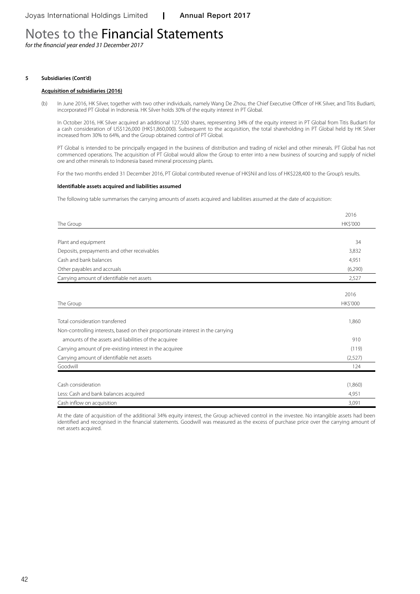*for the financial year ended 31 December 2017*

#### **5 Subsidiaries (Cont'd)**

#### **Acquisition of subsidiaries (2016)**

(b) In June 2016, HK Silver, together with two other individuals, namely Wang De Zhou, the Chief Executive Officer of HK Silver, and Titis Budiarti, incorporated PT Global in Indonesia. HK Silver holds 30% of the equity interest in PT Global.

In October 2016, HK Silver acquired an additional 127,500 shares, representing 34% of the equity interest in PT Global from Titis Budiarti for a cash consideration of US\$126,000 (HK\$1,860,000). Subsequent to the acquisition, the total shareholding in PT Global held by HK Silver increased from 30% to 64%, and the Group obtained control of PT Global.

PT Global is intended to be principally engaged in the business of distribution and trading of nickel and other minerals. PT Global has not commenced operations. The acquisition of PT Global would allow the Group to enter into a new business of sourcing and supply of nickel ore and other minerals to Indonesia based mineral processing plants.

For the two months ended 31 December 2016, PT Global contributed revenue of HK\$Nil and loss of HK\$228,400 to the Group's results.

#### **Identifiable assets acquired and liabilities assumed**

The following table summarises the carrying amounts of assets acquired and liabilities assumed at the date of acquisition:

|                                                                                  | 2016     |
|----------------------------------------------------------------------------------|----------|
| The Group                                                                        | HK\$'000 |
|                                                                                  |          |
| Plant and equipment                                                              | 34       |
| Deposits, prepayments and other receivables                                      | 3,832    |
| Cash and bank balances                                                           | 4,951    |
| Other payables and accruals                                                      | (6,290)  |
| Carrying amount of identifiable net assets                                       | 2,527    |
|                                                                                  |          |
|                                                                                  | 2016     |
| The Group                                                                        | HK\$'000 |
|                                                                                  |          |
| Total consideration transferred                                                  | 1.860    |
| Non-controlling interests, based on their proportionate interest in the carrying |          |
| amounts of the assets and liabilities of the acquiree                            | 910      |
| Carrying amount of pre-existing interest in the acquiree                         | (119)    |
| Carrying amount of identifiable net assets                                       | (2,527)  |
| Goodwill                                                                         | 124      |
|                                                                                  |          |
| Cash consideration                                                               | (1,860)  |
| Less: Cash and bank balances acquired                                            | 4,951    |
| Cash inflow on acquisition                                                       | 3,091    |

At the date of acquisition of the additional 34% equity interest, the Group achieved control in the investee. No intangible assets had been identified and recognised in the financial statements. Goodwill was measured as the excess of purchase price over the carrying amount of net assets acquired.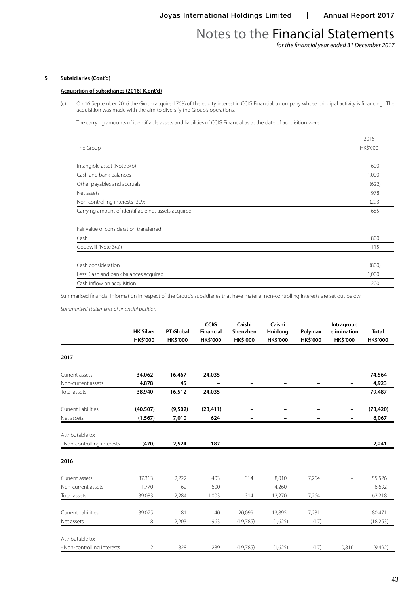*for the financial year ended 31 December 2017*

## **5 Subsidiaries (Cont'd)**

### **Acquisition of subsidiaries (2016) (Cont'd)**

(c) On 16 September 2016 the Group acquired 70% of the equity interest in CCIG Financial, a company whose principal activity is financing. The acquisition was made with the aim to diversify the Group's operations.

The carrying amounts of identifiable assets and liabilities of CCIG Financial as at the date of acquisition were:

|                                                     | 2016     |
|-----------------------------------------------------|----------|
| The Group                                           | HK\$'000 |
|                                                     |          |
| Intangible asset (Note 3(b))                        | 600      |
| Cash and bank balances                              | 1,000    |
| Other payables and accruals                         | (622)    |
| Net assets                                          | 978      |
| Non-controlling interests (30%)                     | (293)    |
| Carrying amount of identifiable net assets acquired | 685      |
| Fair value of consideration transferred:            |          |
| Cash                                                | 800      |
| Goodwill (Note 3(a))                                | 115      |
|                                                     |          |
| Cash consideration                                  | (800)    |
| Less: Cash and bank balances acquired               | 1,000    |
| Cash inflow on acquisition                          | 200      |

Summarised financial information in respect of the Group's subsidiaries that have material non-controlling interests are set out below.

*Summarised statements of financial position*

|                                                 | <b>HK Silver</b><br><b>HK\$'000</b> | <b>PT Global</b><br>HK\$'000 | <b>CCIG</b><br><b>Financial</b><br><b>HK\$'000</b> | Caishi<br>Shenzhen<br><b>HK\$'000</b> | Caishi<br>Huidong<br><b>HK\$'000</b> | Polymax<br><b>HK\$'000</b> | Intragroup<br>elimination<br>HK\$'000 | <b>Total</b><br>HK\$'000 |
|-------------------------------------------------|-------------------------------------|------------------------------|----------------------------------------------------|---------------------------------------|--------------------------------------|----------------------------|---------------------------------------|--------------------------|
| 2017                                            |                                     |                              |                                                    |                                       |                                      |                            |                                       |                          |
| Current assets                                  | 34,062                              | 16,467                       | 24,035                                             |                                       |                                      |                            | -                                     | 74,564                   |
| Non-current assets                              | 4,878                               | 45                           | $\qquad \qquad -$                                  | $\overline{\phantom{a}}$              | $\overline{\phantom{a}}$             | -                          | -                                     | 4,923                    |
| Total assets                                    | 38,940                              | 16,512                       | 24,035                                             | $\overline{\phantom{m}}$              | $\overline{\phantom{m}}$             | -                          | -                                     | 79,487                   |
| Current liabilities                             | (40, 507)                           | (9,502)                      | (23, 411)                                          | $\overline{\phantom{m}}$              | $\overline{\phantom{m}}$             | -                          | -                                     | (73, 420)                |
| Net assets                                      | (1, 567)                            | 7,010                        | 624                                                | $\overline{\phantom{a}}$              | $\overline{\phantom{a}}$             | $\overline{\phantom{0}}$   | -                                     | 6,067                    |
| Attributable to:                                |                                     |                              |                                                    |                                       |                                      |                            |                                       |                          |
| - Non-controlling interests                     | (470)                               | 2,524                        | 187                                                |                                       |                                      |                            |                                       | 2,241                    |
| 2016                                            |                                     |                              |                                                    |                                       |                                      |                            |                                       |                          |
| Current assets                                  | 37,313                              | 2,222                        | 403                                                | 314                                   | 8,010                                | 7,264                      | -                                     | 55,526                   |
| Non-current assets                              | 1,770                               | 62                           | 600                                                |                                       | 4,260                                |                            | $\overline{\phantom{0}}$              | 6,692                    |
| Total assets                                    | 39,083                              | 2,284                        | 1,003                                              | 314                                   | 12,270                               | 7,264                      | -                                     | 62,218                   |
| Current liabilities                             | 39,075                              | 81                           | 40                                                 | 20,099                                | 13,895                               | 7,281                      | -                                     | 80,471                   |
| Net assets                                      | 8                                   | 2,203                        | 963                                                | (19,785)                              | (1,625)                              | (17)                       | $\overline{\phantom{m}}$              | (18, 253)                |
| Attributable to:<br>- Non-controlling interests | 2                                   | 828                          | 289                                                | (19, 785)                             | (1,625)                              | (17)                       | 10,816                                | (9,492)                  |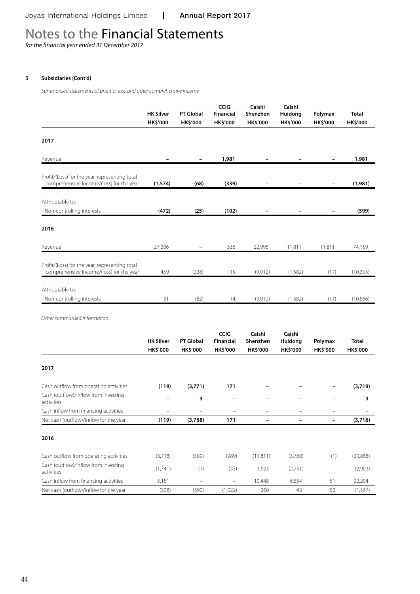*for the financial year ended 31 December 2017*

## **5 Subsidiaries (Cont'd)**

*Summarised statements of profit or loss and other comprehensive income*

|                                                                                            | <b>HK Silver</b>                    | <b>PT Global</b>             | <b>CCIG</b><br>Financial                    | Caishi<br>Shenzhen                    | Caishi<br>Huidong<br>HK\$'000 | Polymax                    | <b>Total</b>             |
|--------------------------------------------------------------------------------------------|-------------------------------------|------------------------------|---------------------------------------------|---------------------------------------|-------------------------------|----------------------------|--------------------------|
|                                                                                            | <b>HK\$'000</b>                     | <b>HK\$'000</b>              | <b>HK\$'000</b>                             | <b>HK\$'000</b>                       |                               | <b>HK\$'000</b>            | <b>HK\$'000</b>          |
| 2017                                                                                       |                                     |                              |                                             |                                       |                               |                            |                          |
|                                                                                            |                                     |                              |                                             |                                       |                               |                            |                          |
| Revenue                                                                                    |                                     | $\overline{\phantom{0}}$     | 1,981                                       |                                       |                               | $\overline{\phantom{0}}$   | 1,981                    |
| Profit/(Loss) for the year, representing total<br>comprehensive Income/(loss) for the year | (1,574)                             | (68)                         | (339)                                       |                                       |                               |                            | (1,981)                  |
| Attributable to:                                                                           |                                     |                              |                                             |                                       |                               |                            |                          |
| - Non-controlling interests                                                                | (472)                               | (25)                         | (102)                                       |                                       |                               |                            | (599)                    |
| 2016                                                                                       |                                     |                              |                                             |                                       |                               |                            |                          |
| Revenue                                                                                    | 27,206                              |                              | 336                                         | 22,995                                | 11,811                        | 11,811                     | 74,159                   |
| Profit/(Loss) for the year, representing total<br>comprehensive Income/(loss) for the year | 459                                 | (228)                        | (15)                                        | (9,012)                               | (1, 582)                      | (17)                       | (10, 395)                |
| Attributable to:                                                                           |                                     |                              |                                             |                                       |                               |                            |                          |
| - Non-controlling interests                                                                | 131                                 | (82)                         | (4)                                         | (9,012)                               | (1,582)                       | (17)                       | (10, 566)                |
| Other summarised information                                                               |                                     |                              |                                             |                                       |                               |                            |                          |
|                                                                                            | <b>HK Silver</b><br><b>HK\$'000</b> | <b>PT Global</b><br>HK\$'000 | <b>CCIG</b><br>Financial<br><b>HK\$'000</b> | Caishi<br>Shenzhen<br><b>HK\$'000</b> | Caishi<br>Huidong<br>HK\$'000 | Polymax<br><b>HK\$'000</b> | <b>Total</b><br>HK\$'000 |
| 2017                                                                                       |                                     |                              |                                             |                                       |                               |                            |                          |
| Cash outflow from operating activities                                                     | (119)                               | (3,771)                      | 171                                         |                                       |                               |                            | (3,719)                  |
| Cash (outflow)/inflow from investing<br>activities                                         | $\overline{\phantom{0}}$            | 3                            | $\overline{\phantom{0}}$                    |                                       |                               | —                          | 3                        |
| Cash inflow from financing activities                                                      | $\overline{\phantom{0}}$            | $\qquad \qquad -$            | $\overline{\phantom{0}}$                    |                                       | $\overline{\phantom{0}}$      | —                          |                          |
| Net cash (outflow)/inflow for the year                                                     | (119)                               | (3,768)                      | 171                                         | $\overline{\phantom{a}}$              | $\overline{\phantom{0}}$      | $\overline{a}$             | (3,716)                  |

| Cash outflow from operating activities             | (3,718) | (589)             | (989)                    | (11.811) | (3,760) | (1) | (20, 868) |
|----------------------------------------------------|---------|-------------------|--------------------------|----------|---------|-----|-----------|
| Cash (outflow)/inflow from investing<br>activities | (1.741) |                   | (33)                     | .623     | (2,751) | -   | (2,903)   |
| Cash inflow from financing activities              | 5.151   | $\qquad \qquad =$ | $\overline{\phantom{a}}$ | 10.448   | 6.554   |     | 22.204    |
| Net cash (outflow)/inflow for the year             | (308)   | (590)             | (1,022)                  | 260      | 43      | 50  | 1.567)    |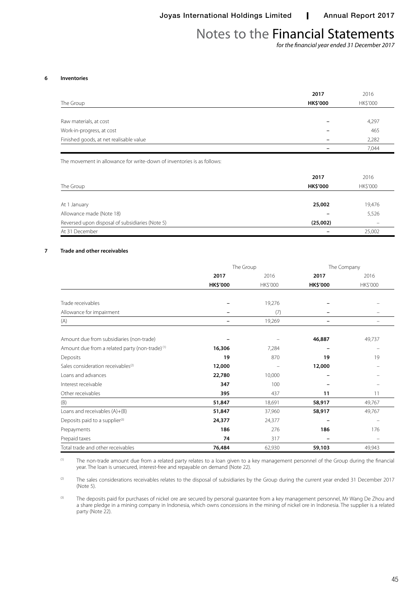*for the financial year ended 31 December 2017*

#### **6 Inventories**

|                                         | 2017            | 2016            |
|-----------------------------------------|-----------------|-----------------|
| The Group                               | <b>HK\$'000</b> | <b>HK\$'000</b> |
|                                         |                 |                 |
| Raw materials, at cost                  |                 | 4,297           |
| Work-in-progress, at cost               |                 | 465             |
| Finished goods, at net realisable value |                 | 2,282           |
|                                         |                 | 7,044           |

The movement in allowance for write-down of inventories is as follows:

| The Group                                       | 2017<br><b>HK\$'000</b> | 2016<br><b>HK\$'000</b> |
|-------------------------------------------------|-------------------------|-------------------------|
|                                                 |                         |                         |
| At 1 January                                    | 25,002                  | 19,476                  |
| Allowance made (Note 18)                        |                         | 5,526                   |
| Reversed upon disposal of subsidiaries (Note 5) | (25,002)                |                         |
| At 31 December                                  |                         | 25,002                  |

## **7 Trade and other receivables**

|                                                            |                 | The Group | The Company     |          |
|------------------------------------------------------------|-----------------|-----------|-----------------|----------|
|                                                            | 2017            | 2016      | 2017            | 2016     |
|                                                            | <b>HK\$'000</b> | HK\$'000  | <b>HK\$'000</b> | HK\$'000 |
|                                                            |                 |           |                 |          |
| Trade receivables                                          |                 | 19,276    |                 |          |
| Allowance for impairment                                   |                 | (7)       |                 |          |
| (A)                                                        |                 | 19,269    |                 | -        |
| Amount due from subsidiaries (non-trade)                   |                 |           | 46,887          | 49,737   |
| Amount due from a related party (non-trade) <sup>(1)</sup> | 16,306          | 7,284     |                 | -        |
| Deposits                                                   | 19              | 870       | 19              | 19       |
| Sales consideration receivables <sup>(2)</sup>             | 12,000          |           | 12,000          |          |
| Loans and advances                                         | 22,780          | 10,000    |                 |          |
| Interest receivable                                        | 347             | 100       |                 |          |
| Other receivables                                          | 395             | 437       | 11              | 11       |
| (B)                                                        | 51,847          | 18,691    | 58,917          | 49,767   |
| Loans and receivables (A)+(B)                              | 51,847          | 37,960    | 58,917          | 49,767   |
| Deposits paid to a supplier <sup>(3)</sup>                 | 24,377          | 24,377    |                 |          |
| Prepayments                                                | 186             | 276       | 186             | 176      |
| Prepaid taxes                                              | 74              | 317       |                 |          |
| Total trade and other receivables                          | 76,484          | 62,930    | 59,103          | 49,943   |

(1) The non-trade amount due from a related party relates to a loan given to a key management personnel of the Group during the financial year. The loan is unsecured, interest-free and repayable on demand (Note 22).

(2) The sales considerations receivables relates to the disposal of subsidiaries by the Group during the current year ended 31 December 2017 (Note 5).

(3) The deposits paid for purchases of nickel ore are secured by personal quarantee from a key management personnel, Mr Wang De Zhou and a share pledge in a mining company in Indonesia, which owns concessions in the mining of nickel ore in Indonesia. The supplier is a related party (Note 22).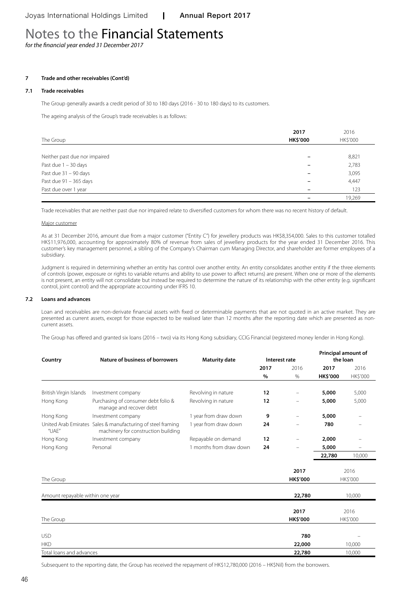*for the financial year ended 31 December 2017*

## **7 Trade and other receivables (Cont'd)**

### **7.1 Trade receivables**

The Group generally awards a credit period of 30 to 180 days (2016 - 30 to 180 days) to its customers.

The ageing analysis of the Group's trade receivables is as follows:

|                               | 2017            | 2016     |
|-------------------------------|-----------------|----------|
| The Group                     | <b>HK\$'000</b> | HK\$'000 |
|                               |                 |          |
| Neither past due nor impaired |                 | 8,821    |
| Past due $1 - 30$ days        |                 | 2,783    |
| Past due 31 - 90 days         |                 | 3,095    |
| Past due $91 - 365$ days      |                 | 4,447    |
| Past due over 1 year          |                 | 123      |
|                               |                 | 19,269   |

Trade receivables that are neither past due nor impaired relate to diversified customers for whom there was no recent history of default.

#### Major customer

As at 31 December 2016, amount due from a major customer ("Entity C") for jewellery products was HK\$8,354,000. Sales to this customer totalled HK\$11,976,000, accounting for approximately 80% of revenue from sales of jewellery products for the year ended 31 December 2016. This customer's key management personnel, a sibling of the Company's Chairman cum Managing Director, and shareholder are former employees of a subsidiary.

Judgment is required in determining whether an entity has control over another entity. An entity consolidates another entity if the three elements of controls (power, exposure or rights to variable returns and ability to use power to affect returns) are present. When one or more of the elements is not present, an entity will not consolidate but instead be required to determine the nature of its relationship with the other entity (e.g. significant control, joint control) and the appropriate accounting under IFRS 10.

#### **7.2 Loans and advances**

Loan and receivables are non-derivate financial assets with fixed or determinable payments that are not quoted in an active market. They are presented as current assets, except for those expected to be realised later than 12 months after the reporting date which are presented as noncurrent assets.

The Group has offered and granted six loans (2016 – two) via its Hong Kong subsidiary, CCIG Financial (registered money lender in Hong Kong).

| Country                                 | Nature of business of borrowers                                                                    | <b>Maturity date</b>    | Interest rate |                 | Principal amount of<br>the loan |          |
|-----------------------------------------|----------------------------------------------------------------------------------------------------|-------------------------|---------------|-----------------|---------------------------------|----------|
|                                         |                                                                                                    |                         | 2017          | 2016            | 2017                            | 2016     |
|                                         |                                                                                                    |                         | $\%$          | %               | <b>HK\$'000</b>                 | HK\$'000 |
| British Virgin Islands                  | Investment company                                                                                 | Revolving in nature     | 12            | -               | 5,000                           | 5,000    |
| Hong Kong                               | Purchasing of consumer debt folio &<br>manage and recover debt                                     | Revolving in nature     | 12            | -               | 5,000                           | 5,000    |
| Hong Kong                               | Investment company                                                                                 | 1 year from draw down   | 9             | -               | 5,000                           |          |
| $^{\prime\prime}$ UAE $^{\prime\prime}$ | United Arab Emirates Sales & manufacturing of steel framing<br>machinery for construction building | 1 year from draw down   | 24            |                 | 780                             |          |
| Hong Kong                               | Investment company                                                                                 | Repayable on demand     | 12            | $\equiv$        | 2,000                           |          |
| Hong Kong                               | Personal                                                                                           | 1 months from draw down | 24            |                 | 5,000                           |          |
|                                         |                                                                                                    |                         |               |                 | 22,780                          | 10,000   |
|                                         |                                                                                                    |                         |               | 2017            |                                 | 2016     |
| The Group                               |                                                                                                    |                         |               | <b>HK\$'000</b> |                                 | HK\$'000 |
| Amount repayable within one year        |                                                                                                    |                         |               | 22,780          |                                 | 10,000   |
|                                         |                                                                                                    |                         |               | 2017            |                                 | 2016     |
| The Group                               |                                                                                                    |                         |               | <b>HK\$'000</b> |                                 | HK\$'000 |
| <b>USD</b>                              |                                                                                                    |                         |               | 780             |                                 |          |
| <b>HKD</b>                              |                                                                                                    |                         |               | 22,000          |                                 | 10,000   |
| Total loans and advances                |                                                                                                    |                         |               | 22,780          |                                 | 10,000   |

Subsequent to the reporting date, the Group has received the repayment of HK\$12,780,000 (2016 – HK\$Nil) from the borrowers.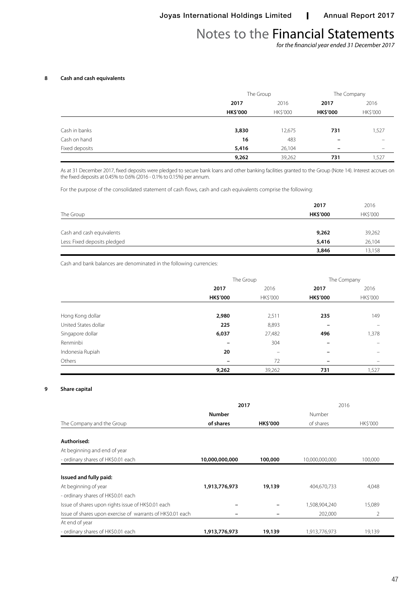*for the financial year ended 31 December 2017*

## **8 Cash and cash equivalents**

|                |                 | The Group |                          | The Company              |
|----------------|-----------------|-----------|--------------------------|--------------------------|
|                | 2017            | 2016      | 2017                     | 2016                     |
|                | <b>HK\$'000</b> | HK\$'000  | <b>HK\$'000</b>          | HK\$'000                 |
| Cash in banks  | 3,830           | 12,675    | 731                      | .527                     |
| Cash on hand   | 16              | 483       | $\overline{\phantom{m}}$ |                          |
| Fixed deposits | 5,416           | 26,104    | $\overline{\phantom{0}}$ | $\overline{\phantom{0}}$ |
|                | 9,262           | 39,262    | 731                      | 527،                     |

As at 31 December 2017, fixed deposits were pledged to secure bank loans and other banking facilities granted to the Group (Note 14). Interest accrues on the fixed deposits at 0.45% to 0.6% (2016 - 0.1% to 0.15%) per annum.

For the purpose of the consolidated statement of cash flows, cash and cash equivalents comprise the following:

|                              | 2017            | 2016     |
|------------------------------|-----------------|----------|
| The Group                    | <b>HK\$'000</b> | HK\$'000 |
|                              |                 |          |
| Cash and cash equivalents    | 9,262           | 39,262   |
| Less: Fixed deposits pledged | 5,416           | 26,104   |
|                              | 3,846           | 13,158   |

Cash and bank balances are denominated in the following currencies:

|                      |                          | The Group         |                 | The Company |
|----------------------|--------------------------|-------------------|-----------------|-------------|
|                      | 2017                     | 2016              | 2017            | 2016        |
|                      | <b>HK\$'000</b>          | HK\$'000          | <b>HK\$'000</b> | HK\$'000    |
| Hong Kong dollar     | 2,980                    | 2,511             | 235             | 149         |
| United States dollar | 225                      | 8,893             |                 |             |
| Singapore dollar     | 6,037                    | 27,482            | 496             | 1,378       |
| Renminbi             | -                        | 304               |                 |             |
| Indonesia Rupiah     | 20                       | $\qquad \qquad =$ |                 |             |
| Others               | $\overline{\phantom{a}}$ | 72                |                 |             |
|                      | 9,262                    | 39,262            | 731             | 1,527       |

## **9 Share capital**

|                                                            | 2017                     |                 | 2016           |                |
|------------------------------------------------------------|--------------------------|-----------------|----------------|----------------|
|                                                            | <b>Number</b>            |                 | Number         |                |
| The Company and the Group                                  | of shares                | <b>HK\$'000</b> | of shares      | <b>HKS'000</b> |
|                                                            |                          |                 |                |                |
| Authorised:                                                |                          |                 |                |                |
| At beginning and end of year                               |                          |                 |                |                |
| - ordinary shares of HK\$0.01 each                         | 10,000,000,000           | 100,000         | 10,000,000,000 | 100,000        |
|                                                            |                          |                 |                |                |
| Issued and fully paid:                                     |                          |                 |                |                |
| At beginning of year                                       | 1,913,776,973            | 19,139          | 404,670,733    | 4,048          |
| - ordinary shares of HK\$0.01 each                         |                          |                 |                |                |
| Issue of shares upon rights issue of HK\$0.01 each         | $\overline{\phantom{0}}$ |                 | 1,508,904,240  | 15,089         |
| Issue of shares upon exercise of warrants of HK\$0.01 each |                          |                 | 202,000        | 2              |
| At end of year                                             |                          |                 |                |                |
| - ordinary shares of HK\$0.01 each                         | 1,913,776,973            | 19,139          | 1,913,776,973  | 19,139         |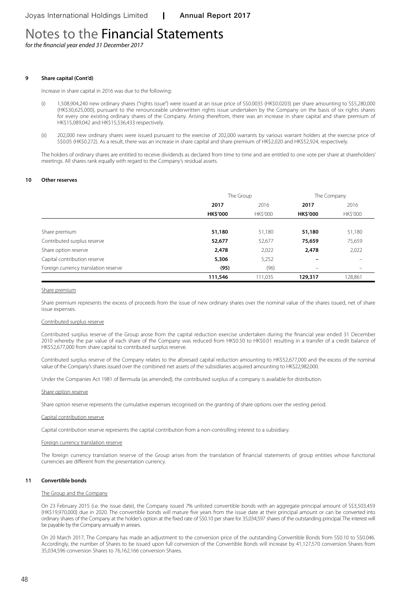*for the financial year ended 31 December 2017*

#### **9 Share capital (Cont'd)**

Increase in share capital in 2016 was due to the following:

- (i) 1,508,904,240 new ordinary shares ("rights issue") were issued at an issue price of S\$0.0035 (HK\$0.0203) per share amounting to S\$5,280,000 (HK\$30,625,000), pursuant to the renounceable underwritten rights issue undertaken by the Company on the basis of six rights shares for every one existing ordinary shares of the Company. Arising therefrom, there was an increase in share capital and share premium of HK\$15,089,042 and HK\$15,536,433 respectively.
- (ii) 202,000 new ordinary shares were issued pursuant to the exercise of 202,000 warrants by various warrant holders at the exercise price of S\$0.05 (HK\$0.272). As a result, there was an increase in share capital and share premium of HK\$2,020 and HK\$52,924, respectively.

The holders of ordinary shares are entitled to receive dividends as declared from time to time and are entitled to one vote per share at shareholders' meetings. All shares rank equally with regard to the Company's residual assets.

#### **10 Other reserves**

|                                      | The Group       |          | The Company              |                          |
|--------------------------------------|-----------------|----------|--------------------------|--------------------------|
|                                      | 2017            | 2016     | 2017                     | 2016                     |
|                                      | <b>HK\$'000</b> | HK\$'000 | <b>HK\$'000</b>          | <b>HK\$'000</b>          |
|                                      |                 |          |                          |                          |
| Share premium                        | 51,180          | 51,180   | 51,180                   | 51,180                   |
| Contributed surplus reserve          | 52,677          | 52,677   | 75,659                   | 75,659                   |
| Share option reserve                 | 2,478           | 2,022    | 2,478                    | 2,022                    |
| Capital contribution reserve         | 5,306           | 5,252    |                          |                          |
| Foreign currency translation reserve | (95)            | (96)     | $\overline{\phantom{0}}$ | $\overline{\phantom{m}}$ |
|                                      | 111,546         | 111,035  | 129,317                  | 128,861                  |

#### Share premium

Share premium represents the excess of proceeds from the issue of new ordinary shares over the nominal value of the shares issued, net of share issue expenses.

#### Contributed surplus reserve

Contributed surplus reserve of the Group arose from the capital reduction exercise undertaken during the financial year ended 31 December 2010 whereby the par value of each share of the Company was reduced from HK\$0.50 to HK\$0.01 resulting in a transfer of a credit balance of HK\$52,677,000 from share capital to contributed surplus reserve.

Contributed surplus reserve of the Company relates to the aforesaid capital reduction amounting to HK\$52,677,000 and the excess of the nominal value of the Company's shares issued over the combined net assets of the subsidiaries acquired amounting to HK\$22,982,000.

Under the Companies Act 1981 of Bermuda (as amended), the contributed surplus of a company is available for distribution.

#### Share option reserve

Share option reserve represents the cumulative expenses recognised on the granting of share options over the vesting period.

#### Capital contribution reserve

Capital contribution reserve represents the capital contribution from a non-controlling interest to a subsidiary.

## Foreign currency translation reserve

The foreign currency translation reserve of the Group arises from the translation of financial statements of group entities whose functional currencies are different from the presentation currency.

#### **11 Convertible bonds**

#### The Group and the Company

On 23 February 2015 (i.e. the issue date), the Company issued 7% unlisted convertible bonds with an aggregate principal amount of S\$3,503,459 (HK\$19,970,000) due in 2020. The convertible bonds will mature five years from the issue date at their principal amount or can be converted into ordinary shares of the Company at the holder's option at the fixed rate of S\$0.10 per share for 35,034,597 shares of the outstanding principal. The interest will be payable by the Company annually in arrears.

On 20 March 2017, The Company has made an adjustment to the conversion price of the outstanding Convertible Bonds from S\$0.10 to S\$0.046. Accordingly, the number of Shares to be issued upon full conversion of the Convertible Bonds will increase by 41,127,570 conversion Shares from 35,034,596 conversion Shares to 76,162,166 conversion Shares.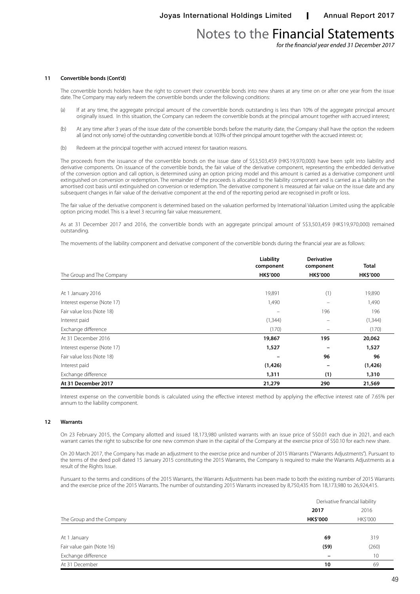*for the financial year ended 31 December 2017*

#### **11 Convertible bonds (Cont'd)**

The convertible bonds holders have the right to convert their convertible bonds into new shares at any time on or after one year from the issue date. The Company may early redeem the convertible bonds under the following conditions:

- (a) If at any time, the aggregate principal amount of the convertible bonds outstanding is less than 10% of the aggregate principal amount originally issued. In this situation, the Company can redeem the convertible bonds at the principal amount together with accrued interest;
- (b) At any time after 3 years of the issue date of the convertible bonds before the maturity date, the Company shall have the option the redeem all (and not only some) of the outstanding convertible bonds at 103% of their principal amount together with the accrued interest: or;
- (b) Redeem at the principal together with accrued interest for taxation reasons.

The proceeds from the issuance of the convertible bonds on the issue date of S\$3,503,459 (HK\$19,970,000) have been split into liability and derivative components. On issuance of the convertible bonds, the fair value of the derivative component, representing the embedded derivative of the conversion option and call option, is determined using an option pricing model and this amount is carried as a derivative component until extinguished on conversion or redemption. The remainder of the proceeds is allocated to the liability component and is carried as a liability on the amortised cost basis until extinguished on conversion or redemption. The derivative component is measured at fair value on the issue date and any subsequent changes in fair value of the derivative component at the end of the reporting period are recognised in profit or loss.

The fair value of the derivative component is determined based on the valuation performed by International Valuation Limited using the applicable option pricing model. This is a level 3 recurring fair value measurement.

As at 31 December 2017 and 2016, the convertible bonds with an aggregate principal amount of S\$3,503,459 (HK\$19,970,000) remained outstanding.

The movements of the liability component and derivative component of the convertible bonds during the financial year are as follows:

|                            | Liability<br>component | <b>Derivative</b><br>component | Total           |
|----------------------------|------------------------|--------------------------------|-----------------|
| The Group and The Company  | <b>HK\$'000</b>        | <b>HK\$'000</b>                | <b>HK\$'000</b> |
|                            |                        |                                |                 |
| At 1 January 2016          | 19,891                 | (1)                            | 19,890          |
| Interest expense (Note 17) | 1,490                  |                                | 1,490           |
| Fair value loss (Note 18)  | $\qquad \qquad =$      | 196                            | 196             |
| Interest paid              | (1,344)                |                                | (1, 344)        |
| Exchange difference        | (170)                  |                                | (170)           |
| At 31 December 2016        | 19,867                 | 195                            | 20,062          |
| Interest expense (Note 17) | 1,527                  |                                | 1,527           |
| Fair value loss (Note 18)  |                        | 96                             | 96              |
| Interest paid              | (1, 426)               |                                | (1,426)         |
| Exchange difference        | 1,311                  | (1)                            | 1,310           |
| At 31 December 2017        | 21,279                 | 290                            | 21,569          |

Interest expense on the convertible bonds is calculated using the effective interest method by applying the effective interest rate of 7.65% per annum to the liability component.

#### **12 Warrants**

On 23 February 2015, the Company allotted and issued 18,173,980 unlisted warrants with an issue price of S\$0.01 each due in 2021, and each warrant carries the right to subscribe for one new common share in the capital of the Company at the exercise price of S\$0.10 for each new share.

On 20 March 2017, the Company has made an adjustment to the exercise price and number of 2015 Warrants ("Warrants Adjustments"). Pursuant to the terms of the deed poll dated 15 January 2015 constituting the 2015 Warrants, the Company is required to make the Warrants Adjustments as a result of the Rights Issue.

Pursuant to the terms and conditions of the 2015 Warrants, the Warrants Adjustments has been made to both the existing number of 2015 Warrants and the exercise price of the 2015 Warrants. The number of outstanding 2015 Warrants increased by 8,750,435 from 18,173,980 to 26,924,415.

|                           | Derivative financial liability |          |
|---------------------------|--------------------------------|----------|
|                           | 2017                           | 2016     |
| The Group and the Company | <b>HK\$'000</b>                | HK\$'000 |
|                           |                                |          |
| At 1 January              | 69                             | 319      |
| Fair value gain (Note 16) | (59)                           | (260)    |
| Exchange difference       |                                | 10       |
| At 31 December            | 10                             | 69       |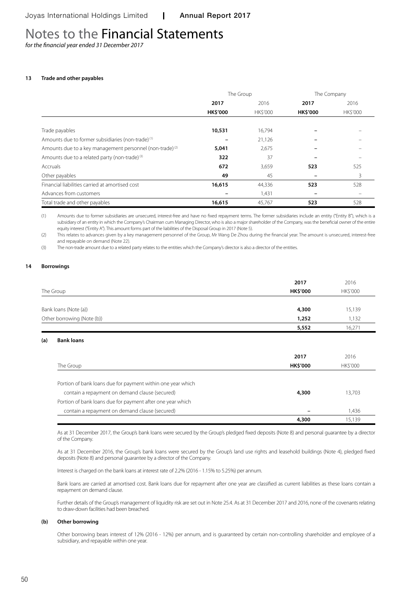*for the financial year ended 31 December 2017*

### **13 Trade and other payables**

|                                                                      | The Group       |                |                 | The Company |
|----------------------------------------------------------------------|-----------------|----------------|-----------------|-------------|
|                                                                      | 2017            | 2016           | 2017            | 2016        |
|                                                                      | <b>HK\$'000</b> | <b>HKS'000</b> | <b>HK\$'000</b> | HK\$'000    |
| Trade payables                                                       | 10,531          | 16,794         |                 |             |
| Amounts due to former subsidiaries (non-trade) <sup>(1)</sup>        |                 | 21,126         |                 |             |
| Amounts due to a key management personnel (non-trade) <sup>(2)</sup> | 5,041           | 2,675          |                 |             |
| Amounts due to a related party (non-trade) (3)                       | 322             | 37             |                 |             |
| Accruals                                                             | 672             | 3,659          | 523             | 525         |
| Other payables                                                       | 49              | 45             |                 | 3           |
| Financial liabilities carried at amortised cost                      | 16,615          | 44,336         | 523             | 528         |
| Advances from customers                                              |                 | 1,431          |                 |             |
| Total trade and other payables                                       | 16,615          | 45,767         | 523             | 528         |

(1) Amounts due to former subsidiaries are unsecured, interest-free and have no fixed repayment terms. The former subsidiaries include an entity ("Entity B"), which is a subsidiary of an entity in which the Company's Chairman cum Managing Director, who is also a major shareholder of the Company, was the beneficial owner of the entire equity interest ("Entity A"). This amount forms part of the liabilities of the Disposal Group in 2017 (Note 5).

(2) This relates to advances given by a key management personnel of the Group, Mr Wang De Zhou during the financial year. The amount is unsecured, interest-free and repayable on demand (Note 22).

(3) The non-trade amount due to a related party relates to the entities which the Company's director is also a director of the entities.

#### **14 Borrowings**

|                            | 2017            | 2016     |
|----------------------------|-----------------|----------|
| The Group                  | <b>HK\$'000</b> | HK\$'000 |
|                            |                 |          |
| Bank loans (Note (a))      | 4,300           | 15,139   |
| Other borrowing (Note (b)) | 1,252           | 1,132    |
|                            | 5,552           | 16.271   |

#### **(a) Bank loans**

|                                                             | 2017            | 2016            |
|-------------------------------------------------------------|-----------------|-----------------|
| The Group                                                   | <b>HK\$'000</b> | <b>HK\$'000</b> |
|                                                             |                 |                 |
| Portion of bank loans due for payment within one year which |                 |                 |
| contain a repayment on demand clause (secured)              | 4,300           | 13,703          |
| Portion of bank loans due for payment after one year which  |                 |                 |
| contain a repayment on demand clause (secured)              |                 | 1,436           |
|                                                             | 4,300           | 15,139          |

As at 31 December 2017, the Group's bank loans were secured by the Group's pledged fixed deposits (Note 8) and personal guarantee by a director of the Company.

As at 31 December 2016, the Group's bank loans were secured by the Group's land use rights and leasehold buildings (Note 4), pledged fixed deposits (Note 8) and personal guarantee by a director of the Company.

Interest is charged on the bank loans at interest rate of 2.2% (2016 - 1.15% to 5.25%) per annum.

Bank loans are carried at amortised cost. Bank loans due for repayment after one year are classified as current liabilities as these loans contain a repayment on demand clause.

Further details of the Group's management of liquidity risk are set out in Note 25.4. As at 31 December 2017 and 2016, none of the covenants relating to draw-down facilities had been breached.

#### **(b) Other borrowing**

Other borrowing bears interest of 12% (2016 - 12%) per annum, and is guaranteed by certain non-controlling shareholder and employee of a subsidiary, and repayable within one year.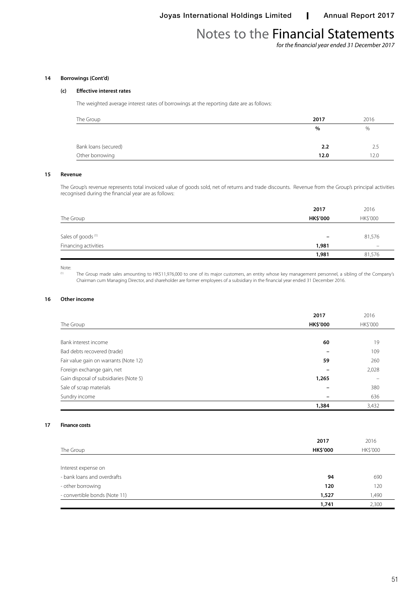*for the financial year ended 31 December 2017*

## **14 Borrowings (Cont'd)**

## **(c) Effective interest rates**

The weighted average interest rates of borrowings at the reporting date are as follows:

| The Group            | 2017 | 2016 |
|----------------------|------|------|
|                      | $\%$ | %    |
| Bank loans (secured) | 2.2  | 2.5  |
| Other borrowing      | 12.0 | 12.0 |

### **15 Revenue**

The Group's revenue represents total invoiced value of goods sold, net of returns and trade discounts. Revenue from the Group's principal activities recognised during the financial year are as follows:

|                               | 2017            | 2016     |
|-------------------------------|-----------------|----------|
| The Group                     | <b>HK\$'000</b> | HK\$'000 |
|                               |                 |          |
| Sales of goods <sup>(1)</sup> | -               | 81,576   |
| Financing activities          | 1,981           | -        |
|                               | 1,981           | 81,576   |
|                               |                 |          |

#### Note:

(1) The Group made sales amounting to HK\$11,976,000 to one of its major customers, an entity whose key management personnel, a sibling of the Company's Chairman cum Managing Director, and shareholder are former employees of a subsidiary in the financial year ended 31 December 2016.

## **16 Other income**

|                                        | 2017                     | 2016     |
|----------------------------------------|--------------------------|----------|
| The Group                              | <b>HK\$'000</b>          | HK\$'000 |
|                                        |                          |          |
| Bank interest income                   | 60                       | 19       |
| Bad debts recovered (trade)            |                          | 109      |
| Fair value gain on warrants (Note 12)  | 59                       | 260      |
| Foreign exchange gain, net             |                          | 2,028    |
| Gain disposal of subsidiaries (Note 5) | 1,265                    |          |
| Sale of scrap materials                |                          | 380      |
| Sundry income                          | $\overline{\phantom{0}}$ | 636      |
|                                        | 1,384                    | 3,432    |

#### **17 Finance costs**

|                               | 2017            | 2016     |
|-------------------------------|-----------------|----------|
| The Group                     | <b>HK\$'000</b> | HK\$'000 |
|                               |                 |          |
| Interest expense on           |                 |          |
| - bank loans and overdrafts   | 94              | 690      |
| - other borrowing             | 120             | 120      |
| - convertible bonds (Note 11) | 1,527           | 1,490    |
|                               | 1,741           | 2,300    |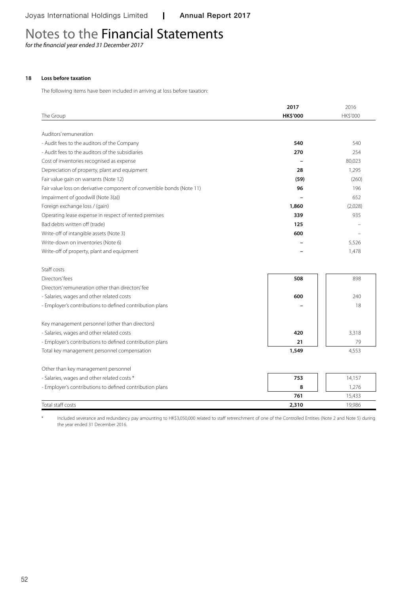*for the financial year ended 31 December 2017*

## **18 Loss before taxation**

Staff costs

The following items have been included in arriving at loss before taxation:

|                                                                        | 2017            | 2016            |
|------------------------------------------------------------------------|-----------------|-----------------|
| The Group                                                              | <b>HK\$'000</b> | <b>HK\$'000</b> |
|                                                                        |                 |                 |
| Auditors' remuneration                                                 |                 |                 |
| - Audit fees to the auditors of the Company                            | 540             | 540             |
| - Audit fees to the auditors of the subsidiaries                       | 270             | 254             |
| Cost of inventories recognised as expense                              |                 | 80,023          |
| Depreciation of property, plant and equipment                          | 28              | 1,295           |
| Fair value gain on warrants (Note 12)                                  | (59)            | (260)           |
| Fair value loss on derivative component of convertible bonds (Note 11) | 96              | 196             |
| Impairment of goodwill (Note 3(a))                                     |                 | 652             |
| Foreign exchange loss / (gain)                                         | 1,860           | (2,028)         |
| Operating lease expense in respect of rented premises                  | 339             | 935             |
| Bad debts written off (trade)                                          | 125             |                 |
| Write-off of intangible assets (Note 3)                                | 600             |                 |
| Write-down on inventories (Note 6)                                     |                 | 5,526           |
| Write-off of property, plant and equipment                             |                 | 1,478           |
|                                                                        |                 |                 |

| Directors' fees                                          | 508   | 898    |
|----------------------------------------------------------|-------|--------|
| Directors' remuneration other than directors' fee        |       |        |
| - Salaries, wages and other related costs                | 600   | 240    |
| - Employer's contributions to defined contribution plans |       | 18     |
|                                                          |       |        |
| Key management personnel (other than directors)          |       |        |
| - Salaries, wages and other related costs                | 420   | 3,318  |
| - Employer's contributions to defined contribution plans | 21    | 79     |
| Total key management personnel compensation              | 1,549 | 4,553  |
|                                                          |       |        |
| Other than key management personnel                      |       |        |
| - Salaries, wages and other related costs *              | 753   | 14,157 |
| - Employer's contributions to defined contribution plans | 8     | 1.276  |

Included severance and redundancy pay amounting to HK\$3,050,000 related to staff retrenchment of one of the Controlled Entities (Note 2 and Note 5) during the year ended 31 December 2016.

Total staff costs **2,310** 19,986

**761** 15,433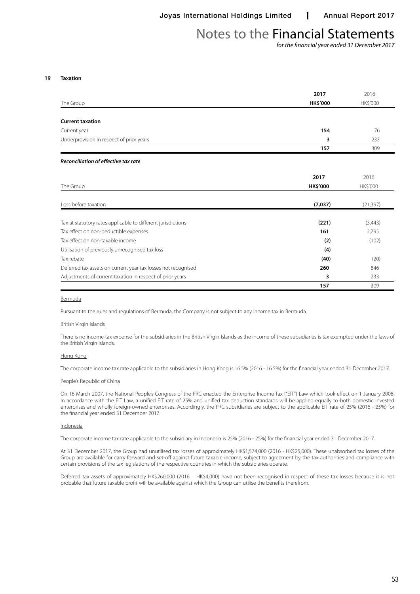*for the financial year ended 31 December 2017*

#### **19 Taxation**

|                                                               | 2017            | 2016            |
|---------------------------------------------------------------|-----------------|-----------------|
| The Group                                                     | <b>HK\$'000</b> | HK\$'000        |
|                                                               |                 |                 |
| <b>Current taxation</b>                                       |                 |                 |
| Current year                                                  | 154             | 76              |
| Underprovision in respect of prior years                      | 3               | 233             |
|                                                               | 157             | 309             |
| <b>Reconciliation of effective tax rate</b>                   |                 |                 |
|                                                               | 2017            | 2016            |
| The Group                                                     | <b>HK\$'000</b> | <b>HK\$'000</b> |
| Loss before taxation                                          | (7,037)         | (21, 397)       |
| Tax at statutory rates applicable to different jurisdictions  | (221)           | (3,443)         |
| Tax effect on non-deductible expenses                         | 161             | 2,795           |
| Tax effect on non-taxable income                              | (2)             | (102)           |
| Utilisation of previously unrecognised tax loss               | (4)             |                 |
| Tax rebate                                                    | (40)            | (20)            |
| Deferred tax assets on current year tax losses not recognised | 260             | 846             |
| Adjustments of current taxation in respect of prior years     | 3               | 233             |
|                                                               | 157             | 309             |

#### Bermuda

Pursuant to the rules and regulations of Bermuda, the Company is not subject to any income tax in Bermuda.

#### British Virgin Islands

There is no income tax expense for the subsidiaries in the British Virgin Islands as the income of these subsidiaries is tax exempted under the laws of the British Virgin Islands.

#### Hong Kong

The corporate income tax rate applicable to the subsidiaries in Hong Kong is 16.5% (2016 - 16.5%) for the financial year ended 31 December 2017.

#### People's Republic of China

On 16 March 2007, the National People's Congress of the PRC enacted the Enterprise Income Tax ("EIT") Law which took effect on 1 January 2008. In accordance with the EIT Law, a unified EIT rate of 25% and unified tax deduction standards will be applied equally to both domestic invested enterprises and wholly foreign-owned enterprises. Accordingly, the PRC subsidiaries are subject to the applicable EIT rate of 25% (2016 - 25%) for the financial year ended 31 December 2017.

#### Indonesia

The corporate income tax rate applicable to the subsidiary in Indonesia is 25% (2016 - 25%) for the financial year ended 31 December 2017.

At 31 December 2017, the Group had unutilised tax losses of approximately HK\$1,574,000 (2016 - HK\$25,000). These unabsorbed tax losses of the Group are available for carry forward and set-off against future taxable income, subject to agreement by the tax authorities and compliance with certain provisions of the tax legislations of the respective countries in which the subsidiaries operate.

Deferred tax assets of approximately HK\$260,000 (2016 – HK\$4,000) have not been recognised in respect of these tax losses because it is not probable that future taxable profit will be available against which the Group can utilise the benefits therefrom.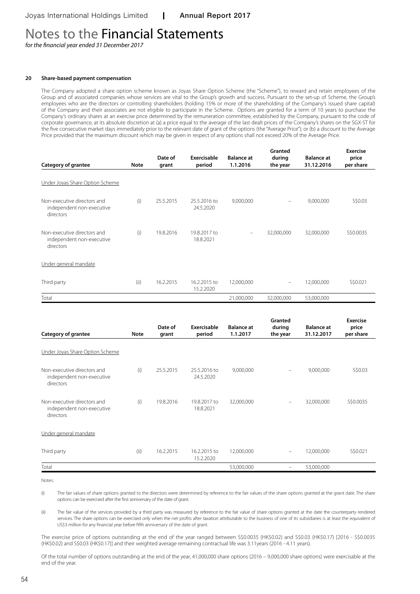*for the financial year ended 31 December 2017*

#### **20 Share-based payment compensation**

The Company adopted a share option scheme known as Joyas Share Option Scheme (the "Scheme"), to reward and retain employees of the Group and of associated companies whose services are vital to the Group's growth and success. Pursuant to the set-up of Scheme, the Group's employees who are the directors or controlling shareholders (holding 15% or more of the shareholding of the Company's issued share capital) of the Company and their associates are not eligible to participate in the Scheme. Options are granted for a term of 10 years to purchase the Company's ordinary shares at an exercise price determined by the remuneration committee, established by the Company, pursuant to the code of corporate governance, at its absolute discretion at (a) a price equal to the average of the last dealt prices of the Company's shares on the SGX-ST for the five consecutive market days immediately prior to the relevant date of grant of the options (the "Average Price"); or (b) a discount to the Average Price provided that the maximum discount which may be given in respect of any options shall not exceed 20% of the Average Price.

|                                                                       |             |                  |                           |                               | Granted                  |                                 | <b>Exercise</b>    |
|-----------------------------------------------------------------------|-------------|------------------|---------------------------|-------------------------------|--------------------------|---------------------------------|--------------------|
| <b>Category of grantee</b>                                            | <b>Note</b> | Date of<br>grant | Exercisable<br>period     | <b>Balance at</b><br>1.1.2016 | during<br>the year       | <b>Balance at</b><br>31.12.2016 | price<br>per share |
| Under Joyas Share Option Scheme                                       |             |                  |                           |                               |                          |                                 |                    |
| Non-executive directors and<br>independent non-executive<br>directors | (i)         | 25.5.2015        | 25.5.2016 to<br>24.5.2020 | 9,000,000                     | $\overline{\phantom{m}}$ | 9,000,000                       | S\$0.03            |
| Non-executive directors and<br>independent non-executive<br>directors | (i)         | 19.8.2016        | 19.8.2017 to<br>18.8.2021 |                               | 32,000,000               | 32,000,000                      | S\$0.0035          |
| Under general mandate                                                 |             |                  |                           |                               |                          |                                 |                    |
| Third party                                                           | (ii)        | 16.2.2015        | 16.2.2015 to<br>15.2.2020 | 12,000,000                    | $\overline{\phantom{m}}$ | 12,000,000                      | S\$0.021           |
| Total                                                                 |             |                  |                           | 21,000,000                    | 32,000,000               | 53,000,000                      |                    |

| Category of grantee                                                   | <b>Note</b> | Date of<br>grant | Exercisable<br>period     | <b>Balance at</b><br>1.1.2017 | Granted<br>during<br>the year  | <b>Balance at</b><br>31.12.2017 | Exercise<br>price<br>per share |
|-----------------------------------------------------------------------|-------------|------------------|---------------------------|-------------------------------|--------------------------------|---------------------------------|--------------------------------|
| Under Joyas Share Option Scheme                                       |             |                  |                           |                               |                                |                                 |                                |
| Non-executive directors and<br>independent non-executive<br>directors | (i)         | 25.5.2015        | 25.5.2016 to<br>24.5.2020 | 9,000,000                     | $\equiv$                       | 9,000,000                       | S\$0.03                        |
| Non-executive directors and<br>independent non-executive<br>directors | (i)         | 19.8.2016        | 19.8.2017 to<br>18.8.2021 | 32,000,000                    |                                | 32,000,000                      | S\$0.0035                      |
| Under general mandate                                                 |             |                  |                           |                               |                                |                                 |                                |
| Third party                                                           | (ii)        | 16.2.2015        | 16.2.2015 to<br>15.2.2020 | 12,000,000                    | $\overline{\phantom{m}}$       | 12,000,000                      | S\$0.021                       |
| Total                                                                 |             |                  |                           | 53,000,000                    | $\qquad \qquad \longleftarrow$ | 53,000,000                      |                                |

Notes:

(i) The fair values of share options granted to the directors were determined by reference to the fair values of the share options granted at the grant date. The share options can be exercised after the first anniversary of the date of grant.

(ii) The fair value of the services provided by a third party was measured by reference to the fair value of share options granted at the date the counterparty rendered services. The share options can be exercised only when the net profits after taxation attributable to the business of one of its subsidiaries is at least the equivalent of US\$3 million for any financial year before fifth anniversary of the date of grant.

The exercise price of options outstanding at the end of the year ranged between S\$0.0035 (HK\$0.02) and S\$0.03 (HK\$0.17) [2016 - S\$0.0035 (HK\$0.02) and S\$0.03 (HK\$0.17)] and their weighted average remaining contractual life was 3.11years (2016 - 4.11 years).

Of the total number of options outstanding at the end of the year, 41,000,000 share options (2016 – 9,000,000 share options) were exercisable at the end of the year.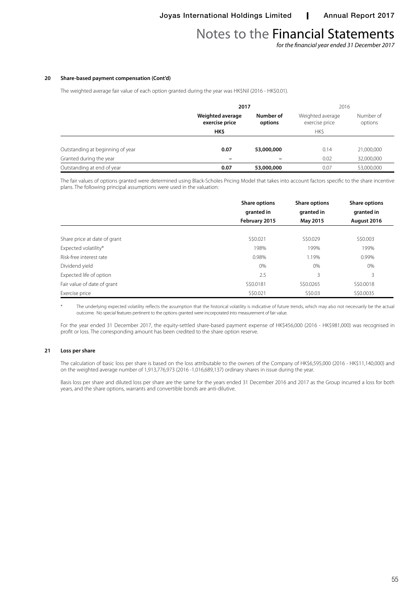*for the financial year ended 31 December 2017*

#### **20 Share-based payment compensation (Cont'd)**

The weighted average fair value of each option granted during the year was HK\$Nil (2016 - HK\$0.01).

|                                  | 2017                               |                      | 2016                               |                      |  |
|----------------------------------|------------------------------------|----------------------|------------------------------------|----------------------|--|
|                                  | Weighted average<br>exercise price | Number of<br>options | Weighted average<br>exercise price | Number of<br>options |  |
|                                  | HK\$                               |                      | <b>HKS</b>                         |                      |  |
|                                  |                                    |                      |                                    |                      |  |
| Outstanding at beginning of year | 0.07                               | 53,000,000           | 0.14                               | 21,000,000           |  |
| Granted during the year          |                                    |                      | 0.02                               | 32,000,000           |  |
| Outstanding at end of year       | 0.07                               | 53,000,000           | 0.07                               | 53,000,000           |  |

The fair values of options granted were determined using Black-Scholes Pricing Model that takes into account factors specific to the share incentive plans. The following principal assumptions were used in the valuation:

|                              | <b>Share options</b><br>granted in | <b>Share options</b><br>granted in | <b>Share options</b><br>granted in |
|------------------------------|------------------------------------|------------------------------------|------------------------------------|
|                              | February 2015                      | May 2015                           | August 2016                        |
|                              |                                    |                                    |                                    |
| Share price at date of grant | S\$0.021                           | S\$0.029                           | S\$0.003                           |
| Expected volatility*         | 198%                               | 199%                               | 199%                               |
| Risk-free interest rate      | 0.98%                              | 1.19%                              | 0.99%                              |
| Dividend yield               | $0\%$                              | 0%                                 | 0%                                 |
| Expected life of option      | 2.5                                | 3                                  | 3                                  |
| Fair value of date of grant  | S\$0.0181                          | S\$0.0265                          | S\$0,0018                          |
| Exercise price               | S\$0.021                           | S\$0.03                            | S\$0.0035                          |

The underlying expected volatility reflects the assumption that the historical volatility is indicative of future trends, which may also not necessarily be the actual outcome. No special features pertinent to the options granted were incorporated into measurement of fair value.

For the year ended 31 December 2017, the equity-settled share-based payment expense of HK\$456,000 (2016 - HK\$981,000) was recognised in profit or loss. The corresponding amount has been credited to the share option reserve.

#### **21 Loss per share**

The calculation of basic loss per share is based on the loss attributable to the owners of the Company of HK\$6,595,000 (2016 - HK\$11,140,000) and on the weighted average number of 1,913,776,973 (2016 -1,016,689,137) ordinary shares in issue during the year.

Basis loss per share and diluted loss per share are the same for the years ended 31 December 2016 and 2017 as the Group incurred a loss for both years, and the share options, warrants and convertible bonds are anti-dilutive.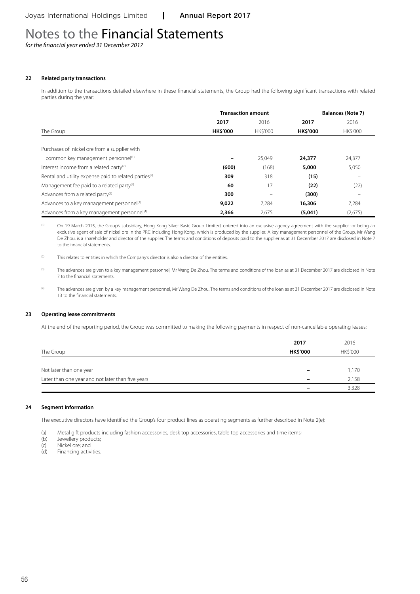*for the financial year ended 31 December 2017*

### **22 Related party transactions**

In addition to the transactions detailed elsewhere in these financial statements, the Group had the following significant transactions with related parties during the year:

|                                                                   |                 | <b>Transaction amount</b> | <b>Balances (Note 7)</b> |          |  |
|-------------------------------------------------------------------|-----------------|---------------------------|--------------------------|----------|--|
|                                                                   | 2017            | 2016                      | 2017                     | 2016     |  |
| The Group                                                         | <b>HK\$'000</b> | <b>HKS'000</b>            | <b>HK\$'000</b>          | HK\$'000 |  |
| Purchases of nickel ore from a supplier with                      |                 |                           |                          |          |  |
| common key management personnel(1)                                |                 | 25.049                    | 24,377                   | 24,377   |  |
| Interest income from a related party <sup>(2)</sup>               | (600)           | (168)                     | 5,000                    | 5,050    |  |
| Rental and utility expense paid to related parties <sup>(2)</sup> | 309             | 318                       | (15)                     |          |  |
| Management fee paid to a related party <sup>(2)</sup>             | 60              | 17                        | (22)                     | (22)     |  |
| Advances from a related party <sup>(2)</sup>                      | 300             |                           | (300)                    |          |  |
| Advances to a key management personnel <sup>(3)</sup>             | 9,022           | 7,284                     | 16,306                   | 7,284    |  |
| Advances from a key management personnel <sup>(4)</sup>           | 2,366           | 2,675                     | (5,041)                  | (2,675)  |  |

<sup>(1)</sup> On 19 March 2015, the Group's subsidiary, Hong Kong Silver Basic Group Limited, entered into an exclusive agency agreement with the supplier for being an exclusive agent of sale of nickel ore in the PRC including Hong Kong, which is produced by the supplier. A key management personnel of the Group, Mr Wang De Zhou, is a shareholder and director of the supplier. The terms and conditions of deposits paid to the supplier as at 31 December 2017 are disclosed in Note 7 to the financial statements.

 $(2)$  This relates to entities in which the Company's director is also a director of the entities.

(3) The advances are given to a key management personnel, Mr Wang De Zhou. The terms and conditions of the loan as at 31 December 2017 are disclosed in Note 7 to the financial statements.

<sup>(4)</sup> The advances are given by a key management personnel, Mr Wang De Zhou. The terms and conditions of the loan as at 31 December 2017 are disclosed in Note 13 to the financial statements.

### **23 Operating lease commitments**

At the end of the reporting period, the Group was committed to making the following payments in respect of non-cancellable operating leases:

|                                                   | 2017                     | 2016     |
|---------------------------------------------------|--------------------------|----------|
| The Group                                         | <b>HK\$'000</b>          | HK\$'000 |
|                                                   |                          |          |
| Not later than one year                           | $\overline{\phantom{0}}$ | 1,170    |
| Later than one year and not later than five years |                          | 2,158    |
|                                                   |                          | 3,328    |

#### **24 Segment information**

The executive directors have identified the Group's four product lines as operating segments as further described in Note 2(e):

(a) Metal gift products including fashion accessories, desk top accessories, table top accessories and time items;<br>(b) Jewellery products;

- (b) Jewellery products;<br>(c) Nickel ore; and
- (c) Nickel ore; and<br>(d) Financing activ
- Financing activities.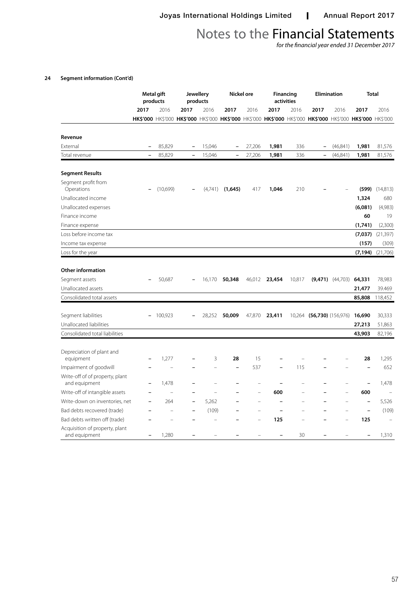*for the financial year ended 31 December 2017*

## **24 Segment information (Cont'd)**

|                                                 |                          | Metal gift<br>products |                          | <b>Jewellery</b><br>products |                          | Nickel ore |                | <b>Financing</b><br>activities |                                                                                                             | <b>Elimination</b>   | <b>Total</b>             |                    |
|-------------------------------------------------|--------------------------|------------------------|--------------------------|------------------------------|--------------------------|------------|----------------|--------------------------------|-------------------------------------------------------------------------------------------------------------|----------------------|--------------------------|--------------------|
|                                                 | 2017                     | 2016                   | 2017                     | 2016                         | 2017                     | 2016       | 2017           | 2016                           | 2017                                                                                                        | 2016                 | 2017                     | 2016               |
|                                                 |                          |                        |                          |                              |                          |            |                |                                | HK\$'000 HK\$'000 HK\$'000 HK\$'000 HK\$'000 HK\$'000 HK\$'000 HK\$'000 HK\$'000 HK\$'000 HK\$'000 HK\$'000 |                      |                          |                    |
| Revenue                                         |                          |                        |                          |                              |                          |            |                |                                |                                                                                                             |                      |                          |                    |
| External                                        |                          | 85,829                 |                          | 15,046                       |                          | 27,206     | 1,981          | 336                            | $\overline{\phantom{0}}$                                                                                    | (46, 841)            | 1,981                    | 81,576             |
| Total revenue                                   | $\overline{\phantom{0}}$ | 85,829                 | $\overline{\phantom{0}}$ | 15,046                       | $\overline{\phantom{0}}$ | 27,206     | 1,981          | 336                            | $\overline{\phantom{0}}$                                                                                    | (46, 841)            | 1,981                    | 81,576             |
| <b>Segment Results</b>                          |                          |                        |                          |                              |                          |            |                |                                |                                                                                                             |                      |                          |                    |
| Segment profit from<br>Operations               |                          | (10,699)               |                          | (4,741)                      | (1,645)                  | 417        | 1,046          | 210                            |                                                                                                             |                      |                          | $(599)$ $(14,813)$ |
| Unallocated income                              |                          |                        |                          |                              |                          |            |                |                                |                                                                                                             |                      | 1,324                    | 680                |
| Unallocated expenses                            |                          |                        |                          |                              |                          |            |                |                                |                                                                                                             |                      | (6,081)                  | (4,983)            |
| Finance income                                  |                          |                        |                          |                              |                          |            |                |                                |                                                                                                             |                      | 60                       | 19                 |
| Finance expense                                 |                          |                        |                          |                              |                          |            |                |                                |                                                                                                             |                      | (1,741)                  | (2,300)            |
| Loss before income tax                          |                          |                        |                          |                              |                          |            |                |                                |                                                                                                             |                      | (7,037)                  | (21, 397)          |
| Income tax expense                              |                          |                        |                          |                              |                          |            |                |                                |                                                                                                             |                      | (157)                    | (309)              |
| Loss for the year                               |                          |                        |                          |                              |                          |            |                |                                |                                                                                                             |                      | (7, 194)                 | (21,706)           |
| <b>Other information</b>                        |                          |                        |                          |                              |                          |            |                |                                |                                                                                                             |                      |                          |                    |
| Segment assets                                  |                          | 50,687                 |                          | 16,170                       | 50,348                   | 46,012     | 23,454         | 10,817                         |                                                                                                             | $(9,471)$ $(44,703)$ | 64,331                   | 78,983             |
| Unallocated assets                              |                          |                        |                          |                              |                          |            |                |                                |                                                                                                             |                      | 21,477                   | 39.469             |
| Consolidated total assets                       |                          |                        |                          |                              |                          |            |                |                                |                                                                                                             |                      | 85,808                   | 118,452            |
| Segment liabilities                             | $\overline{\phantom{a}}$ | 100,923                |                          | 28,252                       | 50,009                   |            | 47,870 23,411  |                                | 10,264 (56,730) (156,976)                                                                                   |                      | 16,690                   | 30,333             |
| Unallocated liabilities                         |                          |                        |                          |                              |                          |            |                |                                |                                                                                                             |                      | 27,213                   | 51,863             |
| Consolidated total liabilities                  |                          |                        |                          |                              |                          |            |                |                                |                                                                                                             |                      | 43,903                   | 82,196             |
|                                                 |                          |                        |                          |                              |                          |            |                |                                |                                                                                                             |                      |                          |                    |
| Depreciation of plant and                       |                          |                        |                          | 3                            | 28                       | 15         |                |                                |                                                                                                             |                      | 28                       |                    |
| equipment<br>Impairment of goodwill             |                          | 1,277                  |                          |                              | $\overline{\phantom{0}}$ | 537        |                | 115                            |                                                                                                             |                      |                          | 1,295<br>652       |
| Write-off of of property, plant                 |                          |                        |                          |                              |                          |            |                |                                |                                                                                                             |                      |                          |                    |
| and equipment                                   |                          | 1,478                  |                          |                              |                          |            |                |                                |                                                                                                             |                      |                          | 1,478              |
| Write-off of intangible assets                  |                          | L.                     |                          |                              |                          | ÷          | 600            |                                |                                                                                                             |                      | 600                      |                    |
| Write-down on inventories, net                  |                          | 264                    |                          | 5,262                        |                          |            |                |                                |                                                                                                             |                      | $\overline{\phantom{0}}$ | 5,526              |
| Bad debts recovered (trade)                     |                          | L.                     |                          | (109)                        |                          |            | $\overline{a}$ |                                |                                                                                                             |                      | $\overline{\phantom{0}}$ | (109)              |
| Bad debts written off (trade)                   |                          |                        |                          |                              |                          |            | 125            |                                |                                                                                                             |                      | 125                      |                    |
| Acquisition of property, plant<br>and equipment |                          | 1,280                  |                          |                              |                          |            |                | 30                             |                                                                                                             |                      |                          | 1,310              |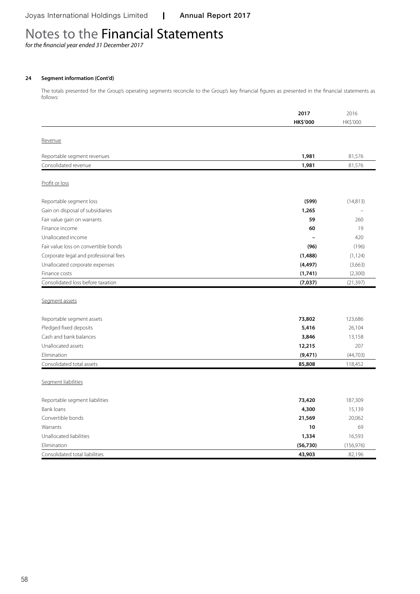*for the financial year ended 31 December 2017*

## **24 Segment information (Cont'd)**

The totals presented for the Group's operating segments reconcile to the Group's key financial figures as presented in the financial statements as follows:

|                                       | 2017            | 2016       |
|---------------------------------------|-----------------|------------|
|                                       | <b>HK\$'000</b> | HK\$'000   |
|                                       |                 |            |
| Revenue                               |                 |            |
| Reportable segment revenues           | 1,981           | 81,576     |
| Consolidated revenue                  | 1,981           | 81,576     |
|                                       |                 |            |
| Profit or loss                        |                 |            |
| Reportable segment loss               | (599)           | (14, 813)  |
| Gain on disposal of subsidiaries      | 1,265           |            |
| Fair value gain on warrants           | 59              | 260        |
| Finance income                        | 60              | 19         |
| Unallocated income                    |                 | 420        |
| Fair value loss on convertible bonds  | (96)            | (196)      |
| Corporate legal and professional fees | (1,488)         | (1, 124)   |
| Unallocated corporate expenses        | (4, 497)        | (3,663)    |
| Finance costs                         | (1,741)         | (2,300)    |
| Consolidated loss before taxation     | (7, 037)        | (21, 397)  |
|                                       |                 |            |
| Segment assets                        |                 |            |
|                                       |                 |            |
| Reportable segment assets             | 73,802          | 123,686    |
| Pledged fixed deposits                | 5,416           | 26,104     |
| Cash and bank balances                | 3,846           | 13,158     |
| Unallocated assets                    | 12,215          | 207        |
| Elimination                           | (9, 471)        | (44, 703)  |
| Consolidated total assets             | 85,808          | 118,452    |
|                                       |                 |            |
| Segment liabilities                   |                 |            |
| Reportable segment liabilities        | 73,420          | 187,309    |
| <b>Bank loans</b>                     | 4,300           | 15,139     |
| Convertible bonds                     | 21,569          | 20,062     |
| Warrants                              | 10              | 69         |
| Unallocated liabilities               | 1,334           | 16,593     |
| Elimination                           | (56, 730)       | (156, 976) |
| Consolidated total liabilities        | 43,903          | 82,196     |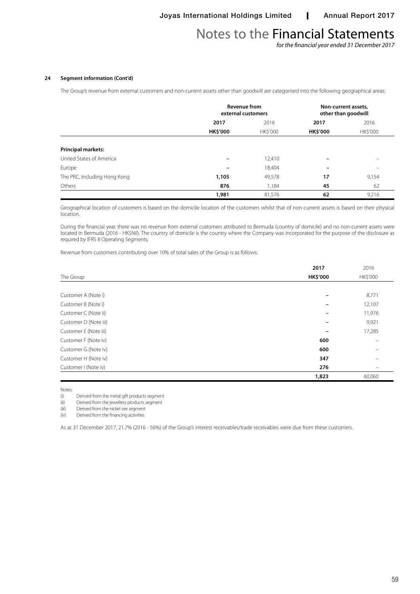*for the financial year ended 31 December 2017*

### **24 Segment information (Cont'd)**

The Group's revenue from external customers and non-current assets other than goodwill are categorised into the following geographical areas:

|                              |                          | <b>Revenue from</b><br>external customers |                 | Non-current assets,<br>other than goodwill |
|------------------------------|--------------------------|-------------------------------------------|-----------------|--------------------------------------------|
|                              | 2017                     | 2016                                      | 2017            | 2016                                       |
|                              | <b>HK\$'000</b>          | HK\$'000                                  | <b>HK\$'000</b> | HK\$'000                                   |
|                              |                          |                                           |                 |                                            |
| <b>Principal markets:</b>    |                          |                                           |                 |                                            |
| United States of America     | $\overline{\phantom{0}}$ | 12,410                                    |                 | $\overline{\phantom{0}}$                   |
| Europe                       | $\overline{\phantom{0}}$ | 18,404                                    |                 |                                            |
| The PRC, including Hong Kong | 1,105                    | 49,578                                    | 17              | 9,154                                      |
| Others                       | 876                      | 1,184                                     | 45              | 62                                         |
|                              | 1,981                    | 81,576                                    | 62              | 9,216                                      |

Geographical location of customers is based on the domicile location of the customers whilst that of non-current assets is based on their physical location.

During the financial year, there was no revenue from external customers attributed to Bermuda (country of domicile) and no non-current assets were located in Bermuda (2016 - HK\$Nil). The country of domicile is the country where the Company was incorporated for the purpose of the disclosure as required by IFRS 8 Operating Segments.

Revenue from customers contributing over 10% of total sales of the Group is as follows:

|                       | 2017            | 2016     |
|-----------------------|-----------------|----------|
| The Group             | <b>HK\$'000</b> | HK\$'000 |
|                       |                 |          |
| Customer A (Note i)   |                 | 8,771    |
| Customer B (Note i)   |                 | 12,107   |
| Customer C (Note ii)  |                 | 11,976   |
| Customer D (Note iii) |                 | 9,921    |
| Customer E (Note iii) |                 | 17,285   |
| Customer F (Note iv)  | 600             |          |
| Customer G (Note iv)  | 600             |          |
| Customer H (Note iv)  | 347             |          |
| Customer I (Note iv)  | 276             |          |
|                       | 1,823           | 60,060   |

Notes:<br>(i)

Derived from the metal gift products segment

(ii) Derived from the jewellery products segment

(iii) Derived from the nickel ore segment

(iv) Derived from the financing activities

As at 31 December 2017, 21.7% (2016 - 56%) of the Group's interest receivables/trade receivables were due from these customers.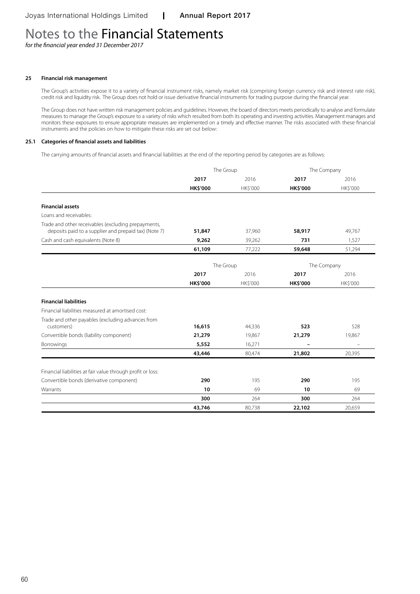*for the financial year ended 31 December 2017*

#### **25 Financial risk management**

The Group's activities expose it to a variety of financial instrument risks, namely market risk (comprising foreign currency risk and interest rate risk), credit risk and liquidity risk. The Group does not hold or issue derivative financial instruments for trading purpose during the financial year.

The Group does not have written risk management policies and guidelines. However, the board of directors meets periodically to analyse and formulate measures to manage the Group's exposure to a variety of risks which resulted from both its operating and investing activities. Management manages and monitors these exposures to ensure appropriate measures are implemented on a timely and effective manner. The risks associated with these financial instruments and the policies on how to mitigate these risks are set out below:

#### **25.1 Categories of financial assets and liabilities**

The carrying amounts of financial assets and financial liabilities at the end of the reporting period by categories are as follows:

|                                                                 | The Group       |                 | The Company              |                 |
|-----------------------------------------------------------------|-----------------|-----------------|--------------------------|-----------------|
|                                                                 | 2017            | 2016            | 2017                     | 2016            |
|                                                                 | <b>HK\$'000</b> | <b>HK\$'000</b> | <b>HK\$'000</b>          | <b>HK\$'000</b> |
|                                                                 |                 |                 |                          |                 |
| <b>Financial assets</b>                                         |                 |                 |                          |                 |
| Loans and receivables:                                          |                 |                 |                          |                 |
| Trade and other receivables (excluding prepayments,             |                 |                 |                          |                 |
| deposits paid to a supplier and prepaid tax) (Note 7)           | 51,847          | 37,960          | 58,917                   | 49,767          |
| Cash and cash equivalents (Note 8)                              | 9,262           | 39,262          | 731                      | 1,527           |
|                                                                 | 61,109          | 77,222          | 59,648                   | 51,294          |
|                                                                 |                 | The Group       | The Company              |                 |
|                                                                 | 2017            | 2016            | 2017                     | 2016            |
|                                                                 | <b>HK\$'000</b> | HK\$'000        | HK\$'000                 | HK\$'000        |
| <b>Financial liabilities</b>                                    |                 |                 |                          |                 |
| Financial liabilities measured at amortised cost:               |                 |                 |                          |                 |
| Trade and other payables (excluding advances from<br>customers) | 16,615          | 44,336          | 523                      | 528             |
| Convertible bonds (liability component)                         | 21,279          | 19,867          | 21,279                   | 19,867          |
| <b>Borrowings</b>                                               | 5,552           | 16,271          | $\overline{\phantom{0}}$ |                 |
|                                                                 | 43,446          | 80,474          | 21,802                   | 20,395          |
|                                                                 |                 |                 |                          |                 |
| Financial liabilities at fair value through profit or loss:     |                 |                 |                          |                 |
| Convertible bonds (derivative component)                        | 290             | 195             | 290                      | 195             |
| Warrants                                                        | 10              | 69              | 10                       | 69              |
|                                                                 | 300             | 264             | 300                      | 264             |
|                                                                 | 43,746          | 80,738          | 22,102                   | 20,659          |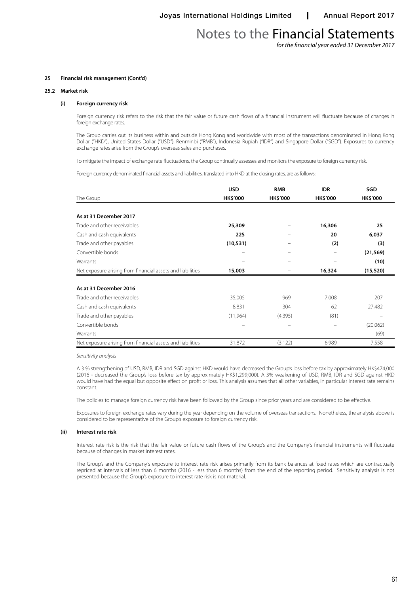*for the financial year ended 31 December 2017*

#### **25 Financial risk management (Cont'd)**

#### **25.2 Market risk**

#### **(i) Foreign currency risk**

Foreign currency risk refers to the risk that the fair value or future cash flows of a financial instrument will fluctuate because of changes in foreign exchange rates.

The Group carries out its business within and outside Hong Kong and worldwide with most of the transactions denominated in Hong Kong Dollar ("HKD"), United States Dollar ("USD"), Renminbi ("RMB"), Indonesia Rupiah ("IDR") and Singapore Dollar ("SGD"). Exposures to currency exchange rates arise from the Group's overseas sales and purchases.

To mitigate the impact of exchange rate fluctuations, the Group continually assesses and monitors the exposure to foreign currency risk.

Foreign currency denominated financial assets and liabilities, translated into HKD at the closing rates, are as follows:

|                                                            | <b>USD</b>               | <b>RMB</b>      | <b>IDR</b>      | SGD             |
|------------------------------------------------------------|--------------------------|-----------------|-----------------|-----------------|
| The Group                                                  | <b>HK\$'000</b>          | <b>HK\$'000</b> | <b>HK\$'000</b> | <b>HK\$'000</b> |
|                                                            |                          |                 |                 |                 |
| As at 31 December 2017                                     |                          |                 |                 |                 |
| Trade and other receivables                                | 25,309                   |                 | 16,306          | 25              |
| Cash and cash equivalents                                  | 225                      |                 | 20              | 6,037           |
| Trade and other payables                                   | (10, 531)                |                 | (2)             | (3)             |
| Convertible bonds                                          | -                        |                 |                 | (21, 569)       |
| Warrants                                                   |                          |                 |                 | (10)            |
| Net exposure arising from financial assets and liabilities | 15,003                   |                 | 16,324          | (15, 520)       |
|                                                            |                          |                 |                 |                 |
| As at 31 December 2016                                     |                          |                 |                 |                 |
| Trade and other receivables                                | 35,005                   | 969             | 7,008           | 207             |
| Cash and cash equivalents                                  | 8,831                    | 304             | 62              | 27,482          |
| Trade and other payables                                   | (11,964)                 | (4,395)         | (81)            |                 |
| Convertible bonds                                          | $\overline{\phantom{m}}$ |                 |                 | (20,062)        |
| Warrants                                                   |                          |                 |                 | (69)            |
| Net exposure arising from financial assets and liabilities | 31,872                   | (3, 122)        | 6,989           | 7,558           |

*Sensitivity analysis* 

A 3 % strengthening of USD, RMB, IDR and SGD against HKD would have decreased the Group's loss before tax by approximately HK\$474,000 (2016 - decreased the Group's loss before tax by approximately HK\$1,299,000). A 3% weakening of USD, RMB, IDR and SGD against HKD would have had the equal but opposite effect on profit or loss. This analysis assumes that all other variables, in particular interest rate remains constant.

The policies to manage foreign currency risk have been followed by the Group since prior years and are considered to be effective.

Exposures to foreign exchange rates vary during the year depending on the volume of overseas transactions. Nonetheless, the analysis above is considered to be representative of the Group's exposure to foreign currency risk.

#### **(ii) Interest rate risk**

Interest rate risk is the risk that the fair value or future cash flows of the Group's and the Company's financial instruments will fluctuate because of changes in market interest rates.

The Group's and the Company's exposure to interest rate risk arises primarily from its bank balances at fixed rates which are contractually repriced at intervals of less than 6 months (2016 - less than 6 months) from the end of the reporting period. Sensitivity analysis is not presented because the Group's exposure to interest rate risk is not material.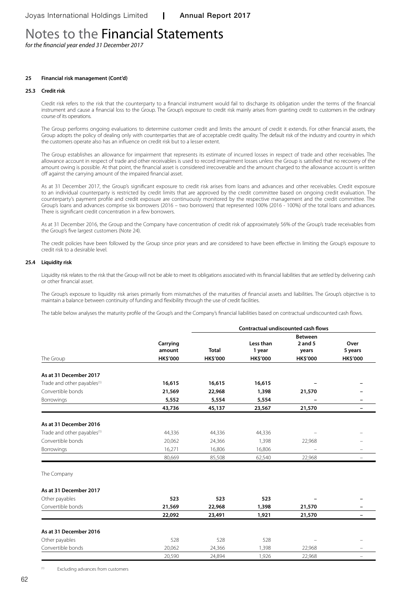*for the financial year ended 31 December 2017*

### **25 Financial risk management (Cont'd)**

#### **25.3 Credit risk**

Credit risk refers to the risk that the counterparty to a financial instrument would fail to discharge its obligation under the terms of the financial instrument and cause a financial loss to the Group. The Group's exposure to credit risk mainly arises from granting credit to customers in the ordinary course of its operations.

The Group performs ongoing evaluations to determine customer credit and limits the amount of credit it extends. For other financial assets, the Group adopts the policy of dealing only with counterparties that are of acceptable credit quality. The default risk of the industry and country in which the customers operate also has an influence on credit risk but to a lesser extent.

The Group establishes an allowance for impairment that represents its estimate of incurred losses in respect of trade and other receivables. The allowance account in respect of trade and other receivables is used to record impairment losses unless the Group is satisfied that no recovery of the amount owing is possible. At that point, the financial asset is considered irrecoverable and the amount charged to the allowance account is written off against the carrying amount of the impaired financial asset.

As at 31 December 2017, the Group's significant exposure to credit risk arises from loans and advances and other receivables. Credit exposure to an individual counterparty is restricted by credit limits that are approved by the credit committee based on ongoing credit evaluation. The counterparty's payment profile and credit exposure are continuously monitored by the respective management and the credit committee. The Group's loans and advances comprise six borrowers (2016 – two borrowers) that represented 100% (2016 - 100%) of the total loans and advances. There is significant credit concentration in a few borrowers.

As at 31 December 2016, the Group and the Company have concentration of credit risk of approximately 56% of the Group's trade receivables from the Group's five largest customers (Note 24).

The credit policies have been followed by the Group since prior years and are considered to have been effective in limiting the Group's exposure to credit risk to a desirable level.

#### **25.4 Liquidity risk**

Liquidity risk relates to the risk that the Group will not be able to meet its obligations associated with its financial liabilities that are settled by delivering cash or other financial asset.

The Group's exposure to liquidity risk arises primarily from mismatches of the maturities of financial assets and liabilities. The Group's objective is to maintain a balance between continuity of funding and flexibility through the use of credit facilities.

The table below analyses the maturity profile of the Group's and the Company's financial liabilities based on contractual undiscounted cash flows.

|                                         |                    |                 |                 | Contractual undiscounted cash flows |                          |
|-----------------------------------------|--------------------|-----------------|-----------------|-------------------------------------|--------------------------|
|                                         |                    |                 |                 | <b>Between</b>                      |                          |
|                                         | Carrying<br>amount |                 | Less than       | $2$ and $5$                         | Over                     |
| The Group                               |                    | <b>Total</b>    | 1 year          | years                               | 5 years                  |
|                                         | <b>HK\$'000</b>    | <b>HK\$'000</b> | <b>HK\$'000</b> | <b>HK\$'000</b>                     | <b>HK\$'000</b>          |
| As at 31 December 2017                  |                    |                 |                 |                                     |                          |
| Trade and other payables <sup>(1)</sup> | 16,615             | 16,615          | 16,615          |                                     |                          |
| Convertible bonds                       | 21,569             | 22,968          | 1,398           | 21,570                              |                          |
| <b>Borrowings</b>                       | 5,552              | 5,554           | 5,554           |                                     |                          |
|                                         | 43,736             | 45,137          | 23,567          | 21,570                              | $\overline{\phantom{0}}$ |
| As at 31 December 2016                  |                    |                 |                 |                                     |                          |
| Trade and other payables <sup>(1)</sup> | 44,336             | 44,336          | 44,336          |                                     |                          |
| Convertible bonds                       | 20,062             | 24,366          | 1,398           | 22,968                              |                          |
|                                         |                    |                 |                 |                                     | $\equiv$                 |
| Borrowings                              | 16,271             | 16,806          | 16,806          |                                     |                          |
|                                         | 80,669             | 85,508          | 62,540          | 22,968                              | $\overline{\phantom{0}}$ |
| The Company                             |                    |                 |                 |                                     |                          |
| As at 31 December 2017                  |                    |                 |                 |                                     |                          |
| Other payables                          | 523                | 523             | 523             |                                     |                          |
| Convertible bonds                       | 21,569             | 22,968          | 1,398           | 21,570                              |                          |
|                                         | 22,092             | 23,491          | 1,921           | 21,570                              | -                        |
| As at 31 December 2016                  |                    |                 |                 |                                     |                          |
| Other payables                          | 528                | 528             | 528             |                                     |                          |
| Convertible bonds                       | 20,062             | 24,366          | 1,398           | 22,968                              |                          |

20,590 24,894 1,926 22,968 –

Excluding advances from customers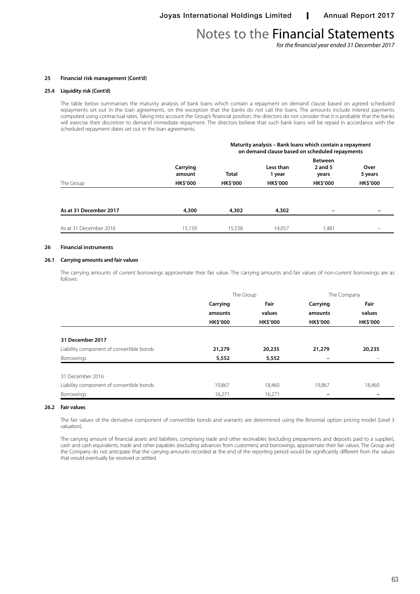*for the financial year ended 31 December 2017*

#### **25 Financial risk management (Cont'd)**

#### **25.4 Liquidity risk (Cont'd)**

The table below summarises the maturity analysis of bank loans which contain a repayment on demand clause based on agreed scheduled repayments set out in the loan agreements, on the exception that the banks do not call the loans. The amounts include interest payments computed using contractual rates. Taking into account the Group's financial position, the directors do not consider that it is probable that the banks will exercise their discretion to demand immediate repayment. The directors believe that such bank loans will be repaid in accordance with the scheduled repayment dates set out in the loan agreements.

|                        | Maturity analysis - Bank loans which contain a repayment<br>on demand clause based on scheduled repayments |                                 |                                        |                                                       |                                    |  |
|------------------------|------------------------------------------------------------------------------------------------------------|---------------------------------|----------------------------------------|-------------------------------------------------------|------------------------------------|--|
| The Group              | Carrying<br>amount<br><b>HK\$'000</b>                                                                      | <b>Total</b><br><b>HK\$'000</b> | Less than<br>1 year<br><b>HK\$'000</b> | <b>Between</b><br>2 and 5<br>years<br><b>HK\$'000</b> | Over<br>5 years<br><b>HK\$'000</b> |  |
|                        |                                                                                                            |                                 |                                        |                                                       |                                    |  |
| As at 31 December 2017 | 4,300                                                                                                      | 4,302                           | 4,302                                  |                                                       |                                    |  |
| As at 31 December 2016 | 15,139                                                                                                     | 15,538                          | 14,057                                 | 1,481                                                 |                                    |  |

#### **26 Financial instruments**

## **26.1 Carrying amounts and fair values**

The carrying amounts of current borrowings approximate their fair value. The carrying amounts and fair values of non-current borrowings are as follows:

|                                          | The Group       |                 |                 | The Company     |  |
|------------------------------------------|-----------------|-----------------|-----------------|-----------------|--|
|                                          | Carrying        | Fair            | Carrying        | Fair            |  |
|                                          | amounts         | values          | amounts         | values          |  |
|                                          | <b>HK\$'000</b> | <b>HK\$'000</b> | <b>HK\$'000</b> | <b>HK\$'000</b> |  |
| 31 December 2017                         |                 |                 |                 |                 |  |
| Liability component of convertible bonds | 21,279          | 20,235          | 21,279          | 20,235          |  |
| <b>Borrowings</b>                        | 5,552           | 5,552           |                 |                 |  |
| 31 December 2016                         |                 |                 |                 |                 |  |
| Liability component of convertible bonds | 19,867          | 18,460          | 19,867          | 18,460          |  |
| <b>Borrowings</b>                        | 16,271          | 16,271          |                 |                 |  |

#### **26.2 Fair values**

The fair values of the derivative component of convertible bonds and warrants are determined using the Binomial option pricing model (Level 3 valuation).

The carrying amount of financial assets and liabilities, comprising trade and other receivables (excluding prepayments and deposits paid to a supplier), cash and cash equivalents, trade and other payables (excluding advances from customers) and borrowings, approximate their fair values. The Group and the Company do not anticipate that the carrying amounts recorded at the end of the reporting period would be significantly different from the values that would eventually be received or settled.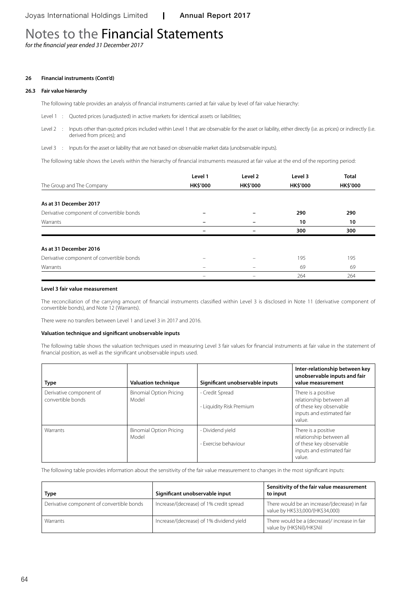*for the financial year ended 31 December 2017*

### **26 Financial instruments (Cont'd)**

#### **26.3 Fair value hierarchy**

The following table provides an analysis of financial instruments carried at fair value by level of fair value hierarchy:

- Level 1 : Quoted prices (unadjusted) in active markets for identical assets or liabilities;
- Level 2 : Inputs other than quoted prices included within Level 1 that are observable for the asset or liability, either directly (i.e. as prices) or indirectly (i.e. derived from prices); and
- Level 3 : Inputs for the asset or liability that are not based on observable market data (unobservable inputs).

The following table shows the Levels within the hierarchy of financial instruments measured at fair value at the end of the reporting period:

|                                           | Level 1         | Level 2         | Level 3         | <b>Total</b>    |
|-------------------------------------------|-----------------|-----------------|-----------------|-----------------|
| The Group and The Company                 | <b>HK\$'000</b> | <b>HK\$'000</b> | <b>HK\$'000</b> | <b>HK\$'000</b> |
|                                           |                 |                 |                 |                 |
| As at 31 December 2017                    |                 |                 |                 |                 |
| Derivative component of convertible bonds |                 |                 | 290             | 290             |
| Warrants                                  |                 |                 | 10              | 10              |
|                                           |                 |                 | 300             | 300             |
| As at 31 December 2016                    |                 |                 |                 |                 |
| Derivative component of convertible bonds |                 |                 | 195             | 195             |
| Warrants                                  | -               |                 | 69              | 69              |
|                                           | -               |                 | 264             | 264             |

### **Level 3 fair value measurement**

The reconciliation of the carrying amount of financial instruments classified within Level 3 is disclosed in Note 11 (derivative component of convertible bonds), and Note 12 (Warrants).

There were no transfers between Level 1 and Level 3 in 2017 and 2016.

#### **Valuation technique and significant unobservable inputs**

The following table shows the valuation techniques used in measuring Level 3 fair values for financial instruments at fair value in the statement of financial position, as well as the significant unobservable inputs used.

| <b>Type</b>                                  | <b>Valuation technique</b>              | Significant unobservable inputs             | Inter-relationship between key<br>unobservable inputs and fair<br>value measurement                               |
|----------------------------------------------|-----------------------------------------|---------------------------------------------|-------------------------------------------------------------------------------------------------------------------|
| Derivative component of<br>convertible bonds | <b>Binomial Option Pricing</b><br>Model | - Credit Spread<br>- Liquidity Risk Premium | There is a positive<br>relationship between all<br>of these key observable<br>inputs and estimated fair<br>value. |
| Warrants                                     | <b>Binomial Option Pricing</b><br>Model | - Dividend vield<br>- Exercise behaviour    | There is a positive<br>relationship between all<br>of these key observable<br>inputs and estimated fair<br>value. |

The following table provides information about the sensitivity of the fair value measurement to changes in the most significant inputs:

| <b>Type</b>                               | Significant unobservable input           | Sensitivity of the fair value measurement<br>to input                             |
|-------------------------------------------|------------------------------------------|-----------------------------------------------------------------------------------|
| Derivative component of convertible bonds | Increase/(decrease) of 1% credit spread  | There would be an increase/(decrease) in fair<br>value by HK\$33,000/(HK\$34,000) |
| Warrants                                  | Increase/(decrease) of 1% dividend yield | There would be a (decrease)/ increase in fair<br>value by (HK\$Nil)/HK\$Nil       |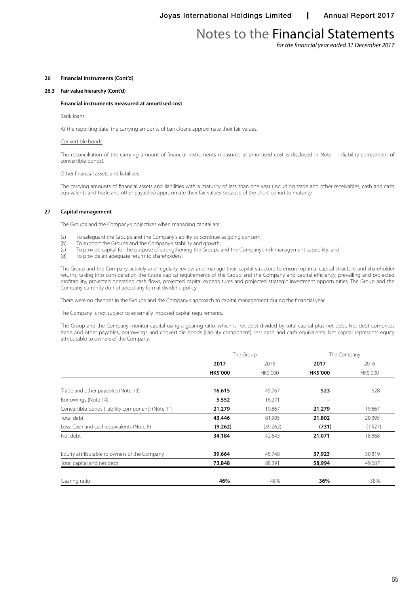*for the financial year ended 31 December 2017*

## **26 Financial instruments (Cont'd)**

### **26.3 Fair value hierarchy (Cont'd)**

#### **Financial instruments measured at amortised cost**

#### Bank loans

At the reporting date, the carrying amounts of bank loans approximate their fair values.

#### Convertible bonds

The reconciliation of the carrying amount of financial instruments measured at amortised cost is disclosed in Note 11 (liability component of convertible bonds).

#### Other financial assets and liabilities

The carrying amounts of financial assets and liabilities with a maturity of less than one year (including trade and other receivables, cash and cash equivalents and trade and other payables) approximate their fair values because of the short period to maturity.

#### **27 Capital management**

The Group's and the Company's objectives when managing capital are:

- (a) To safeguard the Group's and the Company's ability to continue as going concern;<br>(b) To support the Group's and the Company's stability and growth;
- To support the Group's and the Company's stability and growth;
- (c) To provide capital for the purpose of strengthening the Group's and the Company's risk management capability; and
- (d) To provide an adequate return to shareholders.

The Group and the Company actively and regularly review and manage their capital structure to ensure optimal capital structure and shareholder returns, taking into consideration the future capital requirements of the Group and the Company and capital efficiency, prevailing and projected profitability, projected operating cash flows, projected capital expenditures and projected strategic investment opportunities. The Group and the Company currently do not adopt any formal dividend policy.

There were no changes in the Group's and the Company's approach to capital management during the financial year.

The Company is not subject to externally imposed capital requirements.

The Group and the Company monitor capital using a gearing ratio, which is net debt divided by total capital plus net debt. Net debt comprises trade and other payables, borrowings and convertible bonds (liability component), less cash and cash equivalents. Net capital represents equity attributable to owners of the Company.

|                                                   | The Group       |          | The Company     |          |
|---------------------------------------------------|-----------------|----------|-----------------|----------|
|                                                   | 2017            | 2016     | 2017            | 2016     |
|                                                   | <b>HK\$'000</b> | HK\$'000 | <b>HK\$'000</b> | HK\$'000 |
|                                                   |                 |          |                 |          |
| Trade and other payables (Note 13)                | 16,615          | 45,767   | 523             | 528      |
| Borrowings (Note 14)                              | 5,552           | 16,271   |                 |          |
| Convertible bonds (liability component) (Note 11) | 21,279          | 19,867   | 21,279          | 19,867   |
| Total debt                                        | 43,446          | 81,905   | 21,802          | 20,395   |
| Less: Cash and cash equivalents (Note 8)          | (9,262)         | (39,262) | (731)           | (1,527)  |
| Net debt                                          | 34,184          | 42,643   | 21,071          | 18,868   |
| Equity attributable to owners of the Company      | 39,664          | 45,748   | 37,923          | 30,819   |
| Total capital and net debt                        | 73,848          | 88,391   | 58,994          | 49,687   |
| Gearing ratio                                     | 46%             | 48%      | 36%             | 38%      |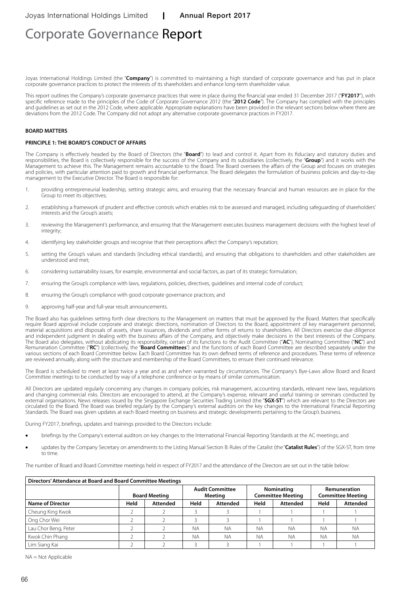Joyas International Holdings Limited (the "**Company**") is committed to maintaining a high standard of corporate governance and has put in place corporate governance practices to protect the interests of its shareholders and enhance long-term shareholder value.

This report outlines the Company's corporate governance practices that were in place during the financial year ended 31 December 2017 ("**FY2017**"), with specific reference made to the principles of the Code of Corporate Governance 2012 (the "**2012 Code**"). The Company has complied with the principles and guidelines as set out in the 2012 Code, where applicable. Appropriate explanations have been provided in the relevant sections below where there are deviations from the 2012 Code. The Company did not adopt any alternative corporate governance practices in FY2017.

#### **BOARD MATTERS**

### **PRINCIPLE 1: THE BOARD'S CONDUCT OF AFFAIRS**

The Company is effectively headed by the Board of Directors (the "**Board**") to lead and control it. Apart from its fiduciary and statutory duties and responsibilities, the Board is collectively responsible for the success of the Company and its subsidiaries (collectively, the "**Group**") and it works with the Management to achieve this. The Management remains accountable to the Board. The Board oversees the affairs of the Group and focuses on strategies and policies, with particular attention paid to growth and financial performance. The Board delegates the formulation of business policies and day-to-day management to the Executive Director. The Board is responsible for:

- 1. providing entrepreneurial leadership, setting strategic aims, and ensuring that the necessary financial and human resources are in place for the Group to meet its objectives;
- 2. establishing a framework of prudent and effective controls which enables risk to be assessed and managed, including safeguarding of shareholders' interests and the Group's assets;
- 3. reviewing the Management's performance, and ensuring that the Management executes business management decisions with the highest level of integrity;
- 4. identifying key stakeholder groups and recognise that their perceptions affect the Company's reputation;
- 5. setting the Group's values and standards (including ethical standards), and ensuring that obligations to shareholders and other stakeholders are understood and met;
- 6. considering sustainability issues, for example, environmental and social factors, as part of its strategic formulation;
- 7. ensuring the Group's compliance with laws, regulations, policies, directives, guidelines and internal code of conduct;
- 8. ensuring the Group's compliance with good corporate governance practices; and
- 9. approving half-year and full-year result announcements.

The Board also has guidelines setting forth clear directions to the Management on matters that must be approved by the Board. Matters that specifically require Board approval include corporate and strategic directions, nomination of Directors to the Board, appointment of key management personnel, material acquisitions and disposals of assets, share issuances, dividends and other forms of returns to shareholders. All Directors exercise due diligence and independent judgment in dealing with the business affairs of the Company, and objectively make decisions in the best interests of the Company. The Board also delegates, without abdicating its responsibility, certain of its functions to the Audit Committee ("**AC**"), Nominating Committee ("**NC**") and Remuneration Committee ("**RC**") (collectively, the "**Board Committees**") and the functions of each Board Committee are described separately under the various sections of each Board Committee below. Each Board Committee has its own defined terms of reference and procedures. These terms of reference are reviewed annually, along with the structure and membership of the Board Committees, to ensure their continued relevance.

The Board is scheduled to meet at least twice a year and as and when warranted by circumstances. The Company's Bye-Laws allow Board and Board Committee meetings to be conducted by way of a telephone conference or by means of similar communication.

All Directors are updated regularly concerning any changes in company policies, risk management, accounting standards, relevant new laws, regulations and changing commercial risks. Directors are encouraged to attend, at the Company's expense, relevant and useful training or seminars conducted by external organisations. News releases issued by the Singapore Exchange Securities Trading Limited (the "**SGX-ST**") which are relevant to the Directors are circulated to the Board. The Board was briefed regularly by the Company's external auditors on the key changes to the International Financial Reporting Standards. The Board was given updates at each Board meeting on business and strategic developments pertaining to the Group's business.

During FY2017, briefings, updates and trainings provided to the Directors include:

- briefings by the Company's external auditors on key changes to the International Financial Reporting Standards at the AC meetings; and
- updates by the Company Secretary on amendments to the Listing Manual Section B: Rules of the Catalist (the "**Catalist Rules**") of the SGX-ST, from time to time.

The number of Board and Board Committee meetings held in respect of FY2017 and the attendance of the Directors are set out in the table below:

| Directors' Attendance at Board and Board Committee Meetings |      |                      |           |                                   |           |                                        |           |                                          |
|-------------------------------------------------------------|------|----------------------|-----------|-----------------------------------|-----------|----------------------------------------|-----------|------------------------------------------|
|                                                             |      | <b>Board Meeting</b> |           | <b>Audit Committee</b><br>Meeting |           | Nominating<br><b>Committee Meeting</b> |           | Remuneration<br><b>Committee Meeting</b> |
| <b>Name of Director</b>                                     | Held | <b>Attended</b>      | Held      | Attended                          | Held      | <b>Attended</b>                        | Held      | <b>Attended</b>                          |
| Cheung King Kwok                                            |      |                      |           |                                   |           |                                        |           |                                          |
| Ong Chor Wei                                                |      |                      |           |                                   |           |                                        |           |                                          |
| Lau Chor Beng, Peter                                        |      |                      | <b>NA</b> | <b>NA</b>                         | <b>NA</b> | <b>NA</b>                              | <b>NA</b> | <b>NA</b>                                |
| Kwok Chin Phang                                             |      |                      | <b>NA</b> | <b>NA</b>                         | <b>NA</b> | <b>NA</b>                              | <b>NA</b> | <b>NA</b>                                |
| Lim Siang Kai                                               |      |                      |           |                                   |           |                                        |           |                                          |

 $NA = Not$  Applicable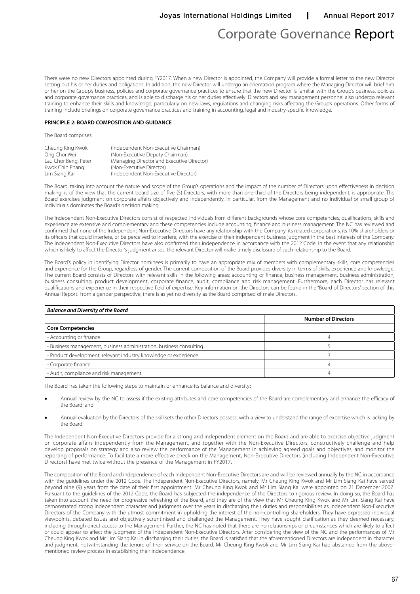There were no new Directors appointed during FY2017. When a new Director is appointed, the Company will provide a formal letter to the new Director setting out his or her duties and obligations. In addition, the new Director will undergo an orientation program where the Managing Director will brief him or her on the Group's business, policies and corporate governance practices to ensure that the new Director is familiar with the Group's business, policies and corporate governance practices, and is able to discharge his or her duties effectively. Directors and key management personnel also undergo relevant training to enhance their skills and knowledge, particularly on new laws, regulations and changing risks affecting the Group's operations. Other forms of training include briefings on corporate governance practices and training in accounting, legal and industry-specific knowledge.

## **PRINCIPLE 2: BOARD COMPOSITION AND GUIDANCE**

The Board comprises:

| Cheung King Kwok     | (Independent Non-Executive Chairman)       |
|----------------------|--------------------------------------------|
| Ong Chor Wei         | (Non-Executive Deputy Chairman)            |
| Lau Chor Beng, Peter | (Managing Director and Executive Director) |
| Kwok Chin Phang      | (Non-Executive Director)                   |
| Lim Siang Kai        | (Independent Non-Executive Director)       |

The Board, taking into account the nature and scope of the Group's operations and the impact of the number of Directors upon effectiveness in decision making, is of the view that the current board size of five (5) Directors, with more than one-third of the Directors being independent, is appropriate. The Board exercises judgment on corporate affairs objectively and independently, in particular, from the Management and no individual or small group of individuals dominates the Board's decision making.

The Independent Non-Executive Directors consist of respected individuals from different backgrounds whose core competencies, qualifications, skills and experience are extensive and complementary and these competencies include accounting, finance and business management. The NC has reviewed and confirmed that none of the Independent Non-Executive Directors have any relationship with the Company, its related corporations, its 10% shareholders or its officers that could interfere, or be perceived to interfere, with the exercise of their independent business judgment in the best interests of the Company. The Independent Non-Executive Directors have also confirmed their independence in accordance with the 2012 Code. In the event that any relationship which is likely to affect the Director's judgment arises, the relevant Director will make timely disclosure of such relationship to the Board.

The Board's policy in identifying Director nominees is primarily to have an appropriate mix of members with complementary skills, core competencies and experience for the Group, regardless of gender. The current composition of the Board provides diversity in terms of skills, experience and knowledge. The current Board consists of Directors with relevant skills in the following areas: accounting or finance, business management, business administration, business consulting, product development, corporate finance, audit, compliance and risk management. Furthermore, each Director has relevant qualifications and experience in their respective field of expertise. Key information on the Directors can be found in the "Board of Directors" section of this Annual Report. From a gender perspective, there is as yet no diversity as the Board comprised of male Directors.

| <b>Balance and Diversity of the Board</b>                           |                            |  |  |  |
|---------------------------------------------------------------------|----------------------------|--|--|--|
|                                                                     | <b>Number of Directors</b> |  |  |  |
| <b>Core Competencies</b>                                            |                            |  |  |  |
| - Accounting or finance                                             |                            |  |  |  |
| - Business management, business administration, business consulting |                            |  |  |  |
| - Product development, relevant industry knowledge or experience    |                            |  |  |  |
| - Corporate finance                                                 |                            |  |  |  |
| - Audit, compliance and risk management                             |                            |  |  |  |

The Board has taken the following steps to maintain or enhance its balance and diversity:

- Annual review by the NC to assess if the existing attributes and core competencies of the Board are complementary and enhance the efficacy of the Board; and
- Annual evaluation by the Directors of the skill sets the other Directors possess, with a view to understand the range of expertise which is lacking by the Board.

The Independent Non-Executive Directors provide for a strong and independent element on the Board and are able to exercise objective judgment on corporate affairs independently from the Management, and together with the Non-Executive Directors, constructively challenge and help develop proposals on strategy and also review the performance of the Management in achieving agreed goals and objectives, and monitor the reporting of performance. To facilitate a more effective check on the Management, Non-Executive Directors (including Independent Non-Executive Directors) have met twice without the presence of the Management in FY2017.

The composition of the Board and independence of each Independent Non-Executive Directors are and will be reviewed annually by the NC in accordance with the guidelines under the 2012 Code. The Independent Non-Executive Directors, namely, Mr Cheung King Kwok and Mr Lim Siang Kai have served beyond nine (9) years from the date of their first appointment. Mr Cheung King Kwok and Mr Lim Siang Kai were appointed on 21 December 2007. Pursuant to the guidelines of the 2012 Code, the Board has subjected the independence of the Directors to rigorous review. In doing so, the Board has taken into account the need for progressive refreshing of the Board, and they are of the view that Mr Cheung King Kwok and Mr Lim Siang Kai have demonstrated strong independent character and judgment over the years in discharging their duties and responsibilities as Independent Non-Executive Directors of the Company with the utmost commitment in upholding the interest of the non-controlling shareholders. They have expressed individual viewpoints, debated issues and objectively scruntinised and challenged the Management. They have sought clarification as they deemed necessary, including through direct access to the Management. Further, the NC has noted that there are no relationships or circumstances which are likely to affect or could appear to affect the judgment of the Independent Non-Executive Directors. After considering the view of the NC and the performances of Mr Cheung King Kwok and Mr Lim Siang Kai in discharging their duties, the Board is satisfied that the aforementioned Directors are independent in character and judgment, notwithstanding the tenure of their service on the Board. Mr Cheung King Kwok and Mr Lim Siang Kai had abstained from the abovementioned review process in establishing their independence.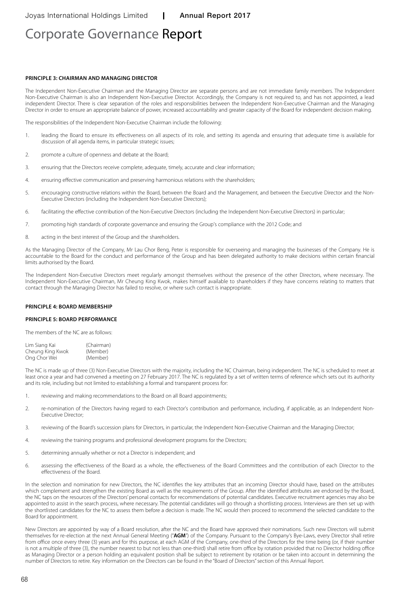#### **Principle 3: CHAIRMAN AND MANAGING DIRECTOR**

The Independent Non-Executive Chairman and the Managing Director are separate persons and are not immediate family members. The Independent Non-Executive Chairman is also an Independent Non-Executive Director. Accordingly, the Company is not required to, and has not appointed, a lead independent Director. There is clear separation of the roles and responsibilities between the Independent Non-Executive Chairman and the Managing Director in order to ensure an appropriate balance of power, increased accountability and greater capacity of the Board for independent decision making.

The responsibilities of the Independent Non-Executive Chairman include the following:

- 1. leading the Board to ensure its effectiveness on all aspects of its role, and setting its agenda and ensuring that adequate time is available for discussion of all agenda items, in particular strategic issues;
- 2. promote a culture of openness and debate at the Board;
- 3. ensuring that the Directors receive complete, adequate, timely, accurate and clear information;
- 4. ensuring effective communication and preserving harmonious relations with the shareholders;
- 5. encouraging constructive relations within the Board, between the Board and the Management, and between the Executive Director and the Non-Executive Directors (including the Independent Non-Executive Directors);
- 6. facilitating the effective contribution of the Non-Executive Directors (including the Independent Non-Executive Directors) in particular;
- 7. promoting high standards of corporate governance and ensuring the Group's compliance with the 2012 Code; and
- 8. acting in the best interest of the Group and the shareholders.

As the Managing Director of the Company, Mr Lau Chor Beng, Peter is responsible for overseeing and managing the businesses of the Company. He is accountable to the Board for the conduct and performance of the Group and has been delegated authority to make decisions within certain financial limits authorised by the Board.

The Independent Non-Executive Directors meet regularly amongst themselves without the presence of the other Directors, where necessary. The Independent Non-Executive Chairman, Mr Cheung King Kwok, makes himself available to shareholders if they have concerns relating to matters that contact through the Managing Director has failed to resolve, or where such contact is inappropriate.

#### **Principle 4: Board Membership**

#### **Principle 5: Board Performance**

The members of the NC are as follows:

| Lim Siang Kai    | (Chairman) |
|------------------|------------|
| Cheung King Kwok | (Member)   |
| Ong Chor Wei     | (Member)   |

The NC is made up of three (3) Non-Executive Directors with the majority, including the NC Chairman, being independent. The NC is scheduled to meet at least once a year and had convened a meeting on 27 February 2017. The NC is regulated by a set of written terms of reference which sets out its authority and its role, including but not limited to establishing a formal and transparent process for:

- 1. reviewing and making recommendations to the Board on all Board appointments;
- 2. re-nomination of the Directors having regard to each Director's contribution and performance, including, if applicable, as an Independent Non-Executive Director;
- 3. reviewing of the Board's succession plans for Directors, in particular, the Independent Non-Executive Chairman and the Managing Director;
- 4. reviewing the training programs and professional development programs for the Directors;
- 5. determining annually whether or not a Director is independent; and
- 6. assessing the effectiveness of the Board as a whole, the effectiveness of the Board Committees and the contribution of each Director to the effectiveness of the Board.

In the selection and nomination for new Directors, the NC identifies the key attributes that an incoming Director should have, based on the attributes which complement and strengthen the existing Board as well as the requirements of the Group. After the identified attributes are endorsed by the Board, the NC taps on the resources of the Directors' personal contacts for recommendations of potential candidates. Executive recruitment agencies may also be appointed to assist in the search process, where necessary. The potential candidates will go through a shortlisting process. Interviews are then set up with the shortlisted candidates for the NC to assess them before a decision is made. The NC would then proceed to recommend the selected candidate to the Board for appointment.

New Directors are appointed by way of a Board resolution, after the NC and the Board have approved their nominations. Such new Directors will submit themselves for re-election at the next Annual General Meeting ("**AGM**") of the Company. Pursuant to the Company's Bye-Laws, every Director shall retire from office once every three (3) years and for this purpose, at each AGM of the Company, one-third of the Directors for the time being (or, if their number is not a multiple of three (3), the number nearest to but not less than one-third) shall retire from office by rotation provided that no Director holding office as Managing Director or a person holding an equivalent position shall be subject to retirement by rotation or be taken into account in determining the number of Directors to retire. Key information on the Directors can be found in the "Board of Directors" section of this Annual Report.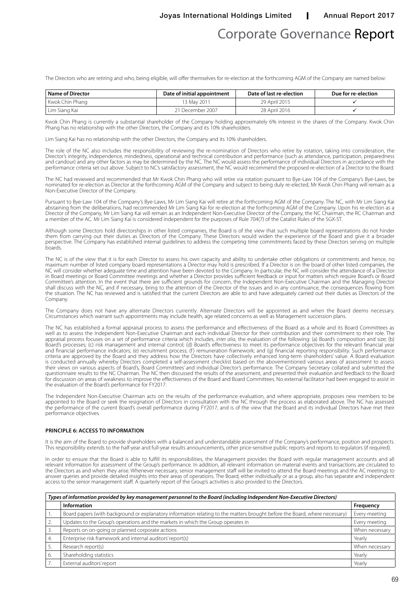Joyas International Holdings Limited | Annual Report 2017

# Corporate Governance Report

The Directors who are retiring and who, being eligible, will offer themselves for re-election at the forthcoming AGM of the Company are named below:

| <b>Name of Director</b> | Date of initial appointment | Date of last re-election | Due for re-election |
|-------------------------|-----------------------------|--------------------------|---------------------|
| Kwok Chin Phang         | 13 Mav 2011                 | 29 April 2015            |                     |
| . Lim Siang Kai         | 21 December 2007            | 28 April 2016            |                     |

Kwok Chin Phang is currently a substantial shareholder of the Company holding approximately 6% interest in the shares of the Company. Kwok Chin Phang has no relationship with the other Directors, the Company and its 10% shareholders.

Lim Siang Kai has no relationship with the other Directors, the Company and its 10% shareholders.

The role of the NC also includes the responsibility of reviewing the re-nomination of Directors who retire by rotation, taking into consideration, the Director's integrity, independence, mindedness, operational and technical contribution and performance (such as attendance, participation, preparedness and candour) and any other factors as may be determined by the NC. The NC would assess the performance of individual Directors in accordance with the performance criteria set out above. Subject to NC's satisfactory assessment, the NC would recommend the proposed re-election of a Director to the Board.

The NC had reviewed and recommended that Mr Kwok Chin Phang who will retire via rotation pursuant to Bye-Law 104 of the Company's Bye-Laws, be nominated for re-election as Director at the forthcoming AGM of the Company and subject to being duly re-elected, Mr Kwok Chin Phang will remain as a Non-Executive Director of the Company.

Pursuant to Bye-Law 104 of the Company's Bye-Laws, Mr Lim Siang Kai will retire at the forthcoming AGM of the Company. The NC, with Mr Lim Siang Kai abstaining from the deliberations, had recommended Mr Lim Siang Kai for re-election at the forthcoming AGM of the Company. Upon his re-election as a Director of the Company, Mr Lim Siang Kai will remain as an Independent Non-Executive Director of the Company, the NC Chairman, the RC Chairman and a member of the AC. Mr Lim Siang Kai is considered independent for the purposes of Rule 704(7) of the Catalist Rules of the SGX-ST.

Although some Directors hold directorships in other listed companies, the Board is of the view that such multiple board representations do not hinder them from carrying out their duties as Directors of the Company. These Directors would widen the experience of the Board and give it a broader perspective. The Company has established internal guidelines to address the competing time commitments faced by these Directors serving on multiple boards.

The NC is of the view that it is for each Director to assess his own capacity and ability to undertake other obligations or commitments and hence, no maximum number of listed company board representations a Director may hold is prescribed. If a Director is on the board of other listed companies, the NC will consider whether adequate time and attention have been devoted to the Company. In particular, the NC will consider the attendance of a Director in Board meetings or Board Committee meetings and whether a Director provides sufficient feedback or input for matters which require Board's or Board Committee's attention. In the event that there are sufficient grounds for concern, the Independent Non-Executive Chairman and the Managing Director shall discuss with the NC, and if necessary, bring to the attention of the Director of the issues and in any continuance, the consequences flowing from the situation. The NC has reviewed and is satisfied that the current Directors are able to and have adequately carried out their duties as Directors of the Company.

The Company does not have any alternate Directors currently. Alternate Directors will be appointed as and when the Board deems necessary. Circumstances which warrant such appointments may include health, age related concerns as well as Management succession plans.

The NC has established a formal appraisal process to assess the performance and effectiveness of the Board as a whole and its Board Committees as well as to assess the Independent Non-Executive Chairman and each individual Director for their contribution and their commitment to their role. The appraisal process focuses on a set of performance criteria which includes, *inter alia*, the evaluation of the following: (a) Board's composition and size; (b) Board's processes; (c) risk management and internal control; (d) Board's effectiveness to meet its performance objectives for the relevant financial year and financial performance indicators; (e) recruitment process; (f) remuneration framework; and (g) financial reporting responsibility. Such performance criteria are approved by the Board and they address how the Directors have collectively enhanced long-term shareholders' value. A Board evaluation is conducted annually whereby Directors completed a self-assessment checklist based on the abovementioned various areas of assessment to assess their views on various aspects of Board's, Board Committees' and individual Director's performance. The Company Secretary collated and submitted the questionnaire results to the NC Chairman. The NC then discussed the results of the assessment, and presented their evaluation and feedback to the Board for discussion on areas of weakness to improve the effectiveness of the Board and Board Committees. No external facilitator had been engaged to assist in the evaluation of the Board's performance for FY2017.

The Independent Non-Executive Chairman acts on the results of the performance evaluation, and where appropriate, proposes new members to be appointed to the Board or seek the resignation of Directors in consultation with the NC through the process as elaborated above. The NC has assessed the performance of the current Board's overall performance during FY2017, and is of the view that the Board and its individual Directors have met their performance objectives.

#### **Principle 6: Access to Information**

It is the aim of the Board to provide shareholders with a balanced and understandable assessment of the Company's performance, position and prospects. This responsibility extends to the half-year and full-year results announcements, other price-sensitive public reports and reports to regulators (if required).

In order to ensure that the Board is able to fulfill its responsibilities, the Management provides the Board with regular management accounts and all relevant information for assessment of the Group's performance. In addition, all relevant information on material events and transactions are circulated to the Directors as and when they arise. Whenever necessary, senior management staff will be invited to attend the Board meetings and the AC meetings to answer queries and provide detailed insights into their areas of operations. The Board, either individually or as a group, also has separate and independent access to the senior management staff. A quarterly report of the Group's activities is also provided to the Directors.

| Types of information provided by key management personnel to the Board (including Independent Non-Executive Directors) |                                                                                                                             |                |  |
|------------------------------------------------------------------------------------------------------------------------|-----------------------------------------------------------------------------------------------------------------------------|----------------|--|
|                                                                                                                        | Information                                                                                                                 | Frequency      |  |
|                                                                                                                        | Board papers (with background or explanatory information relating to the matters brought before the Board, where necessary) | Every meeting  |  |
|                                                                                                                        | Updates to the Group's operations and the markets in which the Group operates in                                            | Every meeting  |  |
|                                                                                                                        | Reports on on-going or planned corporate actions                                                                            | When necessary |  |
|                                                                                                                        | Enterprise risk framework and internal auditors' report(s)                                                                  | Yearly         |  |
|                                                                                                                        | Research report(s)                                                                                                          | When necessary |  |
| 6.                                                                                                                     | Shareholding statistics                                                                                                     | Yearly         |  |
|                                                                                                                        | External auditors' report                                                                                                   | Yearly         |  |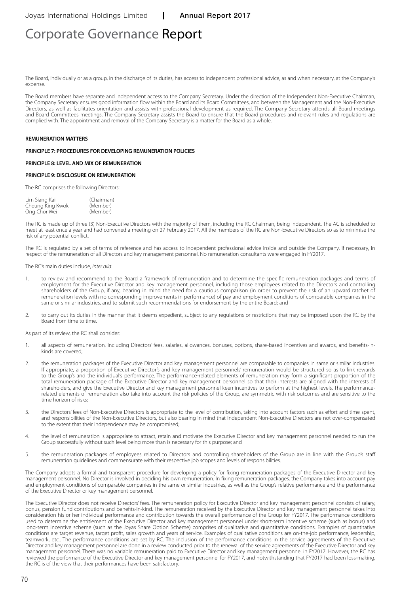The Board, individually or as a group, in the discharge of its duties, has access to independent professional advice, as and when necessary, at the Company's expense.

The Board members have separate and independent access to the Company Secretary. Under the direction of the Independent Non-Executive Chairman, the Company Secretary ensures good information flow within the Board and its Board Committees, and between the Management and the Non-Executive Directors, as well as facilitates orientation and assists with professional development as required. The Company Secretary attends all Board meetings and Board Committees meetings. The Company Secretary assists the Board to ensure that the Board procedures and relevant rules and regulations are complied with. The appointment and removal of the Company Secretary is a matter for the Board as a whole.

#### **REMUNERATION MATTERS**

### **PRINCIPLE 7: PROCEDURES FOR DEVELOPING REMUNERATION POLICIES**

### **PRINCIPLE 8: LEVEL AND MIX OF REMUNERATION**

#### **PRINCIPLE 9: DISCLOSURE ON REMUNERATION**

The RC comprises the following Directors:

| Lim Siang Kai    | (Chairman) |
|------------------|------------|
| Cheung King Kwok | (Member)   |
| Ong Chor Wei     | (Member)   |

The RC is made up of three (3) Non-Executive Directors with the majority of them, including the RC Chairman, being independent. The AC is scheduled to meet at least once a year and had convened a meeting on 27 February 2017. All the members of the RC are Non-Executive Directors so as to minimise the risk of any potential conflict.

The RC is regulated by a set of terms of reference and has access to independent professional advice inside and outside the Company, if necessary, in respect of the remuneration of all Directors and key management personnel. No remuneration consultants were engaged in FY2017.

The RC's main duties include, *inter alia*:

- 1. to review and recommend to the Board a framework of remuneration and to determine the specific remuneration packages and terms of employment for the Executive Director and key management personnel, including those employees related to the Directors and controlling shareholders of the Group, if any, bearing in mind the need for a cautious comparison (in order to prevent the risk of an upward ratchet of remuneration levels with no corresponding improvements in performance) of pay and employment conditions of comparable companies in the same or similar industries, and to submit such recommendations for endorsement by the entire Board; and
- 2. to carry out its duties in the manner that it deems expedient, subject to any regulations or restrictions that may be imposed upon the RC by the Board from time to time.

As part of its review, the RC shall consider:

- 1. all aspects of remuneration, including Directors' fees, salaries, allowances, bonuses, options, share-based incentives and awards, and benefits-inkinds are covered;
- 2. the remuneration packages of the Executive Director and key management personnel are comparable to companies in same or similar industries. If appropriate, a proportion of Executive Director's and key management personnels' remuneration would be structured so as to link rewards to the Group's and the individual's performance. The performance-related elements of remuneration may form a significant proportion of the total remuneration package of the Executive Director and key management personnel so that their interests are aligned with the interests of shareholders, and give the Executive Director and key management personnel keen incentives to perform at the highest levels. The performancerelated elements of remuneration also take into account the risk policies of the Group, are symmetric with risk outcomes and are sensitive to the time horizon of risks;
- 3. the Directors' fees of Non-Executive Directors is appropriate to the level of contribution, taking into account factors such as effort and time spent, and responsibilities of the Non-Executive Directors, but also bearing in mind that Independent Non-Executive Directors are not over-compensated to the extent that their independence may be compromised;
- 4. the level of remuneration is appropriate to attract, retain and motivate the Executive Director and key management personnel needed to run the Group successfully without such level being more than is necessary for this purpose; and
- 5. the remuneration packages of employees related to Directors and controlling shareholders of the Group are in line with the Group's staff remuneration guidelines and commensurate with their respective job scopes and levels of responsibilities.

The Company adopts a formal and transparent procedure for developing a policy for fixing remuneration packages of the Executive Director and key management personnel. No Director is involved in deciding his own remuneration. In fixing remuneration packages, the Company takes into account pay and employment conditions of comparable companies in the same or similar industries, as well as the Group's relative performance and the performance of the Executive Director or key management personnel.

The Executive Director does not receive Directors' fees. The remuneration policy for Executive Director and key management personnel consists of salary, bonus, pension fund contributions and benefits-in-kind. The remuneration received by the Executive Director and key management personnel takes into consideration his or her individual performance and contribution towards the overall performance of the Group for FY2017. The performance conditions used to determine the entitlement of the Executive Director and key management personnel under short-term incentive scheme (such as bonus) and long-term incentive scheme (such as the Joyas Share Option Scheme) comprises of qualitative and quantitative conditions. Examples of quantitative conditions are target revenue, target profit, sales growth and years of service. Examples of qualitative conditions are on-the-job performance, leadership, teamwork, etc.. The performance conditions are set by RC. The inclusion of the performance conditions in the service agreements of the Executive Director and key management personnel are done in a review conducted prior to the renewal of the service agreements of the Executive Director and key management personnel. There was no variable remuneration paid to Executive Director and key management personnel in FY2017. However, the RC has reviewed the performance of the Executive Director and key management personnel for FY2017, and notwithstanding that FY2017 had been loss-making, the RC is of the view that their performances have been satisfactory.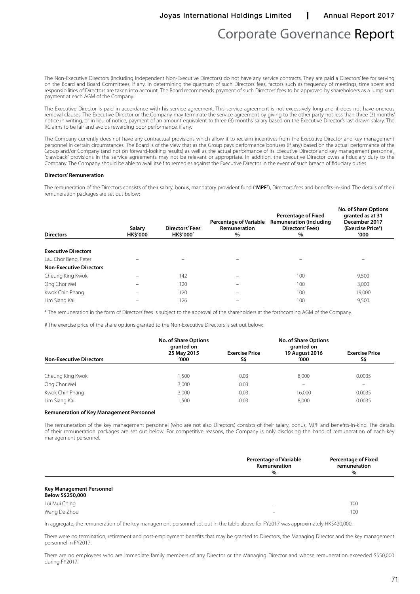The Non-Executive Directors (including Independent Non-Executive Directors) do not have any service contracts. They are paid a Directors' fee for serving on the Board and Board Committees, if any. In determining the quantum of such Directors' fees, factors such as frequency of meetings, time spent and responsibilities of Directors are taken into account. The Board recommends payment of such Directors' fees to be approved by shareholders as a lump sum payment at each AGM of the Company.

The Executive Director is paid in accordance with his service agreement. This service agreement is not excessively long and it does not have onerous removal clauses. The Executive Director or the Company may terminate the service agreement by giving to the other party not less than three (3) months' notice in writing, or in lieu of notice, payment of an amount equivalent to three (3) months' salary based on the Executive Director's last drawn salary. The RC aims to be fair and avoids rewarding poor performance, if any.

The Company currently does not have any contractual provisions which allow it to reclaim incentives from the Executive Director and key management personnel in certain circumstances. The Board is of the view that as the Group pays performance bonuses (if any) based on the actual performance of the Group and/or Company (and not on forward-looking results) as well as the actual performance of its Executive Director and key management personnel, "clawback" provisions in the service agreements may not be relevant or appropriate. In addition, the Executive Director owes a fiduciary duty to the Company. The Company should be able to avail itself to remedies against the Executive Director in the event of such breach of fiduciary duties.

#### **Directors' Remuneration**

The remuneration of the Directors consists of their salary, bonus, mandatory provident fund ("**MPF**"), Directors' fees and benefits-in-kind. The details of their remuneration packages are set out below:

| Salary<br><b>HK\$'000</b> | <b>Directors' Fees</b><br><b>HK\$'000*</b> | <b>Percentage of Variable</b><br>Remuneration<br>% | <b>Percentage of Fixed</b><br><b>Remuneration (including</b><br>Directors' Fees)<br>$\%$ | <b>No. of Share Options</b><br>granted as at 31<br>December 2017<br>(Exercise Price*)<br>'000 |
|---------------------------|--------------------------------------------|----------------------------------------------------|------------------------------------------------------------------------------------------|-----------------------------------------------------------------------------------------------|
|                           |                                            |                                                    |                                                                                          |                                                                                               |
|                           |                                            |                                                    |                                                                                          |                                                                                               |
|                           |                                            |                                                    |                                                                                          |                                                                                               |
|                           |                                            |                                                    |                                                                                          |                                                                                               |
|                           | 142                                        | -                                                  | 100                                                                                      | 9,500                                                                                         |
|                           | 120                                        |                                                    | 100                                                                                      | 3,000                                                                                         |
|                           | 120                                        | –                                                  | 100                                                                                      | 19,000                                                                                        |
|                           | 126                                        | –                                                  | 100                                                                                      | 9,500                                                                                         |
|                           |                                            |                                                    |                                                                                          |                                                                                               |

\* The remuneration in the form of Directors' fees is subject to the approval of the shareholders at the forthcoming AGM of the Company.

# The exercise price of the share options granted to the Non-Executive Directors is set out below:

| <b>Non-Executive Directors</b> | <b>No. of Share Options</b><br>granted on<br>25 May 2015<br>'000 | <b>Exercise Price</b><br>S\$ | <b>No. of Share Options</b><br>granted on<br>19 August 2016<br>'000' | <b>Exercise Price</b><br>S\$ |
|--------------------------------|------------------------------------------------------------------|------------------------------|----------------------------------------------------------------------|------------------------------|
|                                |                                                                  |                              |                                                                      |                              |
| Cheung King Kwok               | 1.500                                                            | 0.03                         | 8.000                                                                | 0.0035                       |
| Ong Chor Wei                   | 3,000                                                            | 0.03                         | $\qquad \qquad -$                                                    | $\overline{\phantom{m}}$     |
| Kwok Chin Phang                | 3,000                                                            | 0.03                         | 16,000                                                               | 0.0035                       |
| Lim Siang Kai                  | .500                                                             | 0.03                         | 8.000                                                                | 0.0035                       |

#### **Remuneration of Key Management Personnel**

The remuneration of the key management personnel (who are not also Directors) consists of their salary, bonus, MPF and benefits-in-kind. The details of their remuneration packages are set out below. For competitive reasons, the Company is only disclosing the band of remuneration of each key management personnel.

|                                                     | <b>Percentage of Variable</b><br>Remuneration<br>$\%$ | <b>Percentage of Fixed</b><br>remuneration<br>$\%$ |
|-----------------------------------------------------|-------------------------------------------------------|----------------------------------------------------|
| <b>Key Management Personnel</b><br>Below S\$250,000 |                                                       |                                                    |
| Lui Mui Ching                                       | -                                                     | 100                                                |

Wang De Zhou – 100 km and 200 km and 200 km and 200 km and 200 km and 200 km and 200 km and 200 km and 200 km and In aggregate, the remuneration of the key management personnel set out in the table above for FY2017 was approximately HK\$420,000.

There were no termination, retirement and post-employment benefits that may be granted to Directors, the Managing Director and the key management personnel in FY2017.

There are no employees who are immediate family members of any Director or the Managing Director and whose remuneration exceeded S\$50,000 during FY2017.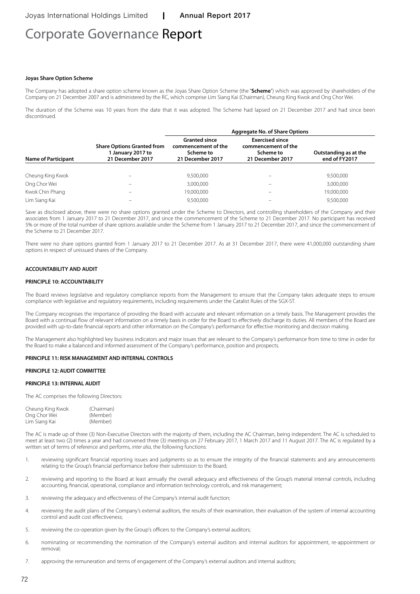# Corporate Governance Report

#### **Joyas Share Option Scheme**

The Company has adopted a share option scheme known as the Joyas Share Option Scheme (the "**Scheme**") which was approved by shareholders of the Company on 21 December 2007 and is administered by the RC, which comprise Lim Siang Kai (Chairman), Cheung King Kwok and Ong Chor Wei.

The duration of the Scheme was 10 years from the date that it was adopted. The Scheme had lapsed on 21 December 2017 and had since been discontinued.

|                            |                                                                            | <b>Aggregate No. of Share Options</b>                                        |                                                                                |                                        |  |  |
|----------------------------|----------------------------------------------------------------------------|------------------------------------------------------------------------------|--------------------------------------------------------------------------------|----------------------------------------|--|--|
| <b>Name of Participant</b> | <b>Share Options Granted from</b><br>1 January 2017 to<br>21 December 2017 | <b>Granted since</b><br>commencement of the<br>Scheme to<br>21 December 2017 | <b>Exercised since</b><br>commencement of the<br>Scheme to<br>21 December 2017 | Outstanding as at the<br>end of FY2017 |  |  |
|                            |                                                                            |                                                                              |                                                                                |                                        |  |  |
| Cheung King Kwok           | -                                                                          | 9,500,000                                                                    |                                                                                | 9,500,000                              |  |  |
| Ong Chor Wei               |                                                                            | 3,000,000                                                                    |                                                                                | 3,000,000                              |  |  |
| Kwok Chin Phang            |                                                                            | 19,000,000                                                                   |                                                                                | 19,000,000                             |  |  |
| Lim Siang Kai              |                                                                            | 9,500,000                                                                    |                                                                                | 9,500,000                              |  |  |

Save as disclosed above, there were no share options granted under the Scheme to Directors, and controlling shareholders of the Company and their associates from 1 January 2017 to 21 December 2017, and since the commencement of the Scheme to 21 December 2017. No participant has received 5% or more of the total number of share options available under the Scheme from 1 January 2017 to 21 December 2017, and since the commencement of the Scheme to 21 December 2017.

There were no share options granted from 1 January 2017 to 21 December 2017. As at 31 December 2017, there were 41,000,000 outstanding share options in respect of unissued shares of the Company.

#### **ACCOUNTABILITY AND AUDIT**

#### **PRINCIPLE 10: ACCOUNTABILITY**

The Board reviews legislative and regulatory compliance reports from the Management to ensure that the Company takes adequate steps to ensure compliance with legislative and regulatory requirements, including requirements under the Catalist Rules of the SGX-ST.

The Company recognises the importance of providing the Board with accurate and relevant information on a timely basis. The Management provides the Board with a continual flow of relevant information on a timely basis in order for the Board to effectively discharge its duties. All members of the Board are provided with up-to-date financial reports and other information on the Company's performance for effective monitoring and decision making.

The Management also highlighted key business indicators and major issues that are relevant to the Company's performance from time to time in order for the Board to make a balanced and informed assessment of the Company's performance, position and prospects.

#### **PRINCIPLE 11: RISK MANAGEMENT AND INTERNAL CONTROLS**

#### **PRINCIPLE 12: AUDIT COMMITTEE**

#### **PRINCIPLE 13: INTERNAL AUDIT**

The AC comprises the following Directors:

| Cheung King Kwok | (Chairman) |
|------------------|------------|
| Ong Chor Wei     | (Member)   |
| Lim Siang Kai    | (Member)   |

The AC is made up of three (3) Non-Executive Directors with the majority of them, including the AC Chairman, being independent. The AC is scheduled to meet at least two (2) times a year and had convened three (3) meetings on 27 February 2017, 1 March 2017 and 11 August 2017. The AC is regulated by a written set of terms of reference and performs, *inter alia*, the following functions:

- 1. reviewing significant financial reporting issues and judgments so as to ensure the integrity of the financial statements and any announcements relating to the Group's financial performance before their submission to the Board;
- 2. reviewing and reporting to the Board at least annually the overall adequacy and effectiveness of the Group's material internal controls, including accounting, financial, operational, compliance and information technology controls, and risk management;
- 3. reviewing the adequacy and effectiveness of the Company's internal audit function;
- 4. reviewing the audit plans of the Company's external auditors, the results of their examination, their evaluation of the system of internal accounting control and audit cost effectiveness;
- 5. reviewing the co-operation given by the Group's officers to the Company's external auditors;
- 6. nominating or recommending the nomination of the Company's external auditors and internal auditors for appointment, re-appointment or removal;
- 7. approving the remuneration and terms of engagement of the Company's external auditors and internal auditors;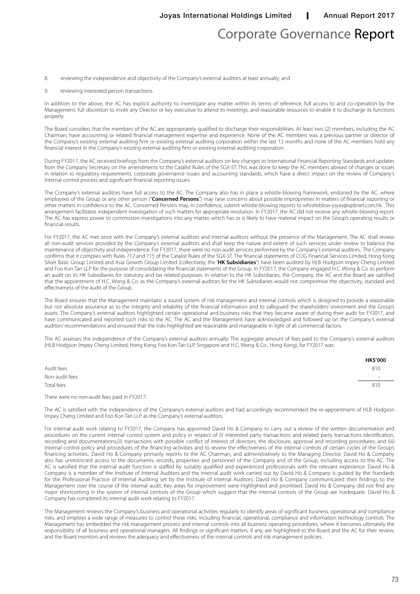## Corporate Governance Report

8. reviewing the independence and objectivity of the Company's external auditors at least annually; and

9. reviewing interested person transactions.

In addition to the above, the AC has explicit authority to investigate any matter within its terms of reference, full access to and co-operation by the Management, full discretion to invite any Director or key executive to attend its meetings, and reasonable resources to enable it to discharge its functions properly.

The Board considers that the members of the AC are appropriately qualified to discharge their responsibilities. At least two (2) members, including the AC Chairman, have accounting or related financial management expertise and experience. None of the AC members was a previous partner or director of the Company's existing external auditing firm or existing external auditing corporation within the last 12 months and none of the AC members hold any financial interest in the Company's existing external auditing firm or existing external auditing corporation.

During FY2017, the AC received briefings from the Company's external auditors on key changes to International Financial Reporting Standards and updates from the Company Secretary on the amendments to the Catalist Rules of the SGX-ST. This was done to keep the AC members abreast of changes or issues in relation to regulatory requirements, corporate governance issues and accounting standards, which have a direct impact on the review of Company's internal control process and significant financial reporting issues.

The Company's external auditors have full access to the AC. The Company also has in place a whistle-blowing framework, endorsed by the AC, where employees of the Group or any other person ("**Concerned Persons**") may raise concerns about possible improprieties in matters of financial reporting or other matters in confidence to the AC. Concerned Persons may, in confidence, submit whistle-blowing reports to whistleblow-joyas@upbnet.com.hk. This arrangement facilitates independent investigation of such matters for appropriate resolution. In FY2017, the AC did not receive any whistle-blowing report. The AC has express power to commission investigations into any matter, which has or is likely to have material impact on the Group's operating results or financial results.

For FY2017, the AC met once with the Company's external auditors and internal auditors without the presence of the Management. The AC shall review all non-audit services provided by the Company's external auditors and shall keep the nature and extent of such services under review to balance the maintenance of objectivity and independence. For FY2017, there were no non-audit services performed by the Company's external auditors.. The Company confirms that it complies with Rules 712 and 715 of the Catalist Rules of the SGX-ST. The financial statements of CCIG Financial Services Limited, Hong Kong Silver Basic Group Limited and Asia Growth Group Limited (collectively, the "**HK Subsidiaries**") have been audited by HLB Hodgson Impey Cheng Limited and Foo Kon Tan LLP for the purpose of consolidating the financial statements of the Group. In FY2017, the Company engaged H.C. Wong & Co. to perform an audit on its HK Subsidiaries for statutory and tax related purposes. In relation to the HK Subsidiaries, the Company, the AC and the Board are satisfied that the appointment of H.C. Wong & Co. as the Company's external auditors for the HK Subsidiaries would not compromise the objectivity, standard and effectiveness of the audit of the Group.

The Board ensures that the Management maintains a sound system of risk management and internal controls which is designed to provide a reasonable but not absolute assurance as to the integrity and reliability of the financial information and to safeguard the shareholders' investment and the Group's assets. The Company's external auditors highlighted certain operational and business risks that they became aware of during their audit for FY2017, and have communicated and reported such risks to the AC. The AC and the Management have acknowledged and followed up on the Company's external auditors' recommendations and ensured that the risks highlighted are reasonable and manageable in light of all commercial factors.

The AC assesses the independence of the Company's external auditors annually. The aggregate amount of fees paid to the Company's external auditors (HLB Hodgson Impey Cheng Limited, Hong Kong, Foo Kon Tan LLP, Singapore and H.C. Wong & Co., Hong Kong), for FY2017 was:

|                | <b>HK\$'000</b>            |
|----------------|----------------------------|
| Audit fees     | 810                        |
| Non-audit fees | $\qquad \qquad \  \  \, -$ |
| Total fees     | 810                        |
|                |                            |

There were no non-audit fees paid in FY2017.

The AC is satisfied with the independence of the Company's external auditors and had accordingly recommended the re-appointment of HLB Hodgson Impey Cheng Limited and Foo Kon Tan LLP as the Company's external auditors.

For internal audit work relating to FY2017, the Company has appointed David Ho & Company to carry out a review of the written documentation and procedures on the current internal control system and policy in respect of (i) interested party transactions and related party transactions identification, recording and documentations;(ii) transactions with possible conflict of interest of directors, the disclosure, approval and recording procedures; and (iii) internal control policy and procedures of the financing activities and to review the effectiveness of the internal controls of certain cycles of the Group's financing activities.. David Ho & Company primarily reports to the AC Chairman, and administratively to the Managing Director. David Ho & Company also has unrestricted access to the documents, records, properties and personnel of the Company and of the Group, including access to the AC. The AC is satisfied that the internal audit function is staffed by suitably qualified and experienced professionals with the relevant experience. David Ho & Company is a member of the Institute of Internal Auditors and the internal audit work carried out by David Ho & Company is guided by the Standards for the Professional Practice of Internal Auditing set by the Institute of Internal Auditors. David Ho & Company communicated their findings to the Management over the course of the internal audit. Key areas for improvement were highlighted and prioritised. David Ho & Company did not find any major shortcoming in the system of internal controls of the Group which suggest that the internal controls of the Group are inadequate. David Ho & Company has completed its internal audit work relating to FY2017.

The Management reviews the Company's business and operational activities regularly to identify areas of significant business, operational and compliance risks, and employs a wide range of measures to control these risks, including financial, operational, compliance and information technology controls. The Management has embedded the risk management process and internal controls into all business operating procedures, where it becomes ultimately the responsibility of all business and operational managers. All findings or significant matters, if any, are highlighted to the Board and the AC for their review, and the Board monitors and reviews the adequacy and effectiveness of the internal controls and risk management policies.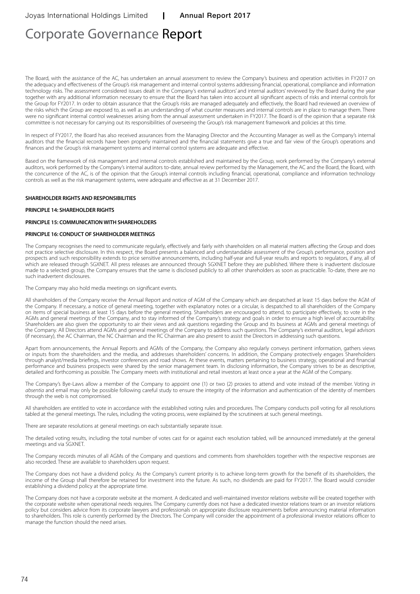# Corporate Governance Report

The Board, with the assistance of the AC, has undertaken an annual assessment to review the Company's business and operation activities in FY2017 on the adequacy and effectiveness of the Group's risk management and internal control systems addressing financial, operational, compliance and information technology risks. The assessment considered issues dealt in the Company's external auditors' and internal auditors' reviewed by the Board during the year together with any additional information necessary to ensure that the Board has taken into account all significant aspects of risks and internal controls for the Group for FY2017. In order to obtain assurance that the Group's risks are managed adequately and effectively, the Board had reviewed an overview of the risks which the Group are exposed to, as well as an understanding of what counter measures and internal controls are in place to manage them. There were no significant internal control weaknesses arising from the annual assessment undertaken in FY2017. The Board is of the opinion that a separate risk committee is not necessary for carrying out its responsibilities of overseeing the Group's risk management framework and policies at this time.

In respect of FY2017, the Board has also received assurances from the Managing Director and the Accounting Manager as well as the Company's internal auditors that the financial records have been properly maintained and the financial statements give a true and fair view of the Group's operations and finances and the Group's risk management systems and internal control systems are adequate and effective.

Based on the framework of risk management and internal controls established and maintained by the Group, work performed by the Company's external auditors, work performed by the Company's internal auditors to-date, annual review performed by the Management, the AC and the Board, the Board, with the concurrence of the AC, is of the opinion that the Group's internal controls including financial, operational, compliance and information technology controls as well as the risk management systems, were adequate and effective as at 31 December 2017.

#### **SHAREHOLDER RIGHTS AND RESPONSIBILITIES**

#### **PRINCIPLE 14: SHAREHOLDER RIGHTS**

#### **PRINCIPLE 15: COMMUNICATION WITH SHAREHOLDERS**

#### **PRINCIPLE 16: CONDUCT OF SHAREHOLDER MEETINGS**

The Company recognises the need to communicate regularly, effectively and fairly with shareholders on all material matters affecting the Group and does not practice selective disclosure. In this respect, the Board presents a balanced and understandable assessment of the Group's performance, position and prospects and such responsibility extends to price sensitive announcements, including half-year and full-year results and reports to regulators, if any, all of which are released through SGXNET. All press releases are announced through SGXNET before they are published. Where there is inadvertent disclosure made to a selected group, the Company ensures that the same is disclosed publicly to all other shareholders as soon as practicable. To-date, there are no such inadvertent disclosures.

The Company may also hold media meetings on significant events.

All shareholders of the Company receive the Annual Report and notice of AGM of the Company which are despatched at least 15 days before the AGM of the Company. If necessary, a notice of general meeting, together with explanatory notes or a circular, is despatched to all shareholders of the Company on items of special business at least 15 days before the general meeting. Shareholders are encouraged to attend, to participate effectively, to vote in the AGMs and general meetings of the Company, and to stay informed of the Company's strategy and goals in order to ensure a high level of accountability. Shareholders are also given the opportunity to air their views and ask questions regarding the Group and its business at AGMs and general meetings of the Company. All Directors attend AGMs and general meetings of the Company to address such questions. The Company's external auditors, legal advisors (if necessary), the AC Chairman, the NC Chairman and the RC Chairman are also present to assist the Directors in addressing such questions.

Apart from announcements, the Annual Reports and AGMs of the Company, the Company also regularly conveys pertinent information, gathers views or inputs from the shareholders and the media, and addresses shareholders' concerns. In addition, the Company protectively engages Shareholders through analyst/media briefings, investor conferences and road shows. At these events, matters pertaining to business strategy, operational and financial performance and business prospects were shared by the senior management team. In disclosing information, the Company strives to be as descriptive, detailed and forthcoming as possible. The Company meets with institutional and retail investors at least once a year at the AGM of the Company.

The Company's Bye-Laws allow a member of the Company to appoint one (1) or two (2) proxies to attend and vote instead of the member. Voting *in absentia* and email may only be possible following careful study to ensure the integrity of the information and authentication of the identity of members through the web is not compromised.

All shareholders are entitled to vote in accordance with the established voting rules and procedures. The Company conducts poll voting for all resolutions tabled at the general meetings. The rules, including the voting process, were explained by the scrutineers at such general meetings.

There are separate resolutions at general meetings on each substantially separate issue.

The detailed voting results, including the total number of votes cast for or against each resolution tabled, will be announced immediately at the general meetings and via SGXNET.

The Company records minutes of all AGMs of the Company and questions and comments from shareholders together with the respective responses are also recorded. These are available to shareholders upon request.

The Company does not have a dividend policy. As the Company's current priority is to achieve long-term growth for the benefit of its shareholders, the income of the Group shall therefore be retained for investment into the future. As such, no dividends are paid for FY2017. The Board would consider establishing a dividend policy at the appropriate time.

The Company does not have a corporate website at the moment. A dedicated and well-maintained investor relations website will be created together with the corporate website when operational needs requires. The Company currently does not have a dedicated investor relations team or an investor relations policy but considers advice from its corporate lawyers and professionals on appropriate disclosure requirements before announcing material information to shareholders. This role is currently performed by the Directors. The Company will consider the appointment of a professional investor relations officer to manage the function should the need arises.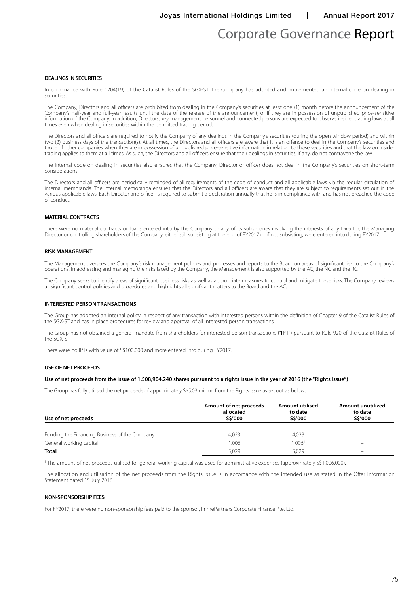Joyas International Holdings Limited | Annual Report 2017

## Corporate Governance Report

#### **DEALINGS IN SECURITIES**

In compliance with Rule 1204(19) of the Catalist Rules of the SGX-ST, the Company has adopted and implemented an internal code on dealing in securities.

The Company, Directors and all officers are prohibited from dealing in the Company's securities at least one (1) month before the announcement of the Company's half-year and full-year results until the date of the release of the announcement, or if they are in possession of unpublished price-sensitive information of the Company. In addition, Directors, key management personnel and connected persons are expected to observe insider trading laws at all times even when dealing in securities within the permitted trading period.

The Directors and all officers are required to notify the Company of any dealings in the Company's securities (during the open window period) and within two (2) business days of the transaction(s). At all times, the Directors and all officers are aware that it is an offence to deal in the Company's securities and those of other companies when they are in possession of unpublished price-sensitive information in relation to those securities and that the law on insider trading applies to them at all times. As such, the Directors and all officers ensure that their dealings in securities, if any, do not contravene the law.

The internal code on dealing in securities also ensures that the Company, Director or officer does not deal in the Company's securities on short-term considerations.

The Directors and all officers are periodically reminded of all requirements of the code of conduct and all applicable laws via the regular circulation of internal memoranda. The internal memoranda ensures that the Directors and all officers are aware that they are subject to requirements set out in the various applicable laws. Each Director and officer is required to submit a declaration annually that he is in compliance with and has not breached the code of conduct.

#### **MATERIAL CONTRACTS**

There were no material contracts or loans entered into by the Company or any of its subsidiaries involving the interests of any Director, the Managing Director or controlling shareholders of the Company, either still subsisting at the end of FY2017 or if not subsisting, were entered into during FY2017.

#### **RISK MANAGEMENT**

The Management oversees the Company's risk management policies and processes and reports to the Board on areas of significant risk to the Company's operations. In addressing and managing the risks faced by the Company, the Management is also supported by the AC, the NC and the RC.

The Company seeks to identify areas of significant business risks as well as appropriate measures to control and mitigate these risks. The Company reviews all significant control policies and procedures and highlights all significant matters to the Board and the AC.

#### **INTERESTED PERSON TRANSACTIONS**

The Group has adopted an internal policy in respect of any transaction with interested persons within the definition of Chapter 9 of the Catalist Rules of the SGX-ST and has in place procedures for review and approval of all interested person transactions.

The Group has not obtained a general mandate from shareholders for interested person transactions ("**IPT**") pursuant to Rule 920 of the Catalist Rules of the SGX-ST.

There were no IPTs with value of S\$100,000 and more entered into during FY2017.

#### **USE OF NET PROCEEDS**

#### **Use of net proceeds from the issue of 1,508,904,240 shares pursuant to a rights issue in the year of 2016 (the "Rights Issue")**

The Group has fully utilised the net proceeds of approximately S\$5.03 million from the Rights Issue as set out as below:

| Use of net proceeds                           | Amount of net proceeds<br>allocated<br>S\$'000 | <b>Amount utilised</b><br>to date<br>S\$'000 | Amount unutilized<br>to date<br><b>S\$'000</b> |
|-----------------------------------------------|------------------------------------------------|----------------------------------------------|------------------------------------------------|
| Funding the Financing Business of the Company | 4.023                                          | 4,023                                        | -                                              |
| General working capital                       | 1.006                                          | 1.006 <sup>1</sup>                           | -                                              |
| <b>Total</b>                                  | 5.029                                          | 5.029                                        | -                                              |

<sup>1</sup> The amount of net proceeds utilised for general working capital was used for administrative expenses (approximately S\$1,006,000)

The allocation and utilisation of the net proceeds from the Rights Issue is in accordance with the intended use as stated in the Offer Information Statement dated 15 July 2016.

#### **NON-SPONSORSHIP FEES**

For FY2017, there were no non-sponsorship fees paid to the sponsor, PrimePartners Corporate Finance Pte. Ltd..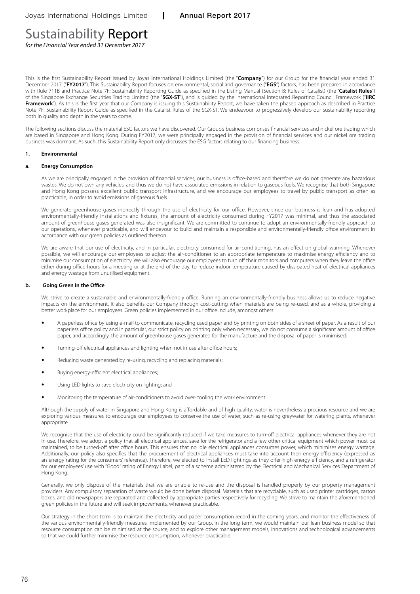# Sustainability Report

*for the Financial Year ended 31 December 2017*

This is the first Sustainability Report issued by Joyas International Holdings Limited (the "**Company**") for our Group for the financial year ended 31 December 2017 ("FY2017"). This Sustainability Report focuses on environmental, social and governance ("EGS") factors, has been prepared in accordance with Rule 711B and Practice Note 7F: Sustainability Reporting Guide as specified in the Listing Manual (Section B: Rules of Catalist) (the "**Catalist Rules**") of the Singapore Exchange Securities Trading Limited (the "**SGX-ST**"), and is guided by the International Integrated Reporting Council Framework ("**IIRC Framework**"). As this is the first year that our Company is issuing this Sustainability Report, we have taken the phased approach as described in Practice Note 7F: Sustainability Report Guide as specified in the Catalist Rules of the SGX-ST. We endeavour to progressively develop our sustainability reporting both in quality and depth in the years to come.

The following sections discuss the material ESG factors we have discovered. Our Group's business comprises financial services and nickel ore trading which are based in Singapore and Hong Kong. During FY2017, we were principally engaged in the provision of financial services and our nickel ore trading business was dormant. As such, this Sustainability Report only discusses the ESG factors relating to our financing business.

#### **1. Environmental**

#### **a. Energy Consumption**

As we are principally engaged in the provision of financial services, our business is office-based and therefore we do not generate any hazardous wastes. We do not own any vehicles, and thus we do not have associated emissions in relation to gaseous fuels. We recognise that both Singapore and Hong Kong possess excellent public transport infrastructure, and we encourage our employees to travel by public transport as often as practicable, in order to avoid emissions of gaseous fuels.

We generate greenhouse gases indirectly through the use of electricity for our office. However, since our business is lean and has adopted environmentally-friendly installations and fixtures, the amount of electricity consumed during FY2017 was minimal, and thus the associated amount of greenhouse gases generated was also insignificant. We are committed to continue to adopt an environmentally-friendly approach to our operations, whenever practicable, and will endevour to build and maintain a responsible and environmentally-friendly office environment in accordance with our green policies as outlined thereon.

We are aware that our use of electricity, and in particular, electricity consumed for air-conditioning, has an effect on global warming. Whenever possible, we will encourage our employees to adjust the air-conditioner to an appropriate temperature to maximise energy efficiency and to minimise our consumption of electricity. We will also encourage our employees to turn off their monitors and computers when they leave the office either during office hours for a meeting or at the end of the day, to reduce indoor temperature caused by dissipated heat of electrical appliances and energy wastage from unutilised equipment.

#### **b. Going Green in the Office**

We strive to create a sustainable and environmentally-friendly office. Running an environmentally-friendly business allows us to reduce negative impacts on the environment. It also benefits our Company through cost-cutting when materials are being re-used, and as a whole, providing a better workplace for our employees. Green policies implemented in our office include, amongst others:

- A paperless office by using e-mail to communicate, recycling used paper and by printing on both sides of a sheet of paper. As a result of our paperless office policy and in particular, our strict policy on printing only when necessary, we do not consume a significant amount of office paper, and accordingly, the amount of greenhouse gases generated for the manufacture and the disposal of paper is minimised;
- Turning-off electrical appliances and lighting when not in use after office hours;
- Reducing waste generated by re-using, recycling and replacing materials;
- Buying energy-efficient electrical appliances;
- Using LED lights to save electricity on lighting; and
- Monitoring the temperature of air-conditioners to avoid over-cooling the work environment.

Although the supply of water in Singapore and Hong Kong is affordable and of high quality, water is nevertheless a precious resource and we are exploring various measures to encourage our employees to conserve the use of water, such as re-using greywater for watering plants, whenever appropriate.

We recognise that the use of electricity could be significantly reduced if we take measures to turn-off electrical appliances whenever they are not in use. Therefore, we adopt a policy that all electrical appliances, save for the refrigerator and a few other critical equipment which power must be maintained, to be turned-off after office hours. This ensures that no idle electrical appliances consumes power, which minimises energy wastage. Additionally, our policy also specifies that the procurement of electrical appliances must take into account their energy efficiency (expressed as an energy rating for the consumers' reference). Therefore, we elected to install LED lightings as they offer high energy efficiency, and a refrigerator for our employees' use with "Good" rating of Energy Label, part of a scheme administered by the Electrical and Mechanical Services Department of Hong Kong.

Generally, we only dispose of the materials that we are unable to re-use and the disposal is handled properly by our property management providers. Any compulsory separation of waste would be done before disposal. Materials that are recyclable, such as used printer cartridges, carton boxes, and old newspapers are separated and collected by appropriate parties respectively for recycling. We strive to maintain the aforementioned green policies in the future and will seek improvements, whenever practicable.

Our strategy in the short term is to maintain the electricity and paper consumption record in the coming years, and monitor the effectiveness of the various environmentally-friendly measures implemented by our Group. In the long term, we would maintain our lean business model so that resource consumption can be minimised at the source, and to explore other management models, innovations and technological advancements so that we could further minimise the resource consumption, whenever practicable.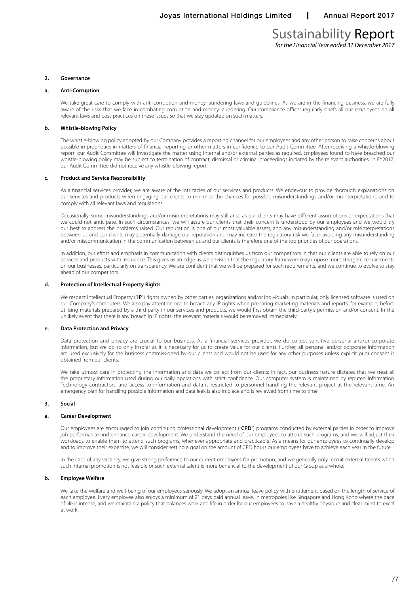### Sustainability Report *for the Financial Year ended 31 December 2017*

**2. Governance**

#### **a. Anti-Corruption**

We take great care to comply with anti-corruption and money-laundering laws and guidelines. As we are in the financing business, we are fully aware of the risks that we face in combating corruption and money-laundering. Our compliance officer regularly briefs all our employees on all relevant laws and best-practices on these issues so that we stay updated on such matters.

#### **b. Whistle-blowing Policy**

The whistle-blowing policy adopted by our Company provides a reporting channel for our employees and any other person to raise concerns about possible improprieties in matters of financial reporting or other matters in confidence to our Audit Committee. After receiving a whistle-blowing report, our Audit Committee will investigate the matter using internal and/or external parties as required. Employees found to have breached our whistle-blowing policy may be subject to termination of contract, dismissal or criminal proceedings initiated by the relevant authorities. In FY2017, our Audit Committee did not receive any whistle-blowing report.

#### **c. Product and Service Responsibility**

As a financial services provider, we are aware of the intricacies of our services and products. We endevour to provide thorough explanations on our services and products when engaging our clients to minimise the chances for possible misunderstandings and/or misinterpretations, and to comply with all relevant laws and regulations.

Occasionally, some misunderstandings and/or misinterpretations may still arise as our clients may have different assumptions or expectations that we could not anticipate. In such circumstances, we will assure our clients that their concern is understood by our employees and we would try our best to address the problems raised. Our reputation is one of our most valuable assets, and any misunderstanding and/or misinterpretations between us and our clients may potentially damage our reputation and may increase the regulatory risk we face; avoiding any misunderstanding and/or miscommunication in the communication between us and our clients is therefore one of the top priorities of our operations.

In addition, our effort and emphasis in communication with clients distinguishes us from our competitors in that our clients are able to rely on our services and products with assurance. This gives us an edge as we envision that the regulatory framework may impose more stringent requirements on our businesses, particularly on transparency. We are confident that we will be prepared for such requirements, and we continue to evolve to stay ahead of our competitors.

#### **d. Protection of Intellectual Property Rights**

We respect Intellectual Property ("IP") rights owned by other parties, organizations and/or individuals. In particular, only licensed software is used on our Company's computers. We also pay attention not to breach any IP rights when preparing marketing materials and reports; for example, before utilising materials prepared by a third-party in our services and products, we would first obtain the third-party's permission and/or consent. In the unlikely event that there is any breach in IP rights, the relevant materials would be removed immediately.

#### **e. Data Protection and Privacy**

Data protection and privacy are crucial to our business. As a financial services provider, we do collect sensitive personal and/or corporate information, but we do so only insofar as it is necessary for us to create value for our clients. Further, all personal and/or corporate information are used exclusively for the business commissioned by our clients and would not be used for any other purposes unless explicit prior consent is obtained from our clients.

We take utmost care in protecting the information and data we collect from our clients; in fact, our business nature dictates that we treat all the proprietary information used during our daily operations with strict confidence. Our computer system is maintained by reputed Information Technology contractors, and access to information and data is restricted to personnel handling the relevant project at the relevant time. An emergency plan for handling possible information and data leak is also in place and is reviewed from time to time.

#### **3. Social**

#### **a. Career Development**

Our employees are encouraged to join continuing professional development ("**CPD**") programs conducted by external parties in order to improve job performance and enhance career development. We understand the need of our employees to attend such programs, and we will adjust their workloads to enable them to attend such programs, whenever appropriate and practicable. As a means for our employees to continually develop and to improve their expertise, we will consider setting a goal on the amount of CPD hours our employees have to achieve each year in the future.

In the case of any vacancy, we give strong preference to our current employees for promotion, and we generally only recruit external talents when such internal promotion is not feasible or such external talent is more beneficial to the development of our Group as a whole.

#### **b. Employee Welfare**

We take the welfare and well-being of our employees seriously. We adopt an annual leave policy with entitlement based on the length of service of each employee. Every employee also enjoys a minimum of 21 days paid annual leave. In metropoles like Singapore and Hong Kong where the pace of life is intense, and we maintain a policy that balances work and life in order for our employees to have a healthy physique and clear mind to excel at work.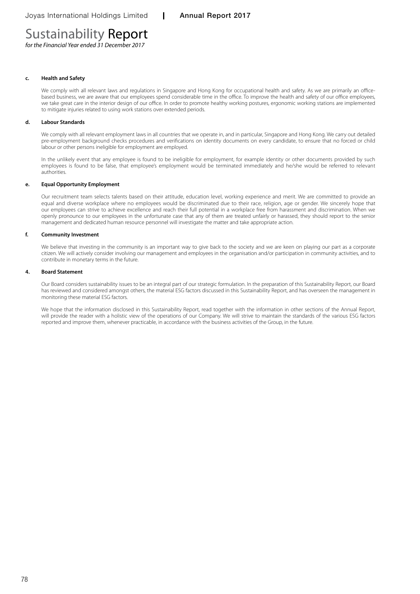# Sustainability Report

*for the Financial Year ended 31 December 2017*

#### **c. Health and Safety**

We comply with all relevant laws and regulations in Singapore and Hong Kong for occupational health and safety. As we are primarily an officebased business, we are aware that our employees spend considerable time in the office. To improve the health and safety of our office employees, we take great care in the interior design of our office. In order to promote healthy working postures, ergonomic working stations are implemented to mitigate injuries related to using work stations over extended periods.

#### **d. Labour Standards**

We comply with all relevant employment laws in all countries that we operate in, and in particular, Singapore and Hong Kong. We carry out detailed pre-employment background checks procedures and verifications on identity documents on every candidate, to ensure that no forced or child labour or other persons ineligible for employment are employed.

In the unlikely event that any employee is found to be ineligible for employment, for example identity or other documents provided by such employees is found to be false, that employee's employment would be terminated immediately and he/she would be referred to relevant authorities.

#### **e. Equal Opportunity Employment**

Our recruitment team selects talents based on their attitude, education level, working experience and merit. We are committed to provide an equal and diverse workplace where no employees would be discriminated due to their race, religion, age or gender. We sincerely hope that our employees can strive to achieve excellence and reach their full potential in a workplace free from harassment and discrimination. When we openly pronounce to our employees in the unfortunate case that any of them are treated unfairly or harassed, they should report to the senior management and dedicated human resource personnel will investigate the matter and take appropriate action.

#### **f. Community Investment**

We believe that investing in the community is an important way to give back to the society and we are keen on playing our part as a corporate citizen. We will actively consider involving our management and employees in the organisation and/or participation in community activities, and to contribute in monetary terms in the future.

#### **4. Board Statement**

Our Board considers sustainability issues to be an integral part of our strategic formulation. In the preparation of this Sustainability Report, our Board has reviewed and considered amongst others, the material ESG factors discussed in this Sustainability Report, and has overseen the management in monitoring these material ESG factors.

We hope that the information disclosed in this Sustainability Report, read together with the information in other sections of the Annual Report, will provide the reader with a holistic view of the operations of our Company. We will strive to maintain the standards of the various ESG factors reported and improve them, whenever practicable, in accordance with the business activities of the Group, in the future.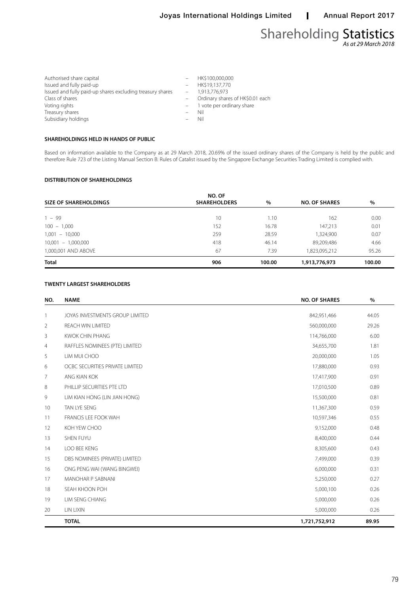### Shareholding Statistics *As at 29 March 2018*

| Authorised share capital                                  | HK\$100,000,000                  |
|-----------------------------------------------------------|----------------------------------|
| Issued and fully paid-up                                  | $-$ HK\$19,137,770               |
| Issued and fully paid-up shares excluding treasury shares | 1.913.776.973                    |
| Class of shares                                           | Ordinary shares of HK\$0.01 each |
| Voting rights                                             | 1 vote per ordinary share        |
| Treasury shares                                           | Nil                              |
| Subsidiary holdings                                       | Nil                              |
|                                                           |                                  |

#### **SHAREHOLDINGS HELD IN HANDS OF PUBLIC**

Based on information available to the Company as at 29 March 2018, 20.69% of the issued ordinary shares of the Company is held by the public and therefore Rule 723 of the Listing Manual Section B: Rules of Catalist issued by the Singapore Exchange Securities Trading Limited is complied with.

#### **DISTRIBUTION OF SHAREHOLDINGS**

|                              | NO. OF              |        |                      |        |
|------------------------------|---------------------|--------|----------------------|--------|
| <b>SIZE OF SHAREHOLDINGS</b> | <b>SHAREHOLDERS</b> | $\%$   | <b>NO. OF SHARES</b> | %      |
| $1 - 99$                     | 10                  | 1.10   | 162                  | 0.00   |
| $100 - 1,000$                | 152                 | 16.78  | 147,213              | 0.01   |
| $1,001 - 10,000$             | 259                 | 28.59  | 1,324,900            | 0.07   |
| $10,001 - 1,000,000$         | 418                 | 46.14  | 89,209,486           | 4.66   |
| 1,000,001 AND ABOVE          | 67                  | 7.39   | 1,823,095,212        | 95.26  |
| <b>Total</b>                 | 906                 | 100.00 | 1,913,776,973        | 100.00 |

#### **TWENTY LARGEST SHAREHOLDERS**

| NO.            | <b>NAME</b>                     | <b>NO. OF SHARES</b> | $\%$  |
|----------------|---------------------------------|----------------------|-------|
| $\overline{1}$ | JOYAS INVESTMENTS GROUP LIMITED | 842,951,466          | 44.05 |
| 2              | <b>REACH WIN LIMITED</b>        | 560,000,000          | 29.26 |
| 3              | <b>KWOK CHIN PHANG</b>          | 114,766,000          | 6.00  |
| 4              | RAFFLES NOMINEES (PTE) LIMITED  | 34,655,700           | 1.81  |
| 5              | LIM MUI CHOO                    | 20,000,000           | 1.05  |
| 6              | OCBC SECURITIES PRIVATE LIMITED | 17,880,000           | 0.93  |
| 7              | ANG KIAN KOK                    | 17,417,900           | 0.91  |
| 8              | PHILLIP SECURITIES PTE LTD      | 17,010,500           | 0.89  |
| 9              | LIM KIAN HONG (LIN JIAN HONG)   | 15,500,000           | 0.81  |
| 10             | TAN LYE SENG                    | 11,367,300           | 0.59  |
| 11             | <b>FRANCIS LEE FOOK WAH</b>     | 10,597,346           | 0.55  |
| 12             | KOH YEW CHOO                    | 9,152,000            | 0.48  |
| 13             | SHEN FUYU                       | 8,400,000            | 0.44  |
| 14             | LOO BEE KENG                    | 8,305,600            | 0.43  |
| 15             | DBS NOMINEES (PRIVATE) LIMITED  | 7,499,000            | 0.39  |
| 16             | ONG PENG WAI (WANG BINGWEI)     | 6,000,000            | 0.31  |
| 17             | MANOHAR P SABNANI               | 5,250,000            | 0.27  |
| 18             | SEAH KHOON POH                  | 5,000,100            | 0.26  |
| 19             | LIM SENG CHIANG                 | 5,000,000            | 0.26  |
| 20             | LIN LIXIN                       | 5,000,000            | 0.26  |
|                | <b>TOTAL</b>                    | 1,721,752,912        | 89.95 |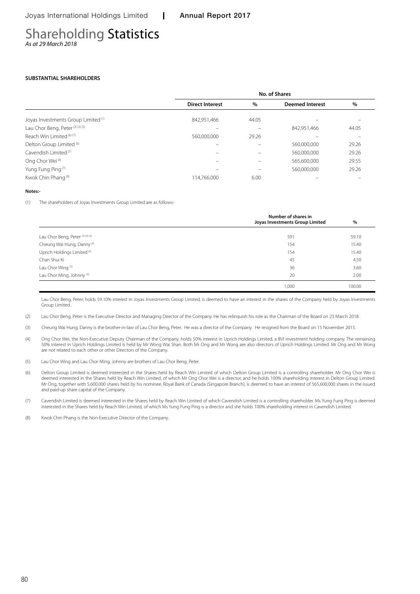### Shareholding Statistics *As at 29 March 2018*

#### **SUBSTANTIAL SHAREHOLDERS**

|                                                |                        | No. of Shares |                        |       |
|------------------------------------------------|------------------------|---------------|------------------------|-------|
|                                                | <b>Direct Interest</b> | $\%$          | <b>Deemed Interest</b> | %     |
| Joyas Investments Group Limited <sup>(1)</sup> | 842,951,466            | 44.05         |                        |       |
| Lau Chor Beng, Peter <sup>(2)(3)(5)</sup>      |                        |               | 842,951,466            | 44.05 |
| Reach Win Limited (6) (7)                      | 560,000,000            | 29.26         |                        |       |
| Delton Group Limited <sup>(6)</sup>            |                        |               | 560,000,000            | 29.26 |
| Cavendish Limited <sup>(7)</sup>               |                        |               | 560,000,000            | 29.26 |
| Ong Chor Wei <sup>(6)</sup>                    |                        |               | 565,600,000            | 29.55 |
| Yung Fung Ping <sup>(7)</sup>                  |                        |               | 560,000,000            | 29.26 |
| Kwok Chin Phang <sup>(8)</sup>                 | 114.766.000            | 6.00          |                        |       |

#### **Notes:-**

֚֚֚֬

(1) The shareholders of Joyas Investments Group Limited are as follows:-

|                                        | Number of shares in<br>Joyas Investments Group Limited | %      |
|----------------------------------------|--------------------------------------------------------|--------|
| Lau Chor Beng, Peter (2) (3) (5)       | 591                                                    | 59.10  |
| Cheung Wai Hung, Danny <sup>(3)</sup>  | 154                                                    | 15.40  |
| Uprich Holdings Limited <sup>(4)</sup> | 154                                                    | 15.40  |
| Chan Shui Ki                           | 45                                                     | 4.50   |
| Lau Chor Wing (5)                      | 36                                                     | 3.60   |
| Lau Chor Ming, Johnny <sup>(5)</sup>   | 20                                                     | 2.00   |
|                                        | 1,000                                                  | 100.00 |

Lau Chor Beng, Peter, holds 59.10% interest in Joyas Investments Group Limited, is deemed to have an interest in the shares of the Company held by Joyas Investments Group Limited.

(2) Lau Chor Beng, Peter is the Executive Director and Managing Director of the Company. He has relinquish his role as the Chairman of the Board on 23 March 2018.

(3) Cheung Wai Hung, Danny is the brother-in-law of Lau Chor Beng, Peter. He was a director of the Company. He resigned from the Board on 15 November 2015.

- (4) Ong Chor Wei, the Non-Executive Deputy Chairman of the Company, holds 50% interest in Uprich Holdings Limited, a BVI investment holding company. The remaining 50% interest in Uprich Holdings Limited is held by Mr Wong Wai Shan. Both Mr Ong and Mr Wong are also directors of Uprich Holdings Limited. Mr Ong and Mr Wong are not related to each other or other Directors of the Company.
- (5) Lau Chor Wing and Lau Chor Ming, Johnny are brothers of Lau Chor Beng, Peter.
- (6) Delton Group Limited is deemed interested in the Shares held by Reach Win Limited of which Delton Group Limited is a controlling shareholder. Mr Ong Chor Wei is deemed interested in the Shares held by Reach Win Limited, of which Mr Ong Chor Wei is a director, and he holds 100% shareholding interest in Delton Group Limited. Mr Ong, together with 5,600,000 shares held by his nominee, Royal Bank of Canada (Singapore Branch), is deemed to have an interest of 565,600,000 shares in the issued and paid-up share capital of the Company.
- (7) Cavendish Limited is deemed interested in the Shares held by Reach Win Limited of which Cavendish Limited is a controlling shareholder. Ms Yung Fung Ping is deemed interested in the Shares held by Reach Win Limited, of which Ms Yung Fung Ping is a director and she holds 100% shareholding interest in Cavendish Limited.

(8) Kwok Chin Phang is the Non-Executive Director of the Company.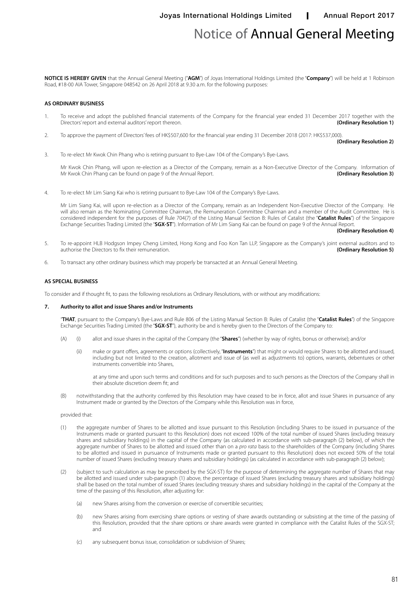# Notice of Annual General Meeting

**NOTICE IS HEREBY GIVEN** that the Annual General Meeting ("**AGM**") of Joyas International Holdings Limited (the "**Company**") will be held at 1 Robinson Road, #18-00 AIA Tower, Singapore 048542 on 26 April 2018 at 9.30 a.m. for the following purposes:

#### **AS ORDINARY BUSINESS**

- 1. To receive and adopt the published financial statements of the Company for the financial year ended 31 December 2017 together with the Directors' report and external auditors' report thereon. Directors' report and external auditors' report thereon.
- 2. To approve the payment of Directors' fees of HK\$507,600 for the financial year ending 31 December 2018 (2017: HK\$537,000).

**(Ordinary Resolution 2)**

3. To re-elect Mr Kwok Chin Phang who is retiring pursuant to Bye-Law 104 of the Company's Bye-Laws.

Mr Kwok Chin Phang, will upon re-election as a Director of the Company, remain as a Non-Executive Director of the Company. Information of Mr Kwok Chin Phang can be found on page 9 of the Annual Report. Mr Kwok Chin Phang can be found on page 9 of the Annual Report.

4. To re-elect Mr Lim Siang Kai who is retiring pursuant to Bye-Law 104 of the Company's Bye-Laws.

Mr Lim Siang Kai, will upon re-election as a Director of the Company, remain as an Independent Non-Executive Director of the Company. He will also remain as the Nominating Committee Chairman, the Remuneration Committee Chairman and a member of the Audit Committee. He is considered independent for the purposes of Rule 704(7) of the Listing Manual Section B: Rules of Catalist (the "**Catalist Rules**") of the Singapore Exchange Securities Trading Limited (the "**SGX-ST**"). Information of Mr Lim Siang Kai can be found on page 9 of the Annual Report.

**(Ordinary Resolution 4)**

- 5. To re-appoint HLB Hodgson Impey Cheng Limited, Hong Kong and Foo Kon Tan LLP, Singapore as the Company's joint external auditors and to authorise the Directors to fix their remuneration. authorise the Directors to fix their remuneration.
- 6. To transact any other ordinary business which may properly be transacted at an Annual General Meeting.

#### **AS SPECIAL BUSINESS**

To consider and if thought fit, to pass the following resolutions as Ordinary Resolutions, with or without any modifications:

#### **7. Authority to allot and issue Shares and/or Instruments**

"**THAT**, pursuant to the Company's Bye-Laws and Rule 806 of the Listing Manual Section B: Rules of Catalist (the "**Catalist Rules**") of the Singapore Exchange Securities Trading Limited (the "**SGX-ST**"), authority be and is hereby given to the Directors of the Company to:

- (A) (i) allot and issue shares in the capital of the Company (the "**Shares**") (whether by way of rights, bonus or otherwise); and/or
	- (ii) make or grant offers, agreements or options (collectively, "**Instruments**") that might or would require Shares to be allotted and issued, including but not limited to the creation, allotment and issue of (as well as adjustments to) options, warrants, debentures or other instruments convertible into Shares,

 at any time and upon such terms and conditions and for such purposes and to such persons as the Directors of the Company shall in their absolute discretion deem fit; and

(B) notwithstanding that the authority conferred by this Resolution may have ceased to be in force, allot and issue Shares in pursuance of any Instrument made or granted by the Directors of the Company while this Resolution was in force,

#### provided that:

- (1) the aggregate number of Shares to be allotted and issue pursuant to this Resolution (including Shares to be issued in pursuance of the Instruments made or granted pursuant to this Resolution) does not exceed 100% of the total number of issued Shares (excluding treasury shares and subsidiary holdings) in the capital of the Company (as calculated in accordance with sub-paragraph (2) below), of which the aggregate number of Shares to be allotted and issued other than on a *pro rata* basis to the shareholders of the Company (including Shares to be allotted and issued in pursuance of Instruments made or granted pursuant to this Resolution) does not exceed 50% of the total number of issued Shares (excluding treasury shares and subsidiary holdings) (as calculated in accordance with sub-paragraph (2) below);
- (2) (subject to such calculation as may be prescribed by the SGX-ST) for the purpose of determining the aggregate number of Shares that may be allotted and issued under sub-paragraph (1) above, the percentage of issued Shares (excluding treasury shares and subsidiary holdings) shall be based on the total number of issued Shares (excluding treasury shares and subsidiary holdings) in the capital of the Company at the time of the passing of this Resolution, after adjusting for:
	- (a) new Shares arising from the conversion or exercise of convertible securities;
	- (b) new Shares arising from exercising share options or vesting of share awards outstanding or subsisting at the time of the passing of this Resolution, provided that the share options or share awards were granted in compliance with the Catalist Rules of the SGX-ST; and
	- (c) any subsequent bonus issue, consolidation or subdivision of Shares;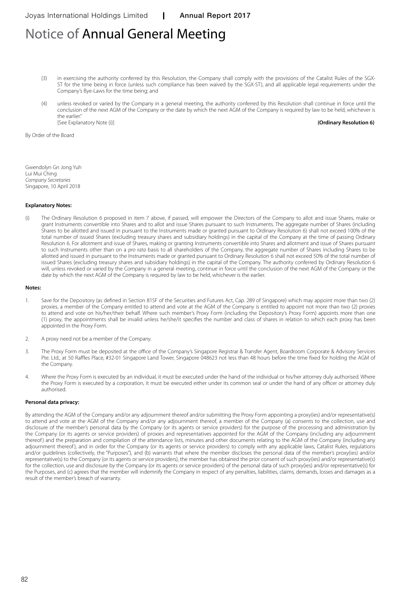# Notice of Annual General Meeting

- (3) in exercising the authority conferred by this Resolution, the Company shall comply with the provisions of the Catalist Rules of the SGX-ST for the time being in force (unless such compliance has been waived by the SGX-ST), and all applicable legal requirements under the Company's Bye-Laws for the time being; and
- (4) unless revoked or varied by the Company in a general meeting, the authority conferred by this Resolution shall continue in force until the conclusion of the next AGM of the Company or the date by which the next AGM of the Company is required by law to be held, whichever is the earlier." [See Explanatory Note (i)] **(Ordinary Resolution 6)**

By Order of the Board

Gwendolyn Gn Jong Yuh Lui Mui Ching *Company Secretaries* Singapore, 10 April 2018

#### **Explanatory Notes:**

(i) The Ordinary Resolution 6 proposed in item 7 above, if passed, will empower the Directors of the Company to allot and issue Shares, make or grant Instruments convertible into Shares and to allot and issue Shares pursuant to such Instruments. The aggregate number of Shares (including Shares to be allotted and issued in pursuant to the Instruments made or granted pursuant to Ordinary Resolution 6) shall not exceed 100% of the total number of issued Shares (excluding treasury shares and subsidiary holdings) in the capital of the Company at the time of passing Ordinary Resolution 6. For allotment and issue of Shares, making or granting Instruments convertible into Shares and allotment and issue of Shares pursuant to such Instruments other than on a *pro rata* basis to all shareholders of the Company, the aggregate number of Shares including Shares to be allotted and issued in pursuant to the Instruments made or granted pursuant to Ordinary Resolution 6 shall not exceed 50% of the total number of issued Shares (excluding treasury shares and subsidiary holdings) in the capital of the Company. The authority conferred by Ordinary Resolution 6 will, unless revoked or varied by the Company in a general meeting, continue in force until the conclusion of the next AGM of the Company or the date by which the next AGM of the Company is required by law to be held, whichever is the earlier.

#### **Notes:**

- 1. Save for the Depository (as defined in Section 81SF of the Securities and Futures Act, Cap. 289 of Singapore) which may appoint more than two (2) proxies, a member of the Company entitled to attend and vote at the AGM of the Company is entitled to appoint not more than two (2) proxies to attend and vote on his/her/their behalf. Where such member's Proxy Form (including the Depository's Proxy Form) appoints more than one (1) proxy, the appointments shall be invalid unless he/she/it specifies the number and class of shares in relation to which each proxy has been appointed in the Proxy Form.
- 2. A proxy need not be a member of the Company.
- 3. The Proxy Form must be deposited at the office of the Company's Singapore Registrar & Transfer Agent, Boardroom Corporate & Advisory Services Pte. Ltd., at 50 Raffles Place, #32-01 Singapore Land Tower, Singapore 048623 not less than 48 hours before the time fixed for holding the AGM of the Company.
- 4. Where the Proxy Form is executed by an individual, it must be executed under the hand of the individual or his/her attorney duly authorised. Where the Proxy Form is executed by a corporation, it must be executed either under its common seal or under the hand of any officer or attorney duly authorised.

#### **Personal data privacy:**

By attending the AGM of the Company and/or any adjournment thereof and/or submitting the Proxy Form appointing a proxy(ies) and/or representative(s) to attend and vote at the AGM of the Company and/or any adjournment thereof, a member of the Company (a) consents to the collection, use and disclosure of the member's personal data by the Company (or its agents or service providers) for the purpose of the processing and administration by the Company (or its agents or service providers) of proxies and representatives appointed for the AGM of the Company (including any adjournment thereof) and the preparation and compilation of the attendance lists, minutes and other documents relating to the AGM of the Company (including any adjournment thereof), and in order for the Company (or its agents or service providers) to comply with any applicable laws, Catalist Rules, regulations and/or guidelines (collectively, the "Purposes"), and (b) warrants that where the member discloses the personal data of the member's proxy(ies) and/or representative(s) to the Company (or its agents or service providers), the member has obtained the prior consent of such proxy(ies) and/or representative(s) for the collection, use and disclosure by the Company (or its agents or service providers) of the personal data of such proxy(ies) and/or representative(s) for the Purposes, and (c) agrees that the member will indemnify the Company in respect of any penalties, liabilities, claims, demands, losses and damages as a result of the member's breach of warranty.